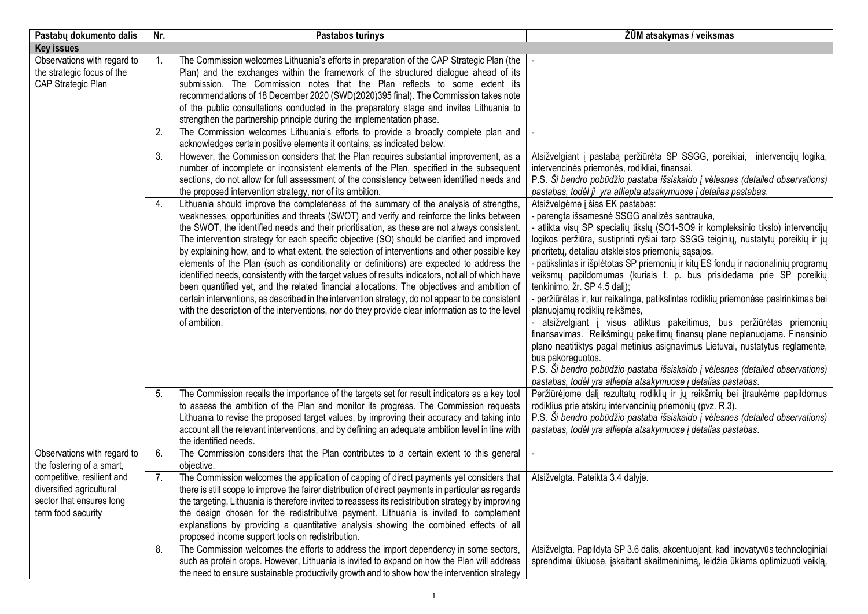| Pastabų dokumento dalis                                                                                  | Nr. | Pastabos turinys                                                                                                                                                                                                                                                                                                                                                                                                                                                                                                                                                                                                                                                                                                                                                                                                                                                                                                                                                                                         | ŽŪM atsakymas / veiksmas                                                                                                                                                                                                                                                                                                                                                                                                                                                                                                                                                                                                                                                                                                                                                                                                                                                                                                                                                                                                                                |
|----------------------------------------------------------------------------------------------------------|-----|----------------------------------------------------------------------------------------------------------------------------------------------------------------------------------------------------------------------------------------------------------------------------------------------------------------------------------------------------------------------------------------------------------------------------------------------------------------------------------------------------------------------------------------------------------------------------------------------------------------------------------------------------------------------------------------------------------------------------------------------------------------------------------------------------------------------------------------------------------------------------------------------------------------------------------------------------------------------------------------------------------|---------------------------------------------------------------------------------------------------------------------------------------------------------------------------------------------------------------------------------------------------------------------------------------------------------------------------------------------------------------------------------------------------------------------------------------------------------------------------------------------------------------------------------------------------------------------------------------------------------------------------------------------------------------------------------------------------------------------------------------------------------------------------------------------------------------------------------------------------------------------------------------------------------------------------------------------------------------------------------------------------------------------------------------------------------|
| <b>Key issues</b>                                                                                        |     |                                                                                                                                                                                                                                                                                                                                                                                                                                                                                                                                                                                                                                                                                                                                                                                                                                                                                                                                                                                                          |                                                                                                                                                                                                                                                                                                                                                                                                                                                                                                                                                                                                                                                                                                                                                                                                                                                                                                                                                                                                                                                         |
| Observations with regard to<br>the strategic focus of the<br>CAP Strategic Plan                          | -1. | The Commission welcomes Lithuania's efforts in preparation of the CAP Strategic Plan (the<br>Plan) and the exchanges within the framework of the structured dialogue ahead of its<br>submission. The Commission notes that the Plan reflects to some extent its<br>recommendations of 18 December 2020 (SWD(2020)395 final). The Commission takes note<br>of the public consultations conducted in the preparatory stage and invites Lithuania to<br>strengthen the partnership principle during the implementation phase.                                                                                                                                                                                                                                                                                                                                                                                                                                                                               |                                                                                                                                                                                                                                                                                                                                                                                                                                                                                                                                                                                                                                                                                                                                                                                                                                                                                                                                                                                                                                                         |
|                                                                                                          | 2.  | The Commission welcomes Lithuania's efforts to provide a broadly complete plan and<br>acknowledges certain positive elements it contains, as indicated below.                                                                                                                                                                                                                                                                                                                                                                                                                                                                                                                                                                                                                                                                                                                                                                                                                                            |                                                                                                                                                                                                                                                                                                                                                                                                                                                                                                                                                                                                                                                                                                                                                                                                                                                                                                                                                                                                                                                         |
|                                                                                                          | 3.  | However, the Commission considers that the Plan requires substantial improvement, as a<br>number of incomplete or inconsistent elements of the Plan, specified in the subsequent<br>sections, do not allow for full assessment of the consistency between identified needs and<br>the proposed intervention strategy, nor of its ambition.                                                                                                                                                                                                                                                                                                                                                                                                                                                                                                                                                                                                                                                               | Atsižvelgiant į pastabą peržiūrėta SP SSGG, poreikiai, intervencijų logika,<br>intervencinės priemonės, rodikliai, finansai.<br>P.S. Ši bendro pobūdžio pastaba išsiskaido į vėlesnes (detailed observations)<br>pastabas, todėl ji yra atliepta atsakymuose į detalias pastabas.                                                                                                                                                                                                                                                                                                                                                                                                                                                                                                                                                                                                                                                                                                                                                                       |
|                                                                                                          | 4.  | Lithuania should improve the completeness of the summary of the analysis of strengths,<br>weaknesses, opportunities and threats (SWOT) and verify and reinforce the links between<br>the SWOT, the identified needs and their prioritisation, as these are not always consistent.<br>The intervention strategy for each specific objective (SO) should be clarified and improved<br>by explaining how, and to what extent, the selection of interventions and other possible key<br>elements of the Plan (such as conditionality or definitions) are expected to address the<br>identified needs, consistently with the target values of results indicators, not all of which have<br>been quantified yet, and the related financial allocations. The objectives and ambition of<br>certain interventions, as described in the intervention strategy, do not appear to be consistent<br>with the description of the interventions, nor do they provide clear information as to the level<br>of ambition. | Atsižvelgėme į šias EK pastabas:<br>- parengta išsamesnė SSGG analizės santrauka,<br>- atlikta visų SP specialių tikslų (SO1-SO9 ir kompleksinio tikslo) intervencijų<br>logikos peržiūra, sustiprinti ryšiai tarp SSGG teiginių, nustatytų poreikių ir jų<br>prioritetų, detaliau atskleistos priemonių sąsajos,<br>- patikslintas ir išplėtotas SP priemonių ir kitų ES fondų ir nacionalinių programų<br>veiksmų papildomumas (kuriais t. p. bus prisidedama prie SP poreikių<br>tenkinimo, žr. SP 4.5 dalį);<br>- peržiūrėtas ir, kur reikalinga, patikslintas rodiklių priemonėse pasirinkimas bei<br>planuojamų rodiklių reikšmės,<br>- atsižvelgiant į visus atliktus pakeitimus, bus peržiūrėtas priemonių<br>finansavimas. Reikšmingų pakeitimų finansų plane neplanuojama. Finansinio<br>plano neatitiktys pagal metinius asignavimus Lietuvai, nustatytus reglamente,<br>bus pakoreguotos.<br>P.S. Ši bendro pobūdžio pastaba išsiskaido į vėlesnes (detailed observations)<br>pastabas, todėl yra atliepta atsakymuose į detalias pastabas. |
|                                                                                                          | 5.  | The Commission recalls the importance of the targets set for result indicators as a key tool<br>to assess the ambition of the Plan and monitor its progress. The Commission requests<br>Lithuania to revise the proposed target values, by improving their accuracy and taking into<br>account all the relevant interventions, and by defining an adequate ambition level in line with<br>the identified needs.                                                                                                                                                                                                                                                                                                                                                                                                                                                                                                                                                                                          | Peržiūrėjome dalį rezultatų rodiklių ir jų reikšmių bei įtraukėme papildomus<br>rodiklius prie atskirų intervencinių priemonių (pvz. R.3).<br>P.S. Ši bendro pobūdžio pastaba išsiskaido į vėlesnes (detailed observations)<br>pastabas, todėl yra atliepta atsakymuose į detalias pastabas.                                                                                                                                                                                                                                                                                                                                                                                                                                                                                                                                                                                                                                                                                                                                                            |
| Observations with regard to<br>the fostering of a smart,                                                 | 6.  | The Commission considers that the Plan contributes to a certain extent to this general<br>objective.                                                                                                                                                                                                                                                                                                                                                                                                                                                                                                                                                                                                                                                                                                                                                                                                                                                                                                     |                                                                                                                                                                                                                                                                                                                                                                                                                                                                                                                                                                                                                                                                                                                                                                                                                                                                                                                                                                                                                                                         |
| competitive, resilient and<br>diversified agricultural<br>sector that ensures long<br>term food security | 7.  | The Commission welcomes the application of capping of direct payments yet considers that<br>there is still scope to improve the fairer distribution of direct payments in particular as regards<br>the targeting. Lithuania is therefore invited to reassess its redistribution strategy by improving<br>the design chosen for the redistributive payment. Lithuania is invited to complement<br>explanations by providing a quantitative analysis showing the combined effects of all<br>proposed income support tools on redistribution.                                                                                                                                                                                                                                                                                                                                                                                                                                                               | Atsižvelgta. Pateikta 3.4 dalyje.                                                                                                                                                                                                                                                                                                                                                                                                                                                                                                                                                                                                                                                                                                                                                                                                                                                                                                                                                                                                                       |
|                                                                                                          | 8.  | The Commission welcomes the efforts to address the import dependency in some sectors,<br>such as protein crops. However, Lithuania is invited to expand on how the Plan will address<br>the need to ensure sustainable productivity growth and to show how the intervention strategy                                                                                                                                                                                                                                                                                                                                                                                                                                                                                                                                                                                                                                                                                                                     | Atsižvelgta. Papildyta SP 3.6 dalis, akcentuojant, kad inovatyvūs technologiniai<br>sprendimai ūkiuose, įskaitant skaitmeninimą, leidžia ūkiams optimizuoti veiklą,                                                                                                                                                                                                                                                                                                                                                                                                                                                                                                                                                                                                                                                                                                                                                                                                                                                                                     |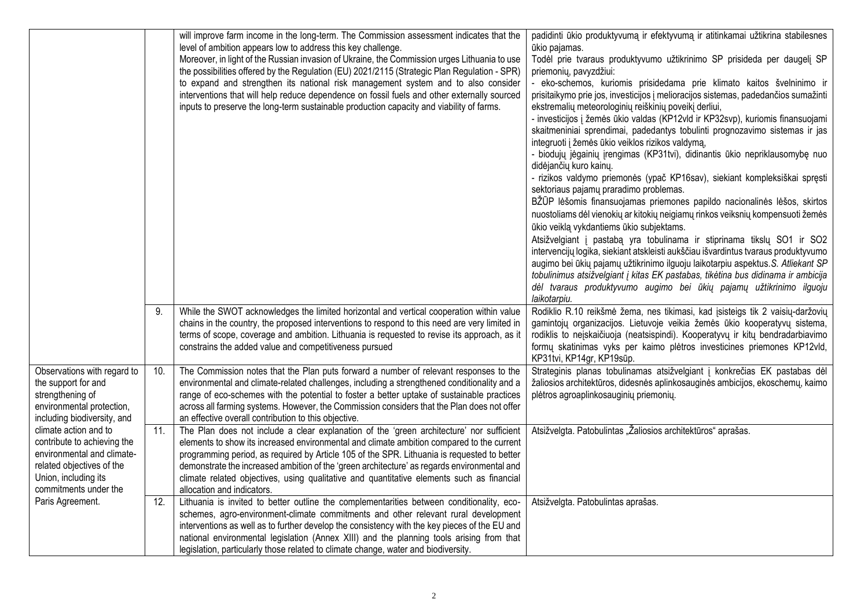|                                                                                                                                                                  |     | will improve farm income in the long-term. The Commission assessment indicates that the<br>level of ambition appears low to address this key challenge.<br>Moreover, in light of the Russian invasion of Ukraine, the Commission urges Lithuania to use<br>the possibilities offered by the Regulation (EU) 2021/2115 (Strategic Plan Regulation - SPR)<br>to expand and strengthen its national risk management system and to also consider<br>interventions that will help reduce dependence on fossil fuels and other externally sourced<br>inputs to preserve the long-term sustainable production capacity and viability of farms. | padidinti ūkio produktyvumą ir efektyvumą ir atitinkamai užtikrina stabilesnes<br>ūkio pajamas.<br>Todėl prie tvaraus produktyvumo užtikrinimo SP prisideda per daugelį SP<br>priemonių, pavyzdžiui:<br>- eko-schemos, kuriomis prisidedama prie klimato kaitos švelninimo ir<br>prisitaikymo prie jos, investicijos į melioracijos sistemas, padedančios sumažinti<br>ekstremalių meteorologinių reiškinių poveikį derliui,<br>- investicijos į žemės ūkio valdas (KP12vld ir KP32svp), kuriomis finansuojami<br>skaitmeniniai sprendimai, padedantys tobulinti prognozavimo sistemas ir jas<br>integruoti į žemės ūkio veiklos rizikos valdymą,<br>- biodujų jėgainių įrengimas (KP31tvi), didinantis ūkio nepriklausomybę nuo<br>didėjančių kuro kainų.<br>- rizikos valdymo priemonės (ypač KP16sav), siekiant kompleksiškai spręsti<br>sektoriaus pajamų praradimo problemas.<br>BŽŪP lėšomis finansuojamas priemones papildo nacionalinės lėšos, skirtos<br>nuostoliams dėl vienokių ar kitokių neigiamų rinkos veiksnių kompensuoti žemės<br>ūkio veiklą vykdantiems ūkio subjektams.<br>Atsižvelgiant į pastabą yra tobulinama ir stiprinama tikslų SO1 ir SO2<br>intervencijų logika, siekiant atskleisti aukščiau išvardintus tvaraus produktyvumo<br>augimo bei ūkių pajamų užtikrinimo ilguoju laikotarpiu aspektus. S. Atliekant SP<br>tobulinimus atsižvelgiant į kitas EK pastabas, tikėtina bus didinama ir ambicija<br>dėl tvaraus produktyvumo augimo bei ūkių pajamų užtikrinimo ilguoju<br>laikotarpiu. |
|------------------------------------------------------------------------------------------------------------------------------------------------------------------|-----|-----------------------------------------------------------------------------------------------------------------------------------------------------------------------------------------------------------------------------------------------------------------------------------------------------------------------------------------------------------------------------------------------------------------------------------------------------------------------------------------------------------------------------------------------------------------------------------------------------------------------------------------|-----------------------------------------------------------------------------------------------------------------------------------------------------------------------------------------------------------------------------------------------------------------------------------------------------------------------------------------------------------------------------------------------------------------------------------------------------------------------------------------------------------------------------------------------------------------------------------------------------------------------------------------------------------------------------------------------------------------------------------------------------------------------------------------------------------------------------------------------------------------------------------------------------------------------------------------------------------------------------------------------------------------------------------------------------------------------------------------------------------------------------------------------------------------------------------------------------------------------------------------------------------------------------------------------------------------------------------------------------------------------------------------------------------------------------------------------------------------------------------------------------------------------------|
|                                                                                                                                                                  | 9.  | While the SWOT acknowledges the limited horizontal and vertical cooperation within value<br>chains in the country, the proposed interventions to respond to this need are very limited in<br>terms of scope, coverage and ambition. Lithuania is requested to revise its approach, as it<br>constrains the added value and competitiveness pursued                                                                                                                                                                                                                                                                                      | Rodiklio R.10 reikšmė žema, nes tikimasi, kad įsisteigs tik 2 vaisių-daržovių<br>gamintojų organizacijos. Lietuvoje veikia žemės ūkio kooperatyvų sistema,<br>rodiklis to neįskaičiuoja (neatsispindi). Kooperatyvų ir kitų bendradarbiavimo<br>formų skatinimas vyks per kaimo plėtros investicines priemones KP12vld,<br>KP31tvi, KP14gr, KP19sūp.                                                                                                                                                                                                                                                                                                                                                                                                                                                                                                                                                                                                                                                                                                                                                                                                                                                                                                                                                                                                                                                                                                                                                                        |
| Observations with regard to<br>the support for and<br>strengthening of<br>environmental protection,<br>including biodiversity, and                               | 10. | The Commission notes that the Plan puts forward a number of relevant responses to the<br>environmental and climate-related challenges, including a strengthened conditionality and a<br>range of eco-schemes with the potential to foster a better uptake of sustainable practices<br>across all farming systems. However, the Commission considers that the Plan does not offer<br>an effective overall contribution to this objective.                                                                                                                                                                                                | Strateginis planas tobulinamas atsižvelgiant į konkrečias EK pastabas dėl<br>žaliosios architektūros, didesnės aplinkosauginės ambicijos, ekoschemų, kaimo<br>plėtros agroaplinkosauginių priemonių.                                                                                                                                                                                                                                                                                                                                                                                                                                                                                                                                                                                                                                                                                                                                                                                                                                                                                                                                                                                                                                                                                                                                                                                                                                                                                                                        |
| climate action and to<br>contribute to achieving the<br>environmental and climate-<br>related objectives of the<br>Union, including its<br>commitments under the | 11. | The Plan does not include a clear explanation of the 'green architecture' nor sufficient<br>elements to show its increased environmental and climate ambition compared to the current<br>programming period, as required by Article 105 of the SPR. Lithuania is requested to better<br>demonstrate the increased ambition of the 'green architecture' as regards environmental and<br>climate related objectives, using qualitative and quantitative elements such as financial<br>allocation and indicators.                                                                                                                          | Atsižvelgta. Patobulintas "Žaliosios architektūros" aprašas.                                                                                                                                                                                                                                                                                                                                                                                                                                                                                                                                                                                                                                                                                                                                                                                                                                                                                                                                                                                                                                                                                                                                                                                                                                                                                                                                                                                                                                                                |
| Paris Agreement.                                                                                                                                                 | 12. | Lithuania is invited to better outline the complementarities between conditionality, eco-<br>schemes, agro-environment-climate commitments and other relevant rural development<br>interventions as well as to further develop the consistency with the key pieces of the EU and<br>national environmental legislation (Annex XIII) and the planning tools arising from that<br>legislation, particularly those related to climate change, water and biodiversity.                                                                                                                                                                      | Atsižvelgta. Patobulintas aprašas.                                                                                                                                                                                                                                                                                                                                                                                                                                                                                                                                                                                                                                                                                                                                                                                                                                                                                                                                                                                                                                                                                                                                                                                                                                                                                                                                                                                                                                                                                          |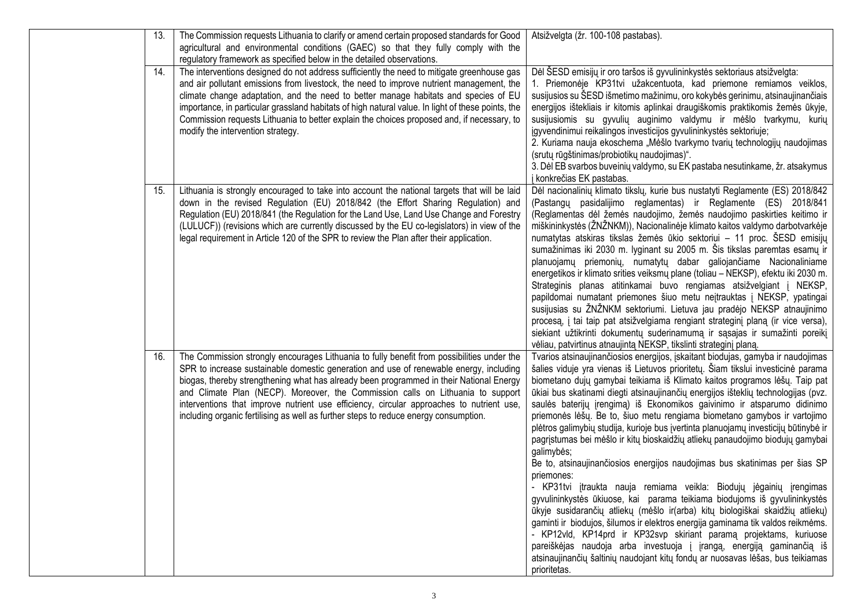| 13. | The Commission requests Lithuania to clarify or amend certain proposed standards for Good<br>agricultural and environmental conditions (GAEC) so that they fully comply with the                                                                                                                                                                                                                                                                                                                                                                       | Atsižvelgta (žr. 100-108 pastabas).                                                                                                                                                                                                                                                                                                                                                                                                                                                                                                                                                                                                                                                                                                                                                                                                                                                                                                                                                                                                                                                                                                                                                                                                                                                                                                                     |
|-----|--------------------------------------------------------------------------------------------------------------------------------------------------------------------------------------------------------------------------------------------------------------------------------------------------------------------------------------------------------------------------------------------------------------------------------------------------------------------------------------------------------------------------------------------------------|---------------------------------------------------------------------------------------------------------------------------------------------------------------------------------------------------------------------------------------------------------------------------------------------------------------------------------------------------------------------------------------------------------------------------------------------------------------------------------------------------------------------------------------------------------------------------------------------------------------------------------------------------------------------------------------------------------------------------------------------------------------------------------------------------------------------------------------------------------------------------------------------------------------------------------------------------------------------------------------------------------------------------------------------------------------------------------------------------------------------------------------------------------------------------------------------------------------------------------------------------------------------------------------------------------------------------------------------------------|
|     | regulatory framework as specified below in the detailed observations.                                                                                                                                                                                                                                                                                                                                                                                                                                                                                  |                                                                                                                                                                                                                                                                                                                                                                                                                                                                                                                                                                                                                                                                                                                                                                                                                                                                                                                                                                                                                                                                                                                                                                                                                                                                                                                                                         |
| 14. | The interventions designed do not address sufficiently the need to mitigate greenhouse gas<br>and air pollutant emissions from livestock, the need to improve nutrient management, the<br>climate change adaptation, and the need to better manage habitats and species of EU<br>importance, in particular grassland habitats of high natural value. In light of these points, the<br>Commission requests Lithuania to better explain the choices proposed and, if necessary, to<br>modify the intervention strategy.                                  | Dėl ŠESD emisijų ir oro taršos iš gyvulininkystės sektoriaus atsižvelgta:<br>1. Priemonėje KP31tvi užakcentuota, kad priemone remiamos veiklos,<br>susijusios su ŠESD išmetimo mažinimu, oro kokybės gerinimu, atsinaujinančiais<br>energijos ištekliais ir kitomis aplinkai draugiškomis praktikomis žemės ūkyje,<br>susijusiomis su gyvulių auginimo valdymu ir mėšlo tvarkymu, kurių<br>įgyvendinimui reikalingos investicijos gyvulininkystės sektoriuje;<br>2. Kuriama nauja ekoschema "Mėšlo tvarkymo tvarių technologijų naudojimas<br>(srutų rūgštinimas/probiotikų naudojimas)".<br>3. Dėl EB svarbos buveinių valdymo, su EK pastaba nesutinkame, žr. atsakymus<br>j konkrečias EK pastabas.                                                                                                                                                                                                                                                                                                                                                                                                                                                                                                                                                                                                                                                  |
| 15. | Lithuania is strongly encouraged to take into account the national targets that will be laid<br>down in the revised Regulation (EU) 2018/842 (the Effort Sharing Regulation) and<br>Regulation (EU) 2018/841 (the Regulation for the Land Use, Land Use Change and Forestry<br>(LULUCF)) (revisions which are currently discussed by the EU co-legislators) in view of the<br>legal requirement in Article 120 of the SPR to review the Plan after their application.                                                                                  | Dėl nacionalinių klimato tikslų, kurie bus nustatyti Reglamente (ES) 2018/842<br>(Pastangu pasidalijimo reglamentas) ir Reglamente (ES) 2018/841<br>(Reglamentas dėl žemės naudojimo, žemės naudojimo paskirties keitimo ir<br>miškininkystės (ŽNŽNKM)), Nacionalinėje klimato kaitos valdymo darbotvarkėje<br>numatytas atskiras tikslas žemės ūkio sektoriui – 11 proc. ŠESD emisijų<br>sumažinimas iki 2030 m. lyginant su 2005 m. Šis tikslas paremtas esamų ir<br>planuojamų priemonių, numatytų dabar galiojančiame Nacionaliniame<br>energetikos ir klimato srities veiksmų plane (toliau - NEKSP), efektu iki 2030 m.<br>Strateginis planas atitinkamai buvo rengiamas atsižvelgiant į NEKSP,<br>papildomai numatant priemones šiuo metu neįtrauktas į NEKSP, ypatingai<br>susijusias su ŽNŽNKM sektoriumi. Lietuva jau pradėjo NEKSP atnaujinimo<br>procesa, i tai taip pat atsižvelgiama rengiant strateginį planą (ir vice versa),<br>siekiant užtikrinti dokumentų suderinamumą ir sąsajas ir sumažinti poreikį<br>vėliau, patvirtinus atnaujintą NEKSP, tikslinti strateginį planą.                                                                                                                                                                                                                                                        |
| 16. | The Commission strongly encourages Lithuania to fully benefit from possibilities under the<br>SPR to increase sustainable domestic generation and use of renewable energy, including<br>biogas, thereby strengthening what has already been programmed in their National Energy<br>and Climate Plan (NECP). Moreover, the Commission calls on Lithuania to support<br>interventions that improve nutrient use efficiency, circular approaches to nutrient use,<br>including organic fertilising as well as further steps to reduce energy consumption. | Tvarios atsinaujinančiosios energijos, įskaitant biodujas, gamyba ir naudojimas<br>šalies viduje yra vienas iš Lietuvos prioritetų. Šiam tikslui investicinė parama<br>biometano dujų gamybai teikiama iš Klimato kaitos programos lėšų. Taip pat<br>ūkiai bus skatinami diegti atsinaujinančių energijos išteklių technologijas (pvz.<br>saulės baterijų įrengimą) iš Ekonomikos gaivinimo ir atsparumo didinimo<br>priemonės lėšų. Be to, šiuo metu rengiama biometano gamybos ir vartojimo<br>plėtros galimybių studija, kurioje bus įvertinta planuojamų investicijų būtinybė ir<br>pagrįstumas bei mėšlo ir kitų bioskaidžių atliekų panaudojimo biodujų gamybai<br>galimybės;<br>Be to, atsinaujinančiosios energijos naudojimas bus skatinimas per šias SP<br>priemones:<br>- KP31tvi įtraukta nauja remiama veikla: Biodujų jėgainių įrengimas<br>gyvulininkystės ūkiuose, kai parama teikiama biodujoms iš gyvulininkystės<br>ūkyje susidarančių atliekų (mėšlo ir(arba) kitų biologiškai skaidžių atliekų)<br>gaminti ir biodujos, šilumos ir elektros energija gaminama tik valdos reikmėms.<br>- KP12vld, KP14prd ir KP32svp skiriant paramą projektams, kuriuose<br>pareiškėjas naudoja arba investuoja į įrangą, energiją gaminančią iš<br>atsinaujinančių šaltinių naudojant kitų fondų ar nuosavas lėšas, bus teikiamas<br>prioritetas. |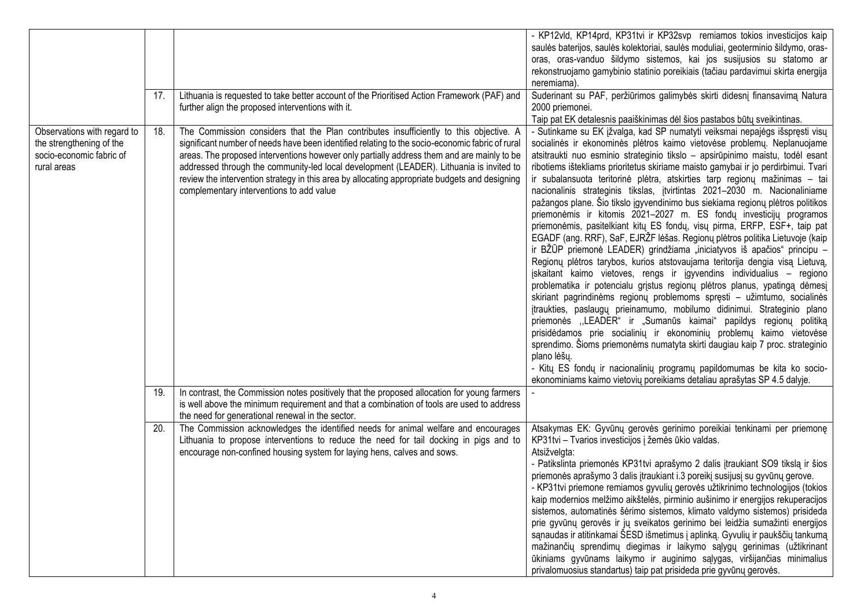|                                                                                                    | 17. | Lithuania is requested to take better account of the Prioritised Action Framework (PAF) and                                                                                                                                                                                                                                                                                                                                                                                                                                     | - KP12vld, KP14prd, KP31tvi ir KP32svp remiamos tokios investicijos kaip<br>saulės baterijos, saulės kolektoriai, saulės moduliai, geoterminio šildymo, oras-<br>oras, oras-vanduo šildymo sistemos, kai jos susijusios su statomo ar<br>rekonstruojamo gamybinio statinio poreikiais (tačiau pardavimui skirta energija<br>neremiama).<br>Suderinant su PAF, peržiūrimos galimybės skirti didesnį finansavimą Natura                                                                                                                                                                                                                                                                                                                                                                                                                                                                                                                                                                                                                                                                                                                                                                                                                                                                                                                                                                                                                                                                                                                                                                                                                                                                 |
|----------------------------------------------------------------------------------------------------|-----|---------------------------------------------------------------------------------------------------------------------------------------------------------------------------------------------------------------------------------------------------------------------------------------------------------------------------------------------------------------------------------------------------------------------------------------------------------------------------------------------------------------------------------|---------------------------------------------------------------------------------------------------------------------------------------------------------------------------------------------------------------------------------------------------------------------------------------------------------------------------------------------------------------------------------------------------------------------------------------------------------------------------------------------------------------------------------------------------------------------------------------------------------------------------------------------------------------------------------------------------------------------------------------------------------------------------------------------------------------------------------------------------------------------------------------------------------------------------------------------------------------------------------------------------------------------------------------------------------------------------------------------------------------------------------------------------------------------------------------------------------------------------------------------------------------------------------------------------------------------------------------------------------------------------------------------------------------------------------------------------------------------------------------------------------------------------------------------------------------------------------------------------------------------------------------------------------------------------------------|
|                                                                                                    |     | further align the proposed interventions with it.                                                                                                                                                                                                                                                                                                                                                                                                                                                                               | 2000 priemonei.<br>Taip pat EK detalesnis paaiškinimas dėl šios pastabos būtų sveikintinas.                                                                                                                                                                                                                                                                                                                                                                                                                                                                                                                                                                                                                                                                                                                                                                                                                                                                                                                                                                                                                                                                                                                                                                                                                                                                                                                                                                                                                                                                                                                                                                                           |
| Observations with regard to<br>the strengthening of the<br>socio-economic fabric of<br>rural areas | 18. | The Commission considers that the Plan contributes insufficiently to this objective. A<br>significant number of needs have been identified relating to the socio-economic fabric of rural<br>areas. The proposed interventions however only partially address them and are mainly to be<br>addressed through the community-led local development (LEADER). Lithuania is invited to<br>review the intervention strategy in this area by allocating appropriate budgets and designing<br>complementary interventions to add value | - Sutinkame su EK įžvalga, kad SP numatyti veiksmai nepajėgs išspręsti visų<br>socialinės ir ekonominės plėtros kaimo vietovėse problemų. Neplanuojame<br>atsitraukti nuo esminio strateginio tikslo - apsirūpinimo maistu, todėl esant<br>ribotiems ištekliams prioritetus skiriame maisto gamybai ir jo perdirbimui. Tvari<br>ir subalansuota teritorinė plėtra, atskirties tarp regionų mažinimas - tai<br>nacionalinis strateginis tikslas, įtvirtintas 2021–2030 m. Nacionaliniame<br>pažangos plane. Šio tikslo įgyvendinimo bus siekiama regionų plėtros politikos<br>priemonėmis ir kitomis 2021–2027 m. ES fondų investicijų programos<br>priemonėmis, pasitelkiant kitų ES fondų, visų pirma, ERFP, ESF+, taip pat<br>EGADF (ang. RRF), SaF, EJRŽF lėšas. Regionų plėtros politika Lietuvoje (kaip<br>ir BŽŪP priemonė LEADER) grindžiama "iniciatyvos iš apačios" principu –<br>Regionų plėtros tarybos, kurios atstovaujama teritorija dengia visą Lietuvą,<br>jskaitant kaimo vietoves, rengs ir įgyvendins individualius - regiono<br>problematika ir potencialu grįstus regionų plėtros planus, ypatingą dėmesį<br>skiriant pagrindinėms regionų problemoms spręsti - užimtumo, socialinės<br>įtraukties, paslaugų prieinamumo, mobilumo didinimui. Strateginio plano<br>priemonės "LEADER" ir "Sumanūs kaimai" papildys regionų politiką<br>prisidėdamos prie socialinių ir ekonominių problemų kaimo vietovėse<br>sprendimo. Šioms priemonėms numatyta skirti daugiau kaip 7 proc. strateginio<br>plano lėšų.<br>- Kitų ES fondų ir nacionalinių programų papildomumas be kita ko socio-<br>ekonominiams kaimo vietovių poreikiams detaliau aprašytas SP 4.5 dalyje. |
|                                                                                                    | 19. | In contrast, the Commission notes positively that the proposed allocation for young farmers<br>is well above the minimum requirement and that a combination of tools are used to address<br>the need for generational renewal in the sector.                                                                                                                                                                                                                                                                                    |                                                                                                                                                                                                                                                                                                                                                                                                                                                                                                                                                                                                                                                                                                                                                                                                                                                                                                                                                                                                                                                                                                                                                                                                                                                                                                                                                                                                                                                                                                                                                                                                                                                                                       |
|                                                                                                    | 20. | The Commission acknowledges the identified needs for animal welfare and encourages<br>Lithuania to propose interventions to reduce the need for tail docking in pigs and to<br>encourage non-confined housing system for laying hens, calves and sows.                                                                                                                                                                                                                                                                          | Atsakymas EK: Gyvūnų gerovės gerinimo poreikiai tenkinami per priemonę<br>KP31tvi - Tvarios investicijos į žemės ūkio valdas.<br>Atsižvelgta:<br>- Patikslinta priemonės KP31tvi aprašymo 2 dalis įtraukiant SO9 tikslą ir šios<br>priemonės aprašymo 3 dalis įtraukiant i.3 poreikį susijusį su gyvūnų gerove.<br>- KP31tvi priemone remiamos gyvulių gerovės užtikrinimo technologijos (tokios<br>kaip modernios melžimo aikštelės, pirminio aušinimo ir energijos rekuperacijos<br>sistemos, automatinės šėrimo sistemos, klimato valdymo sistemos) prisideda<br>prie gyvūnų gerovės ir jų sveikatos gerinimo bei leidžia sumažinti energijos<br>sanaudas ir atitinkamai ŠESD išmetimus į aplinką. Gyvulių ir paukščių tankumą<br>mažinančių sprendimų diegimas ir laikymo sąlygų gerinimas (užtikrinant<br>ūkiniams gyvūnams laikymo ir auginimo sąlygas, viršijančias minimalius<br>privalomuosius standartus) taip pat prisideda prie gyvūnų gerovės.                                                                                                                                                                                                                                                                                                                                                                                                                                                                                                                                                                                                                                                                                                                           |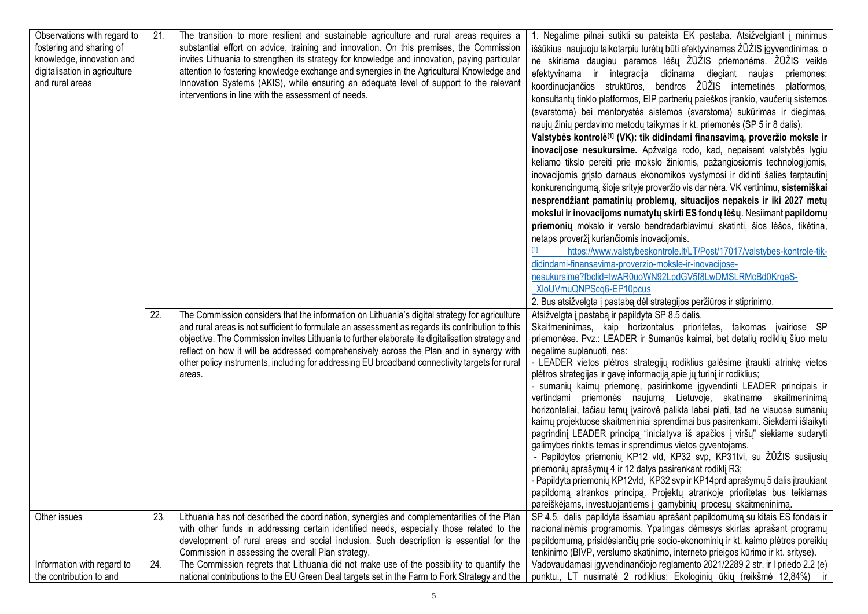| Observations with regard to<br>fostering and sharing of<br>knowledge, innovation and<br>digitalisation in agriculture<br>and rural areas | 21. | The transition to more resilient and sustainable agriculture and rural areas requires a<br>substantial effort on advice, training and innovation. On this premises, the Commission<br>invites Lithuania to strengthen its strategy for knowledge and innovation, paying particular<br>attention to fostering knowledge exchange and synergies in the Agricultural Knowledge and<br>Innovation Systems (AKIS), while ensuring an adequate level of support to the relevant<br>interventions in line with the assessment of needs. | 1. Negalime pilnai sutikti su pateikta EK pastaba. Atsižvelgiant į minimus<br>iššūkius naujuoju laikotarpiu turėtų būti efektyvinamas ŽŪŽIS įgyvendinimas, o<br>ne skiriama daugiau paramos lėšų ŽŪŽIS priemonėms. ŽŪŽIS veikla<br>efektyvinama ir integracija didinama diegiant naujas<br>priemones:<br>koordinuojančios struktūros, bendros ŽŪŽIS internetinės platformos,<br>konsultantų tinklo platformos, EIP partnerių paieškos įrankio, vaučerių sistemos<br>(svarstoma) bei mentorystės sistemos (svarstoma) sukūrimas ir diegimas,<br>naujų žinių perdavimo metodų taikymas ir kt. priemonės (SP 5 ir 8 dalis).<br>Valstybės kontrolė <sup>11</sup> (VK): tik didindami finansavimą, proveržio moksle ir<br>inovacijose nesukursime. Apžvalga rodo, kad, nepaisant valstybės lygiu<br>keliamo tikslo pereiti prie mokslo žiniomis, pažangiosiomis technologijomis,<br>inovacijomis grįsto darnaus ekonomikos vystymosi ir didinti šalies tarptautinį<br>konkurencingumą, šioje srityje proveržio vis dar nėra. VK vertinimu, sistemiškai<br>nesprendžiant pamatinių problemų, situacijos nepakeis ir iki 2027 metų<br>mokslui ir inovacijoms numatytų skirti ES fondų lėšų. Nesiimant papildomų<br>priemonių mokslo ir verslo bendradarbiavimui skatinti, šios lėšos, tikėtina,<br>netaps proveržį kuriančiomis inovacijomis.<br>https://www.valstybeskontrole.lt/LT/Post/17017/valstybes-kontrole-tik-<br>didindami-finansavima-proverzio-moksle-ir-inovacijose-<br>nesukursime?fbclid=IwAR0uoWN92LpdGV5f8LwDMSLRMcBd0KrqeS-<br>XloUVmuQNPScq6-EP10pcus<br>2. Bus atsižvelgta į pastabą dėl strategijos peržiūros ir stiprinimo. |
|------------------------------------------------------------------------------------------------------------------------------------------|-----|----------------------------------------------------------------------------------------------------------------------------------------------------------------------------------------------------------------------------------------------------------------------------------------------------------------------------------------------------------------------------------------------------------------------------------------------------------------------------------------------------------------------------------|--------------------------------------------------------------------------------------------------------------------------------------------------------------------------------------------------------------------------------------------------------------------------------------------------------------------------------------------------------------------------------------------------------------------------------------------------------------------------------------------------------------------------------------------------------------------------------------------------------------------------------------------------------------------------------------------------------------------------------------------------------------------------------------------------------------------------------------------------------------------------------------------------------------------------------------------------------------------------------------------------------------------------------------------------------------------------------------------------------------------------------------------------------------------------------------------------------------------------------------------------------------------------------------------------------------------------------------------------------------------------------------------------------------------------------------------------------------------------------------------------------------------------------------------------------------------------------------------------------------------------------------------|
|                                                                                                                                          | 22. | The Commission considers that the information on Lithuania's digital strategy for agriculture<br>and rural areas is not sufficient to formulate an assessment as regards its contribution to this<br>objective. The Commission invites Lithuania to further elaborate its digitalisation strategy and<br>reflect on how it will be addressed comprehensively across the Plan and in synergy with<br>other policy instruments, including for addressing EU broadband connectivity targets for rural<br>areas.                     | Atsižvelgta į pastabą ir papildyta SP 8.5 dalis.<br>Skaitmeninimas, kaip horizontalus prioritetas, taikomas įvairiose SP<br>priemonėse. Pvz.: LEADER ir Sumanūs kaimai, bet detalių rodiklių šiuo metu<br>negalime suplanuoti, nes:<br>- LEADER vietos plėtros strategijų rodiklius galėsime įtraukti atrinkę vietos<br>plėtros strategijas ir gavę informaciją apie jų turinį ir rodiklius;<br>- sumanių kaimų priemonę, pasirinkome įgyvendinti LEADER principais ir<br>vertindami priemonės naujumą Lietuvoje, skatiname skaitmeninimą<br>horizontaliai, tačiau temų įvairovė palikta labai plati, tad ne visuose sumanių<br>kaimų projektuose skaitmeniniai sprendimai bus pasirenkami. Siekdami išlaikyti<br>pagrindinį LEADER principą "iniciatyva iš apačios į viršų" siekiame sudaryti<br>galimybes rinktis temas ir sprendimus vietos gyventojams.<br>- Papildytos priemonių KP12 vld, KP32 svp, KP31tvi, su ŽŪŽIS susijusių<br>priemonių aprašymų 4 ir 12 dalys pasirenkant rodiklį R3;<br>- Papildyta priemonių KP12vld, KP32 svp ir KP14prd aprašymų 5 dalis įtraukiant<br>papildomą atrankos principą. Projektų atrankoje prioritetas bus teikiamas<br>pareiškėjams, investuojantiems į gamybinių procesų skaitmeninimą.                                                                                                                                                                                                                                                                                                                                                                                                      |
| Other issues                                                                                                                             | 23. | Lithuania has not described the coordination, synergies and complementarities of the Plan<br>with other funds in addressing certain identified needs, especially those related to the<br>development of rural areas and social inclusion. Such description is essential for the<br>Commission in assessing the overall Plan strategy.                                                                                                                                                                                            | SP 4.5. dalis papildyta išsamiau aprašant papildomumą su kitais ES fondais ir<br>nacionalinėmis programomis. Ypatingas dėmesys skirtas aprašant programų<br>papildomumą, prisidėsiančių prie socio-ekonominių ir kt. kaimo plėtros poreikių<br>tenkinimo (BIVP, verslumo skatinimo, interneto prieigos kūrimo ir kt. srityse).                                                                                                                                                                                                                                                                                                                                                                                                                                                                                                                                                                                                                                                                                                                                                                                                                                                                                                                                                                                                                                                                                                                                                                                                                                                                                                             |
| Information with regard to                                                                                                               | 24. | The Commission regrets that Lithuania did not make use of the possibility to quantify the                                                                                                                                                                                                                                                                                                                                                                                                                                        | Vadovaudamasi įgyvendinančiojo reglamento 2021/2289 2 str. ir I priedo 2.2 (e)                                                                                                                                                                                                                                                                                                                                                                                                                                                                                                                                                                                                                                                                                                                                                                                                                                                                                                                                                                                                                                                                                                                                                                                                                                                                                                                                                                                                                                                                                                                                                             |
| the contribution to and                                                                                                                  |     | national contributions to the EU Green Deal targets set in the Farm to Fork Strategy and the                                                                                                                                                                                                                                                                                                                                                                                                                                     | punktu., LT nusimatė 2 rodiklius: Ekologinių ūkių (reikšmė 12,84%) ir                                                                                                                                                                                                                                                                                                                                                                                                                                                                                                                                                                                                                                                                                                                                                                                                                                                                                                                                                                                                                                                                                                                                                                                                                                                                                                                                                                                                                                                                                                                                                                      |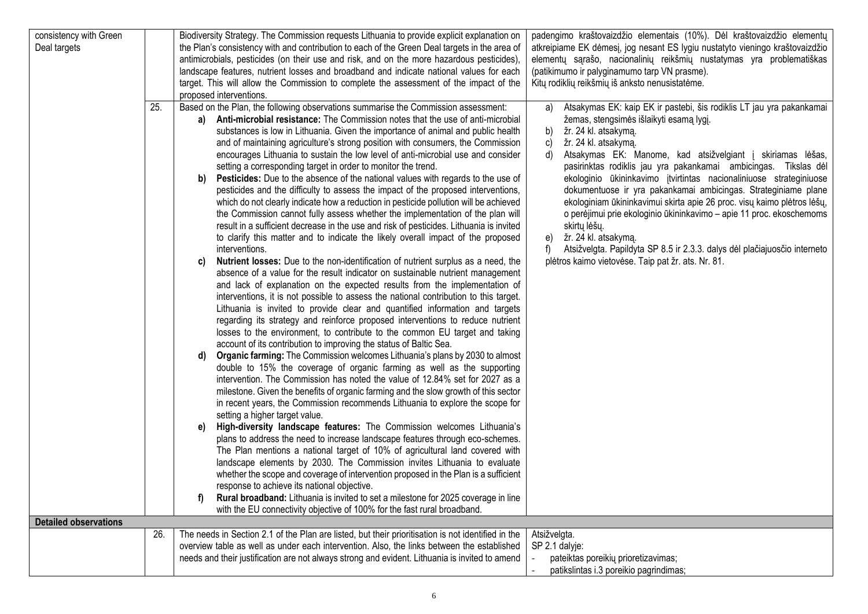| consistency with Green       |     | Biodiversity Strategy. The Commission requests Lithuania to provide explicit explanation on        | padengimo kraštovaizdžio elementais (10%). Dėl kraštovaizdžio elementų          |
|------------------------------|-----|----------------------------------------------------------------------------------------------------|---------------------------------------------------------------------------------|
| Deal targets                 |     | the Plan's consistency with and contribution to each of the Green Deal targets in the area of      | atkreipiame EK dėmesį, jog nesant ES lygiu nustatyto vieningo kraštovaizdžio    |
|                              |     | antimicrobials, pesticides (on their use and risk, and on the more hazardous pesticides),          | elementų sąrašo, nacionalinių reikšmių nustatymas yra problematiškas            |
|                              |     | landscape features, nutrient losses and broadband and indicate national values for each            | (patikimumo ir palyginamumo tarp VN prasme).                                    |
|                              |     | target. This will allow the Commission to complete the assessment of the impact of the             | Kitų rodiklių reikšmių iš anksto nenusistatėme.                                 |
|                              |     | proposed interventions.                                                                            |                                                                                 |
|                              | 25. | Based on the Plan, the following observations summarise the Commission assessment:                 | Atsakymas EK: kaip EK ir pastebi, šis rodiklis LT jau yra pakankamai<br>a)      |
|                              |     | a) Anti-microbial resistance: The Commission notes that the use of anti-microbial                  | žemas, stengsimės išlaikyti esamą lygį.                                         |
|                              |     | substances is low in Lithuania. Given the importance of animal and public health                   | žr. 24 kl. atsakymą.<br>b)                                                      |
|                              |     | and of maintaining agriculture's strong position with consumers, the Commission                    | žr. 24 kl. atsakymą.<br>C)                                                      |
|                              |     | encourages Lithuania to sustain the low level of anti-microbial use and consider                   | Atsakymas EK: Manome, kad atsižvelgiant į skiriamas lėšas,<br>d)                |
|                              |     | setting a corresponding target in order to monitor the trend.                                      | pasirinktas rodiklis jau yra pakankamai ambicingas. Tikslas dėl                 |
|                              |     | Pesticides: Due to the absence of the national values with regards to the use of<br>b)             | ekologinio ūkininkavimo įtvirtintas nacionaliniuose strateginiuose              |
|                              |     | pesticides and the difficulty to assess the impact of the proposed interventions,                  | dokumentuose ir yra pakankamai ambicingas. Strateginiame plane                  |
|                              |     | which do not clearly indicate how a reduction in pesticide pollution will be achieved              | ekologiniam ūkininkavimui skirta apie 26 proc. visų kaimo plėtros lėšų,         |
|                              |     | the Commission cannot fully assess whether the implementation of the plan will                     | o perėjimui prie ekologinio ūkininkavimo - apie 11 proc. ekoschemoms            |
|                              |     | result in a sufficient decrease in the use and risk of pesticides. Lithuania is invited            | skirtų lėšų.                                                                    |
|                              |     | to clarify this matter and to indicate the likely overall impact of the proposed                   | žr. 24 kl. atsakymą.<br>e)                                                      |
|                              |     | interventions.                                                                                     | f)<br>Atsižvelgta. Papildyta SP 8.5 ir 2.3.3. dalys dėl plačiajuosčio interneto |
|                              |     | Nutrient losses: Due to the non-identification of nutrient surplus as a need, the<br>C)            | plėtros kaimo vietovėse. Taip pat žr. ats. Nr. 81.                              |
|                              |     | absence of a value for the result indicator on sustainable nutrient management                     |                                                                                 |
|                              |     | and lack of explanation on the expected results from the implementation of                         |                                                                                 |
|                              |     | interventions, it is not possible to assess the national contribution to this target.              |                                                                                 |
|                              |     |                                                                                                    |                                                                                 |
|                              |     | Lithuania is invited to provide clear and quantified information and targets                       |                                                                                 |
|                              |     | regarding its strategy and reinforce proposed interventions to reduce nutrient                     |                                                                                 |
|                              |     | losses to the environment, to contribute to the common EU target and taking                        |                                                                                 |
|                              |     | account of its contribution to improving the status of Baltic Sea.                                 |                                                                                 |
|                              |     | Organic farming: The Commission welcomes Lithuania's plans by 2030 to almost                       |                                                                                 |
|                              |     | double to 15% the coverage of organic farming as well as the supporting                            |                                                                                 |
|                              |     | intervention. The Commission has noted the value of 12.84% set for 2027 as a                       |                                                                                 |
|                              |     | milestone. Given the benefits of organic farming and the slow growth of this sector                |                                                                                 |
|                              |     | in recent years, the Commission recommends Lithuania to explore the scope for                      |                                                                                 |
|                              |     | setting a higher target value.                                                                     |                                                                                 |
|                              |     | High-diversity landscape features: The Commission welcomes Lithuania's<br>e)                       |                                                                                 |
|                              |     | plans to address the need to increase landscape features through eco-schemes.                      |                                                                                 |
|                              |     | The Plan mentions a national target of 10% of agricultural land covered with                       |                                                                                 |
|                              |     | landscape elements by 2030. The Commission invites Lithuania to evaluate                           |                                                                                 |
|                              |     | whether the scope and coverage of intervention proposed in the Plan is a sufficient                |                                                                                 |
|                              |     | response to achieve its national objective.                                                        |                                                                                 |
|                              |     | Rural broadband: Lithuania is invited to set a milestone for 2025 coverage in line                 |                                                                                 |
|                              |     | with the EU connectivity objective of 100% for the fast rural broadband.                           |                                                                                 |
| <b>Detailed observations</b> |     |                                                                                                    |                                                                                 |
|                              | 26. | The needs in Section 2.1 of the Plan are listed, but their prioritisation is not identified in the | Atsižvelgta.                                                                    |
|                              |     | overview table as well as under each intervention. Also, the links between the established         | SP 2.1 dalyje:                                                                  |
|                              |     | needs and their justification are not always strong and evident. Lithuania is invited to amend     | pateiktas poreikių prioretizavimas;                                             |
|                              |     |                                                                                                    | patikslintas i.3 poreikio pagrindimas;                                          |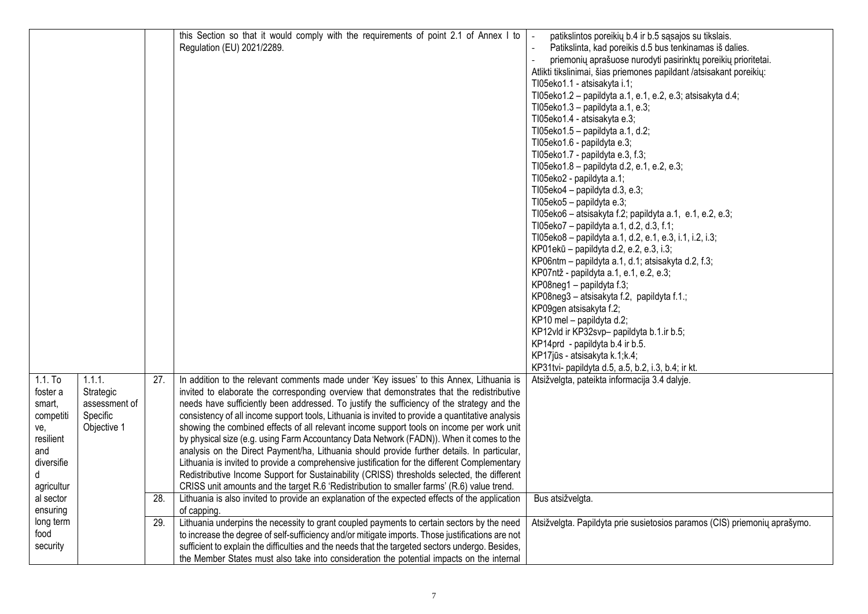|            |               |     | this Section so that it would comply with the requirements of point 2.1 of Annex I to            | patikslintos poreikių b.4 ir b.5 sąsajos su tikslais.                     |
|------------|---------------|-----|--------------------------------------------------------------------------------------------------|---------------------------------------------------------------------------|
|            |               |     | Regulation (EU) 2021/2289.                                                                       | Patikslinta, kad poreikis d.5 bus tenkinamas iš dalies.                   |
|            |               |     |                                                                                                  | priemonių aprašuose nurodyti pasirinktų poreikių prioritetai.             |
|            |               |     |                                                                                                  | Atlikti tikslinimai, šias priemones papildant /atsisakant poreikių:       |
|            |               |     |                                                                                                  | TI05eko1.1 - atsisakyta i.1;                                              |
|            |               |     |                                                                                                  | TI05eko1.2 - papildyta a.1, e.1, e.2, e.3; atsisakyta d.4;                |
|            |               |     |                                                                                                  | TI05eko1.3 - papildyta a.1, e.3;                                          |
|            |               |     |                                                                                                  | TI05eko1.4 - atsisakyta e.3;                                              |
|            |               |     |                                                                                                  | TI05eko1.5 - papildyta a.1, d.2;                                          |
|            |               |     |                                                                                                  | TI05eko1.6 - papildyta e.3;                                               |
|            |               |     |                                                                                                  | TI05eko1.7 - papildyta e.3, f.3;                                          |
|            |               |     |                                                                                                  | TI05eko1.8 - papildyta d.2, e.1, e.2, e.3;                                |
|            |               |     |                                                                                                  | TI05eko2 - papildyta a.1;                                                 |
|            |               |     |                                                                                                  | TI05eko4 - papildyta d.3, e.3;                                            |
|            |               |     |                                                                                                  | TI05eko5 - papildyta e.3;                                                 |
|            |               |     |                                                                                                  | TI05eko6 - atsisakyta f.2; papildyta a.1, e.1, e.2, e.3;                  |
|            |               |     |                                                                                                  | TI05eko7 - papildyta a.1, d.2, d.3, f.1;                                  |
|            |               |     |                                                                                                  | TI05eko8 - papildyta a.1, d.2, e.1, e.3, i.1, i.2, i.3;                   |
|            |               |     |                                                                                                  | KP01ekū - papildyta d.2, e.2, e.3, i.3;                                   |
|            |               |     |                                                                                                  |                                                                           |
|            |               |     |                                                                                                  | KP06ntm - papildyta a.1, d.1; atsisakyta d.2, f.3;                        |
|            |               |     |                                                                                                  | KP07ntž - papildyta a.1, e.1, e.2, e.3;                                   |
|            |               |     |                                                                                                  | KP08neg1 - papildyta f.3;                                                 |
|            |               |     |                                                                                                  | KP08neg3 - atsisakyta f.2, papildyta f.1.;                                |
|            |               |     |                                                                                                  | KP09gen atsisakyta f.2;                                                   |
|            |               |     |                                                                                                  | KP10 mel - papildyta d.2;                                                 |
|            |               |     |                                                                                                  | KP12vld ir KP32svp- papildyta b.1.ir b.5;                                 |
|            |               |     |                                                                                                  | KP14prd - papildyta b.4 ir b.5.                                           |
|            |               |     |                                                                                                  | KP17jūs - atsisakyta k.1;k.4;                                             |
|            |               |     |                                                                                                  | KP31tvi- papildyta d.5, a.5, b.2, i.3, b.4; ir kt.                        |
| $1.1.$ To  | 1.1.1.        | 27. | In addition to the relevant comments made under 'Key issues' to this Annex, Lithuania is         | Atsižvelgta, pateikta informacija 3.4 dalyje.                             |
| foster a   | Strategic     |     | invited to elaborate the corresponding overview that demonstrates that the redistributive        |                                                                           |
| smart,     | assessment of |     | needs have sufficiently been addressed. To justify the sufficiency of the strategy and the       |                                                                           |
| competiti  | Specific      |     | consistency of all income support tools, Lithuania is invited to provide a quantitative analysis |                                                                           |
| ve,        | Objective 1   |     | showing the combined effects of all relevant income support tools on income per work unit        |                                                                           |
| resilient  |               |     | by physical size (e.g. using Farm Accountancy Data Network (FADN)). When it comes to the         |                                                                           |
| and        |               |     | analysis on the Direct Payment/ha, Lithuania should provide further details. In particular,      |                                                                           |
| diversifie |               |     | Lithuania is invited to provide a comprehensive justification for the different Complementary    |                                                                           |
| d          |               |     | Redistributive Income Support for Sustainability (CRISS) thresholds selected, the different      |                                                                           |
| agricultur |               |     | CRISS unit amounts and the target R.6 'Redistribution to smaller farms' (R.6) value trend.       |                                                                           |
| al sector  |               | 28. | Lithuania is also invited to provide an explanation of the expected effects of the application   | Bus atsižvelgta.                                                          |
| ensuring   |               |     | of capping.                                                                                      |                                                                           |
| long term  |               | 29. | Lithuania underpins the necessity to grant coupled payments to certain sectors by the need       | Atsižvelgta. Papildyta prie susietosios paramos (CIS) priemonių aprašymo. |
| food       |               |     | to increase the degree of self-sufficiency and/or mitigate imports. Those justifications are not |                                                                           |
| security   |               |     | sufficient to explain the difficulties and the needs that the targeted sectors undergo. Besides, |                                                                           |
|            |               |     | the Member States must also take into consideration the potential impacts on the internal        |                                                                           |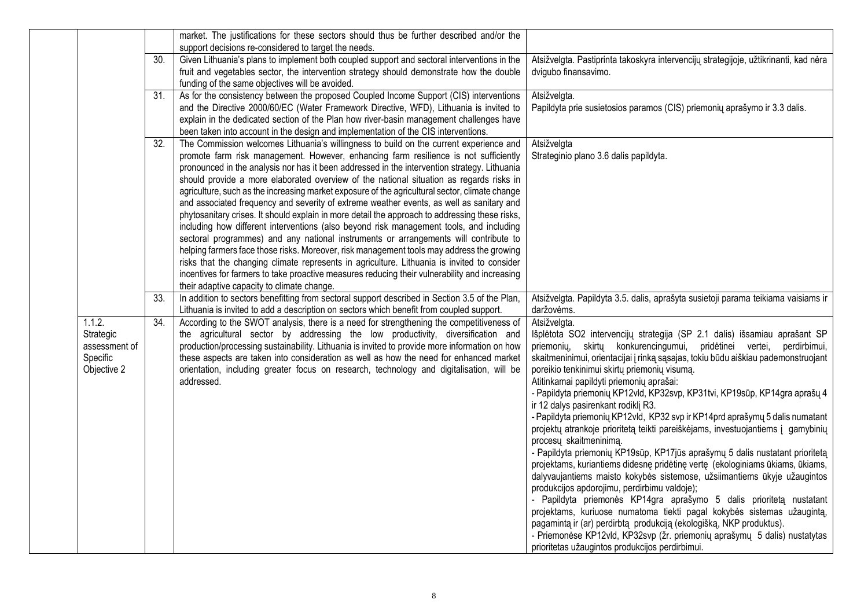|               |                   | market. The justifications for these sectors should thus be further described and/or the                                                                                                   |                                                                                                                                                               |
|---------------|-------------------|--------------------------------------------------------------------------------------------------------------------------------------------------------------------------------------------|---------------------------------------------------------------------------------------------------------------------------------------------------------------|
|               |                   | support decisions re-considered to target the needs.                                                                                                                                       |                                                                                                                                                               |
|               | 30.               | Given Lithuania's plans to implement both coupled support and sectoral interventions in the                                                                                                | Atsižvelgta. Pastiprinta takoskyra intervencijų strategijoje, užtikrinanti, kad nėra                                                                          |
|               |                   | fruit and vegetables sector, the intervention strategy should demonstrate how the double                                                                                                   | dvigubo finansavimo.                                                                                                                                          |
|               |                   | funding of the same objectives will be avoided.                                                                                                                                            |                                                                                                                                                               |
|               | 31.               | As for the consistency between the proposed Coupled Income Support (CIS) interventions                                                                                                     | Atsižvelgta.                                                                                                                                                  |
|               |                   | and the Directive 2000/60/EC (Water Framework Directive, WFD), Lithuania is invited to                                                                                                     | Papildyta prie susietosios paramos (CIS) priemonių aprašymo ir 3.3 dalis.                                                                                     |
|               |                   | explain in the dedicated section of the Plan how river-basin management challenges have                                                                                                    |                                                                                                                                                               |
|               | 32.               | been taken into account in the design and implementation of the CIS interventions.<br>The Commission welcomes Lithuania's willingness to build on the current experience and               | Atsižvelgta                                                                                                                                                   |
|               |                   | promote farm risk management. However, enhancing farm resilience is not sufficiently                                                                                                       | Strateginio plano 3.6 dalis papildyta.                                                                                                                        |
|               |                   | pronounced in the analysis nor has it been addressed in the intervention strategy. Lithuania                                                                                               |                                                                                                                                                               |
|               |                   | should provide a more elaborated overview of the national situation as regards risks in                                                                                                    |                                                                                                                                                               |
|               |                   | agriculture, such as the increasing market exposure of the agricultural sector, climate change                                                                                             |                                                                                                                                                               |
|               |                   | and associated frequency and severity of extreme weather events, as well as sanitary and                                                                                                   |                                                                                                                                                               |
|               |                   | phytosanitary crises. It should explain in more detail the approach to addressing these risks,                                                                                             |                                                                                                                                                               |
|               |                   | including how different interventions (also beyond risk management tools, and including                                                                                                    |                                                                                                                                                               |
|               |                   | sectoral programmes) and any national instruments or arrangements will contribute to                                                                                                       |                                                                                                                                                               |
|               |                   | helping farmers face those risks. Moreover, risk management tools may address the growing                                                                                                  |                                                                                                                                                               |
|               |                   | risks that the changing climate represents in agriculture. Lithuania is invited to consider                                                                                                |                                                                                                                                                               |
|               |                   | incentives for farmers to take proactive measures reducing their vulnerability and increasing                                                                                              |                                                                                                                                                               |
|               |                   | their adaptive capacity to climate change.                                                                                                                                                 |                                                                                                                                                               |
|               | 33.               | In addition to sectors benefitting from sectoral support described in Section 3.5 of the Plan,<br>Lithuania is invited to add a description on sectors which benefit from coupled support. | Atsižvelgta. Papildyta 3.5. dalis, aprašyta susietoji parama teikiama vaisiams ir<br>daržovėms.                                                               |
| 1.1.2.        | $\overline{34}$ . | According to the SWOT analysis, there is a need for strengthening the competitiveness of                                                                                                   | Atsižvelgta.                                                                                                                                                  |
| Strategic     |                   | the agricultural sector by addressing the low productivity, diversification and                                                                                                            | Išplėtota SO2 intervencijų strategija (SP 2.1 dalis) išsamiau aprašant SP                                                                                     |
| assessment of |                   | production/processing sustainability. Lithuania is invited to provide more information on how                                                                                              | priemonių, skirtų konkurencingumui, pridėtinei vertei,<br>perdirbimui,                                                                                        |
| Specific      |                   | these aspects are taken into consideration as well as how the need for enhanced market                                                                                                     | skaitmeninimui, orientacijai į rinką sąsajas, tokiu būdu aiškiau pademonstruojant                                                                             |
| Objective 2   |                   | orientation, including greater focus on research, technology and digitalisation, will be                                                                                                   | poreikio tenkinimui skirtų priemonių visumą.                                                                                                                  |
|               |                   | addressed.                                                                                                                                                                                 | Atitinkamai papildyti priemonių aprašai:                                                                                                                      |
|               |                   |                                                                                                                                                                                            | - Papildyta priemonių KP12vld, KP32svp, KP31tvi, KP19sūp, KP14gra aprašų 4                                                                                    |
|               |                   |                                                                                                                                                                                            | ir 12 dalys pasirenkant rodiklį R3.                                                                                                                           |
|               |                   |                                                                                                                                                                                            | - Papildyta priemonių KP12vld, KP32 svp ir KP14 prd aprašymų 5 dalis numatant                                                                                 |
|               |                   |                                                                                                                                                                                            | projektų atrankoje prioritetą teikti pareiškėjams, investuojantiems į gamybinių                                                                               |
|               |                   |                                                                                                                                                                                            | procesų skaitmeninimą.                                                                                                                                        |
|               |                   |                                                                                                                                                                                            | - Papildyta priemonių KP19sūp, KP17jūs aprašymų 5 dalis nustatant prioritetą<br>projektams, kuriantiems didesnę pridėtinę vertę (ekologiniams ūkiams, ūkiams, |
|               |                   |                                                                                                                                                                                            | dalyvaujantiems maisto kokybės sistemose, užsiimantiems ūkyje užaugintos                                                                                      |
|               |                   |                                                                                                                                                                                            | produkcijos apdorojimu, perdirbimu valdoje);                                                                                                                  |
|               |                   |                                                                                                                                                                                            | - Papildyta priemonės KP14gra aprašymo 5 dalis prioritetą nustatant                                                                                           |
|               |                   |                                                                                                                                                                                            | projektams, kuriuose numatoma tiekti pagal kokybės sistemas užaugintą,                                                                                        |
|               |                   |                                                                                                                                                                                            | pagamintą ir (ar) perdirbtą produkciją (ekologišką, NKP produktus).                                                                                           |
|               |                   |                                                                                                                                                                                            | - Priemonėse KP12vld, KP32svp (žr. priemonių aprašymų 5 dalis) nustatytas                                                                                     |
|               |                   |                                                                                                                                                                                            | prioritetas užaugintos produkcijos perdirbimui.                                                                                                               |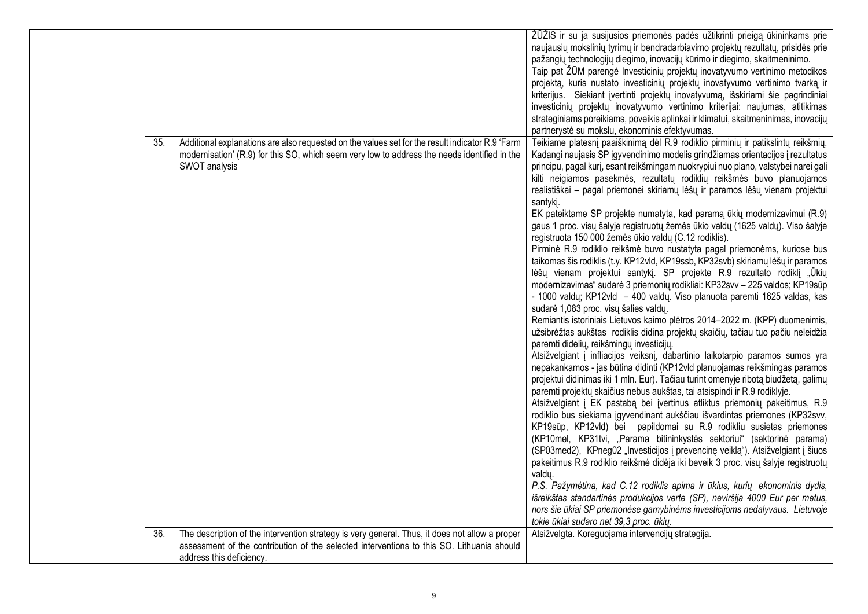|            |                                                                                                                                                                                                                         | ŽŪŽIS ir su ja susijusios priemonės padės užtikrinti prieigą ūkininkams prie<br>naujausių mokslinių tyrimų ir bendradarbiavimo projektų rezultatų, prisidės prie<br>pažangių technologijų diegimo, inovacijų kūrimo ir diegimo, skaitmeninimo.<br>Taip pat ŽŪM parengė Investicinių projektų inovatyvumo vertinimo metodikos<br>projektą, kuris nustato investicinių projektų inovatyvumo vertinimo tvarką ir<br>kriterijus. Siekiant įvertinti projektų inovatyvumą, išskiriami šie pagrindiniai<br>investicinių projektų inovatyvumo vertinimo kriterijai: naujumas, atitikimas<br>strateginiams poreikiams, poveikis aplinkai ir klimatui, skaitmeninimas, inovacijų<br>partnerystė su mokslu, ekonominis efektyvumas.                                                                                                                                                                                                                                                                                                                                                                                                                                                                                                                                                                                                                                                                                                                                                                                                                                                                                                                                                                                                                                                                                                                                                                                                                                                                                                                                                                                                                                                                                                                                                                                                                                                                                                                        |
|------------|-------------------------------------------------------------------------------------------------------------------------------------------------------------------------------------------------------------------------|--------------------------------------------------------------------------------------------------------------------------------------------------------------------------------------------------------------------------------------------------------------------------------------------------------------------------------------------------------------------------------------------------------------------------------------------------------------------------------------------------------------------------------------------------------------------------------------------------------------------------------------------------------------------------------------------------------------------------------------------------------------------------------------------------------------------------------------------------------------------------------------------------------------------------------------------------------------------------------------------------------------------------------------------------------------------------------------------------------------------------------------------------------------------------------------------------------------------------------------------------------------------------------------------------------------------------------------------------------------------------------------------------------------------------------------------------------------------------------------------------------------------------------------------------------------------------------------------------------------------------------------------------------------------------------------------------------------------------------------------------------------------------------------------------------------------------------------------------------------------------------------------------------------------------------------------------------------------------------------------------------------------------------------------------------------------------------------------------------------------------------------------------------------------------------------------------------------------------------------------------------------------------------------------------------------------------------------------------------------------------------------------------------------------------------------------------|
| 35.<br>36. | Additional explanations are also requested on the values set for the result indicator R.9 'Farm<br>modernisation' (R.9) for this SO, which seem very low to address the needs identified in the<br>SWOT analysis        | Teikiame platesnį paaiškinimą dėl R.9 rodiklio pirminių ir patikslintų reikšmių.<br>Kadangi naujasis SP įgyvendinimo modelis grindžiamas orientacijos į rezultatus<br>principu, pagal kurį, esant reikšmingam nuokrypiui nuo plano, valstybei narei gali<br>kilti neigiamos pasekmės, rezultatų rodiklių reikšmės buvo planuojamos<br>realistiškai - pagal priemonei skiriamų lėšų ir paramos lėšų vienam projektui<br>santyki.<br>EK pateiktame SP projekte numatyta, kad paramą ūkių modernizavimui (R.9)<br>gaus 1 proc. visų šalyje registruotų žemės ūkio valdų (1625 valdų). Viso šalyje<br>registruota 150 000 žemės ūkio valdų (C.12 rodiklis).<br>Pirminė R.9 rodiklio reikšmė buvo nustatyta pagal priemonėms, kuriose bus<br>taikomas šis rodiklis (t.y. KP12vld, KP19ssb, KP32svb) skiriamų lėšų ir paramos<br>lėšų vienam projektui santykį. SP projekte R.9 rezultato rodiklį "Ūkių<br>modernizavimas" sudarė 3 priemonių rodikliai: KP32svv - 225 valdos; KP19sūp<br>- 1000 valdų; KP12vld - 400 valdų. Viso planuota paremti 1625 valdas, kas<br>sudarė 1,083 proc. visų šalies valdų.<br>Remiantis istoriniais Lietuvos kaimo plėtros 2014–2022 m. (KPP) duomenimis,<br>užsibrėžtas aukštas rodiklis didina projektų skaičių, tačiau tuo pačiu neleidžia<br>paremti didelių, reikšmingų investicijų.<br>Atsižvelgiant į infliacijos veiksnį, dabartinio laikotarpio paramos sumos yra<br>nepakankamos - jas būtina didinti (KP12vld planuojamas reikšmingas paramos<br>projektui didinimas iki 1 mln. Eur). Tačiau turint omenyje ribotą biudžetą, galimų<br>paremti projektų skaičius nebus aukštas, tai atsispindi ir R.9 rodiklyje.<br>Atsižvelgiant į EK pastabą bei įvertinus atliktus priemonių pakeitimus, R.9<br>rodiklio bus siekiama įgyvendinant aukščiau išvardintas priemones (KP32svv,<br>KP19sūp, KP12vld) bei papildomai su R.9 rodikliu susietas priemones<br>(KP10mel, KP31tvi, "Parama bitininkystės sektoriui" (sektorinė parama)<br>(SP03med2), KPneg02 "Investicijos į prevencinę veiklą"). Atsižvelgiant į šiuos<br>pakeitimus R.9 rodiklio reikšmė didėja iki beveik 3 proc. visų šalyje registruotų<br>valdų.<br>P.S. Pažymėtina, kad C.12 rodiklis apima ir ūkius, kurių ekonominis dydis,<br>išreikštas standartinės produkcijos verte (SP), neviršija 4000 Eur per metus,<br>nors šie ūkiai SP priemonėse gamybinėms investicijoms nedalyvaus. Lietuvoje<br>tokie ūkiai sudaro net 39,3 proc. ūkių. |
|            | The description of the intervention strategy is very general. Thus, it does not allow a proper<br>assessment of the contribution of the selected interventions to this SO. Lithuania should<br>address this deficiency. | Atsižvelgta. Koreguojama intervencijų strategija.                                                                                                                                                                                                                                                                                                                                                                                                                                                                                                                                                                                                                                                                                                                                                                                                                                                                                                                                                                                                                                                                                                                                                                                                                                                                                                                                                                                                                                                                                                                                                                                                                                                                                                                                                                                                                                                                                                                                                                                                                                                                                                                                                                                                                                                                                                                                                                                                |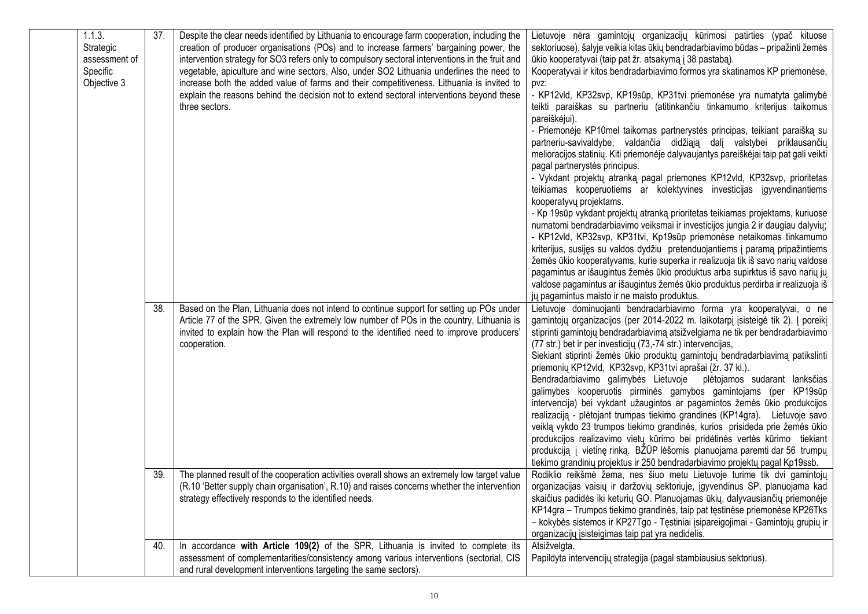|  | 1.1.3.<br>Strategic<br>assessment of<br>Specific<br>Objective 3 | 37.        | Despite the clear needs identified by Lithuania to encourage farm cooperation, including the<br>creation of producer organisations (POs) and to increase farmers' bargaining power, the<br>intervention strategy for SO3 refers only to compulsory sectoral interventions in the fruit and<br>vegetable, apiculture and wine sectors. Also, under SO2 Lithuania underlines the need to<br>increase both the added value of farms and their competitiveness. Lithuania is invited to<br>explain the reasons behind the decision not to extend sectoral interventions beyond these<br>three sectors. | Lietuvoje nėra gamintojų organizacijų kūrimosi patirties (ypač kituose<br>sektoriuose), šalyje veikia kitas ūkių bendradarbiavimo būdas – pripažinti žemės<br>ūkio kooperatyvai (taip pat žr. atsakymą į 38 pastabą).<br>Kooperatyvai ir kitos bendradarbiavimo formos yra skatinamos KP priemonėse,<br>pvz:<br>- KP12vld, KP32svp, KP19sūp, KP31tvi priemonėse yra numatyta galimybė<br>teikti paraiškas su partneriu (atitinkančiu tinkamumo kriterijus taikomus<br>pareiškėjui).<br>- Priemonėje KP10mel taikomas partnerystės principas, teikiant paraišką su<br>partneriu-savivaldybe, valdančia didžiąją dalį valstybei priklausančių<br>melioracijos statinių. Kiti priemonėje dalyvaujantys pareiškėjai taip pat gali veikti<br>pagal partnerystės principus.<br>- Vykdant projektų atranką pagal priemones KP12vld, KP32svp, prioritetas<br>teikiamas kooperuotiems ar kolektyvines investicijas įgyvendinantiems<br>kooperatyvų projektams.<br>- Kp 19sūp vykdant projektų atranką prioritetas teikiamas projektams, kuriuose<br>numatomi bendradarbiavimo veiksmai ir investicijos jungia 2 ir daugiau dalyvių;<br>- KP12vld, KP32svp, KP31tvi, Kp19sūp priemonėse netaikomas tinkamumo<br>kriterijus, susijęs su valdos dydžiu pretenduojantiems į paramą pripažintiems<br>žemės ūkio kooperatyvams, kurie superka ir realizuoja tik iš savo narių valdose<br>pagamintus ar išaugintus žemės ūkio produktus arba supirktus iš savo narių jų<br>valdose pagamintus ar išaugintus žemės ūkio produktus perdirba ir realizuoja iš<br>jų pagamintus maisto ir ne maisto produktus. |
|--|-----------------------------------------------------------------|------------|----------------------------------------------------------------------------------------------------------------------------------------------------------------------------------------------------------------------------------------------------------------------------------------------------------------------------------------------------------------------------------------------------------------------------------------------------------------------------------------------------------------------------------------------------------------------------------------------------|--------------------------------------------------------------------------------------------------------------------------------------------------------------------------------------------------------------------------------------------------------------------------------------------------------------------------------------------------------------------------------------------------------------------------------------------------------------------------------------------------------------------------------------------------------------------------------------------------------------------------------------------------------------------------------------------------------------------------------------------------------------------------------------------------------------------------------------------------------------------------------------------------------------------------------------------------------------------------------------------------------------------------------------------------------------------------------------------------------------------------------------------------------------------------------------------------------------------------------------------------------------------------------------------------------------------------------------------------------------------------------------------------------------------------------------------------------------------------------------------------------------------------------------------------------------------------------------------|
|  |                                                                 | 38.<br>39. | Based on the Plan, Lithuania does not intend to continue support for setting up POs under<br>Article 77 of the SPR. Given the extremely low number of POs in the country, Lithuania is<br>invited to explain how the Plan will respond to the identified need to improve producers'<br>cooperation.<br>The planned result of the cooperation activities overall shows an extremely low target value                                                                                                                                                                                                | Lietuvoje dominuojanti bendradarbiavimo forma yra kooperatyvai, o ne<br>gamintojų organizacijos (per 2014-2022 m. laikotarpį įsisteigė tik 2). Į poreikį<br>stiprinti gamintojų bendradarbiavimą atsižvelgiama ne tik per bendradarbiavimo<br>(77 str.) bet ir per investicijų (73,-74 str.) intervencijas,<br>Siekiant stiprinti žemės ūkio produktų gamintojų bendradarbiavimą patikslinti<br>priemonių KP12vld, KP32svp, KP31tvi aprašai (žr. 37 kl.).<br>Bendradarbiavimo galimybės Lietuvoje plėtojamos sudarant lanksčias<br>galimybes kooperuotis pirminės gamybos gamintojams (per KP19sūp<br>intervencija) bei vykdant užaugintos ar pagamintos žemės ūkio produkcijos<br>realizaciją - plėtojant trumpas tiekimo grandines (KP14gra). Lietuvoje savo<br>veiklą vykdo 23 trumpos tiekimo grandinės, kurios prisideda prie žemės ūkio<br>produkcijos realizavimo vietų kūrimo bei pridėtinės vertės kūrimo tiekiant<br>produkciją į vietinę rinką. BŽŪP lėšomis planuojama paremti dar 56 trumpų<br>tiekimo grandinių projektus ir 250 bendradarbiavimo projektų pagal Kp19ssb.<br>Rodiklio reikšmė žema, nes šiuo metu Lietuvoje turime tik dvi gamintojų                                                                                                                                                                                                                                                                                                                                                                                                                         |
|  |                                                                 |            | (R.10 'Better supply chain organisation', R.10) and raises concerns whether the intervention<br>strategy effectively responds to the identified needs.                                                                                                                                                                                                                                                                                                                                                                                                                                             | organizacijas vaisių ir daržovių sektoriuje, įgyvendinus SP, planuojama kad<br>skaičius padidės iki keturių GO. Planuojamas ūkių, dalyvausiančių priemonėje<br>KP14gra - Trumpos tiekimo grandinės, taip pat tęstinėse priemonėse KP26Tks<br>- kokybės sistemos ir KP27Tgo - Tęstiniai įsipareigojimai - Gamintojų grupių ir<br>organizacijų įsisteigimas taip pat yra nedidelis.                                                                                                                                                                                                                                                                                                                                                                                                                                                                                                                                                                                                                                                                                                                                                                                                                                                                                                                                                                                                                                                                                                                                                                                                          |
|  |                                                                 | 40.        | In accordance with Article 109(2) of the SPR, Lithuania is invited to complete its<br>assessment of complementarities/consistency among various interventions (sectorial, CIS<br>and rural development interventions targeting the same sectors).                                                                                                                                                                                                                                                                                                                                                  | Atsižvelgta.<br>Papildyta intervencijų strategija (pagal stambiausius sektorius).                                                                                                                                                                                                                                                                                                                                                                                                                                                                                                                                                                                                                                                                                                                                                                                                                                                                                                                                                                                                                                                                                                                                                                                                                                                                                                                                                                                                                                                                                                          |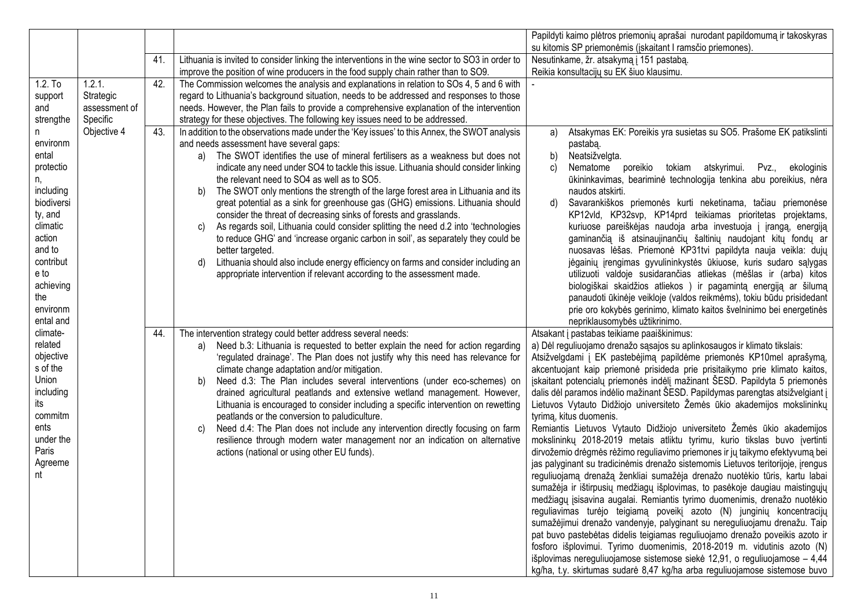|            |               |     |                                                                                                  | Papildyti kaimo plėtros priemonių aprašai nurodant papildomumą ir takoskyras     |
|------------|---------------|-----|--------------------------------------------------------------------------------------------------|----------------------------------------------------------------------------------|
|            |               |     |                                                                                                  | su kitomis SP priemonėmis (įskaitant I ramsčio priemones).                       |
|            |               | 41. | Lithuania is invited to consider linking the interventions in the wine sector to SO3 in order to | Nesutinkame, žr. atsakymą į 151 pastabą.                                         |
|            |               |     | improve the position of wine producers in the food supply chain rather than to SO9.              | Reikia konsultacijų su EK šiuo klausimu.                                         |
| $1.2.$ To  | 1.2.1.        | 42. | The Commission welcomes the analysis and explanations in relation to SOs 4, 5 and 6 with         |                                                                                  |
| support    | Strategic     |     | regard to Lithuania's background situation, needs to be addressed and responses to those         |                                                                                  |
| and        | assessment of |     | needs. However, the Plan fails to provide a comprehensive explanation of the intervention        |                                                                                  |
| strengthe  | Specific      |     | strategy for these objectives. The following key issues need to be addressed.                    |                                                                                  |
|            | Objective 4   | 43. | In addition to the observations made under the 'Key issues' to this Annex, the SWOT analysis     | Atsakymas EK: Poreikis yra susietas su SO5. Prašome EK patikslinti<br>a)         |
| environm   |               |     | and needs assessment have several gaps:                                                          | pastaba.                                                                         |
| ental      |               |     | a) The SWOT identifies the use of mineral fertilisers as a weakness but does not                 | b)<br>Neatsižvelgta.                                                             |
| protectio  |               |     | indicate any need under SO4 to tackle this issue. Lithuania should consider linking              | tokiam<br>atskyrimui.<br>C)<br>Nematome<br>poreikio<br>Pvz.,<br>ekologinis       |
| n,         |               |     | the relevant need to SO4 as well as to SO5.                                                      | ūkininkavimas, beariminė technologija tenkina abu poreikius, nėra                |
| including  |               |     | The SWOT only mentions the strength of the large forest area in Lithuania and its<br>b)          | naudos atskirti.                                                                 |
| biodiversi |               |     | great potential as a sink for greenhouse gas (GHG) emissions. Lithuania should                   | Savarankiškos priemonės kurti neketinama, tačiau priemonėse<br>d)                |
| ty, and    |               |     | consider the threat of decreasing sinks of forests and grasslands.                               | KP12vld, KP32svp, KP14prd teikiamas prioritetas projektams,                      |
| climatic   |               |     | As regards soil, Lithuania could consider splitting the need d.2 into 'technologies<br>C)        | kuriuose pareiškėjas naudoja arba investuoja į įrangą, energiją                  |
| action     |               |     | to reduce GHG' and 'increase organic carbon in soil', as separately they could be                | gaminančią iš atsinaujinančių šaltinių naudojant kitų fondų ar                   |
| and to     |               |     | better targeted.                                                                                 | nuosavas lėšas. Priemonė KP31tvi papildyta nauja veikla: dujų                    |
| contribut  |               |     | Lithuania should also include energy efficiency on farms and consider including an<br>d)         | jėgainių įrengimas gyvulininkystės ūkiuose, kuris sudaro sąlygas                 |
| e to       |               |     | appropriate intervention if relevant according to the assessment made.                           | utilizuoti valdoje susidarančias atliekas (mėšlas ir (arba) kitos                |
| achieving  |               |     |                                                                                                  | biologiškai skaidžios atliekos ) ir pagamintą energiją ar šilumą                 |
| the        |               |     |                                                                                                  | panaudoti ūkinėje veikloje (valdos reikmėms), tokiu būdu prisidedant             |
| environm   |               |     |                                                                                                  | prie oro kokybės gerinimo, klimato kaitos švelninimo bei energetinės             |
| ental and  |               |     |                                                                                                  | nepriklausomybės užtikrinimo.                                                    |
| climate-   |               | 44. | The intervention strategy could better address several needs:                                    | Atsakant į pastabas teikiame paaiškinimus:                                       |
| related    |               |     | Need b.3: Lithuania is requested to better explain the need for action regarding<br>a)           | a) Dėl reguliuojamo drenažo sąsajos su aplinkosaugos ir klimato tikslais:        |
| objective  |               |     | 'regulated drainage'. The Plan does not justify why this need has relevance for                  | Atsižvelgdami į EK pastebėjimą papildėme priemonės KP10mel aprašymą,             |
| s of the   |               |     | climate change adaptation and/or mitigation.                                                     | akcentuojant kaip priemonė prisideda prie prisitaikymo prie klimato kaitos,      |
| Union      |               |     | Need d.3: The Plan includes several interventions (under eco-schemes) on<br>b)                   | jskaitant potencialų priemonės indėlį mažinant ŠESD. Papildyta 5 priemonės       |
| including  |               |     | drained agricultural peatlands and extensive wetland management. However,                        | dalis dėl paramos indėlio mažinant ŠESD. Papildymas parengtas atsižvelgiant į    |
| its        |               |     | Lithuania is encouraged to consider including a specific intervention on rewetting               | Lietuvos Vytauto Didžiojo universiteto Žemės ūkio akademijos mokslininkų         |
| commitm    |               |     | peatlands or the conversion to paludiculture.                                                    | tyrimą, kitus duomenis.                                                          |
| ents       |               |     | Need d.4: The Plan does not include any intervention directly focusing on farm<br>C)             | Remiantis Lietuvos Vytauto Didžiojo universiteto Žemės ūkio akademijos           |
| under the  |               |     | resilience through modern water management nor an indication on alternative                      | mokslininkų 2018-2019 metais atliktu tyrimu, kurio tikslas buvo įvertinti        |
| Paris      |               |     | actions (national or using other EU funds).                                                      | dirvožemio drėgmės rėžimo reguliavimo priemones ir jų taikymo efektyvumą bei     |
| Agreeme    |               |     |                                                                                                  | jas palyginant su tradicinėmis drenažo sistemomis Lietuvos teritorijoje, įrengus |
| nt         |               |     |                                                                                                  | reguliuojamą drenažą ženkliai sumažėja drenažo nuotėkio tūris, kartu labai       |
|            |               |     |                                                                                                  | sumažėja ir ištirpusių medžiagų išplovimas, to pasėkoje daugiau maistingųjų      |
|            |               |     |                                                                                                  | medžiagų įsisavina augalai. Remiantis tyrimo duomenimis, drenažo nuotėkio        |
|            |               |     |                                                                                                  | reguliavimas turėjo teigiamą poveikį azoto (N) junginių koncentracijų            |
|            |               |     |                                                                                                  | sumažėjimui drenažo vandenyje, palyginant su nereguliuojamu drenažu. Taip        |
|            |               |     |                                                                                                  | pat buvo pastebėtas didelis teigiamas reguliuojamo drenažo poveikis azoto ir     |
|            |               |     |                                                                                                  | fosforo išplovimui. Tyrimo duomenimis, 2018-2019 m. vidutinis azoto (N)          |
|            |               |     |                                                                                                  | išplovimas nereguliuojamose sistemose siekė 12,91, o reguliuojamose – 4,44       |
|            |               |     |                                                                                                  | kg/ha, t.y. skirtumas sudarė 8,47 kg/ha arba reguliuojamose sistemose buvo       |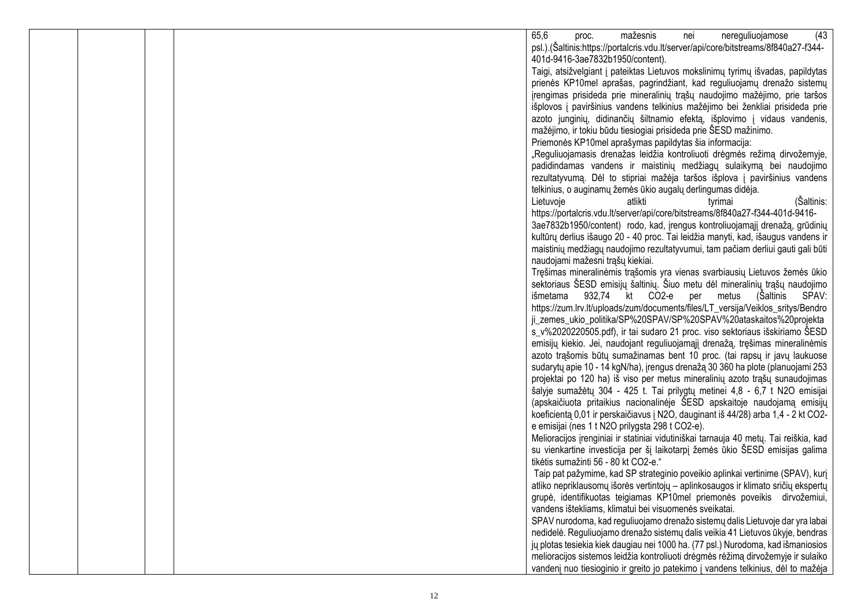|  | 65,6<br>mažesnis<br>nereguliuojamose<br>(43)<br>nei<br>proc.                                                                                                  |
|--|---------------------------------------------------------------------------------------------------------------------------------------------------------------|
|  | psl.).(Šaltinis:https://portalcris.vdu.lt/server/api/core/bitstreams/8f840a27-f344-                                                                           |
|  | 401d-9416-3ae7832b1950/content).                                                                                                                              |
|  | Taigi, atsižvelgiant į pateiktas Lietuvos mokslinimų tyrimų išvadas, papildytas                                                                               |
|  | prienės KP10mel aprašas, pagrindžiant, kad reguliuojamų drenažo sistemų                                                                                       |
|  | įrengimas prisideda prie mineralinių trąšų naudojimo mažėjimo, prie taršos                                                                                    |
|  | išplovos į paviršinius vandens telkinius mažėjimo bei ženkliai prisideda prie                                                                                 |
|  | azoto junginių, didinančių šiltnamio efektą, išplovimo į vidaus vandenis,                                                                                     |
|  | mažėjimo, ir tokiu būdu tiesiogiai prisideda prie ŠESD mažinimo.                                                                                              |
|  | Priemonės KP10mel aprašymas papildytas šia informacija:                                                                                                       |
|  | "Reguliuojamasis drenažas leidžia kontroliuoti drėgmės režimą dirvožemyje,                                                                                    |
|  | padidindamas vandens ir maistinių medžiagų sulaikymą bei naudojimo                                                                                            |
|  | rezultatyvumą. Dėl to stipriai mažėja taršos išplova į paviršinius vandens                                                                                    |
|  | telkinius, o auginamų žemės ūkio augalų derlingumas didėja.                                                                                                   |
|  | Lietuvoje<br>(Šaltinis:<br>atlikti<br>tyrimai                                                                                                                 |
|  | https://portalcris.vdu.lt/server/api/core/bitstreams/8f840a27-f344-401d-9416-                                                                                 |
|  | 3ae7832b1950/content) rodo, kad, įrengus kontroliuojamąjį drenažą, grūdinių                                                                                   |
|  | kultūrų derlius išaugo 20 - 40 proc. Tai leidžia manyti, kad, išaugus vandens ir                                                                              |
|  | maistinių medžiagų naudojimo rezultatyvumui, tam pačiam derliui gauti gali būti                                                                               |
|  | naudojami mažesni trąšų kiekiai.                                                                                                                              |
|  | Tręšimas mineralinėmis trąšomis yra vienas svarbiausių Lietuvos žemės ūkio                                                                                    |
|  | sektoriaus ŠESD emisijų šaltinių. Šiuo metu dėl mineralinių trąšų naudojimo                                                                                   |
|  | išmetama 932,74 kt CO2-e per metus<br>(Šaltinis<br>SPAV:                                                                                                      |
|  | https://zum.lrv.lt/uploads/zum/documents/files/LT_versija/Veiklos_sritys/Bendro                                                                               |
|  | ji_zemes_ukio_politika/SP%20SPAV/SP%20SPAV%20ataskaitos%20projekta                                                                                            |
|  | s_v%2020220505.pdf), ir tai sudaro 21 proc. viso sektoriaus išskiriamo ŠESD                                                                                   |
|  | emisijų kiekio. Jei, naudojant reguliuojamąjį drenažą, tręšimas mineralinėmis                                                                                 |
|  | azoto trąšomis būtų sumažinamas bent 10 proc. (tai rapsų ir javų laukuose                                                                                     |
|  | sudarytų apie 10 - 14 kgN/ha), įrengus drenažą 30 360 ha plote (planuojami 253<br>projektai po 120 ha) iš viso per metus mineralinių azoto trąšų sunaudojimas |
|  | šalyje sumažėtų 304 - 425 t. Tai prilygtų metinei 4,8 - 6,7 t N2O emisijai                                                                                    |
|  | (apskaičiuota pritaikius nacionalinėje ŠESD apskaitoje naudojamą emisijų                                                                                      |
|  | koeficientą 0,01 ir perskaičiavus į N2O, dauginant iš 44/28) arba 1,4 - 2 kt CO2-                                                                             |
|  | e emisijai (nes 1 t N2O prilygsta 298 t CO2-e).                                                                                                               |
|  | Melioracijos įrenginiai ir statiniai vidutiniškai tarnauja 40 metų. Tai reiškia, kad                                                                          |
|  | su vienkartine investicija per šį laikotarpį žemės ūkio ŠESD emisijas galima                                                                                  |
|  | tikėtis sumažinti 56 - 80 kt CO2-e."                                                                                                                          |
|  | Taip pat pažymime, kad SP strateginio poveikio aplinkai vertinime (SPAV), kurį                                                                                |
|  | atliko nepriklausomų išorės vertintojų - aplinkosaugos ir klimato sričių ekspertų                                                                             |
|  | grupė, identifikuotas teigiamas KP10mel priemonės poveikis dirvožemiui,                                                                                       |
|  | vandens ištekliams, klimatui bei visuomenės sveikatai.                                                                                                        |
|  | SPAV nurodoma, kad reguliuojamo drenažo sistemų dalis Lietuvoje dar yra labai                                                                                 |
|  | nedidelė. Reguliuojamo drenažo sistemų dalis veikia 41 Lietuvos ūkyje, bendras                                                                                |
|  | jų plotas tesiekia kiek daugiau nei 1000 ha. (77 psl.) Nurodoma, kad išmaniosios                                                                              |
|  | melioracijos sistemos leidžia kontroliuoti drėgmės rėžimą dirvožemyje ir sulaiko                                                                              |
|  | vandenį nuo tiesioginio ir greito jo patekimo į vandens telkinius, dėl to mažėja                                                                              |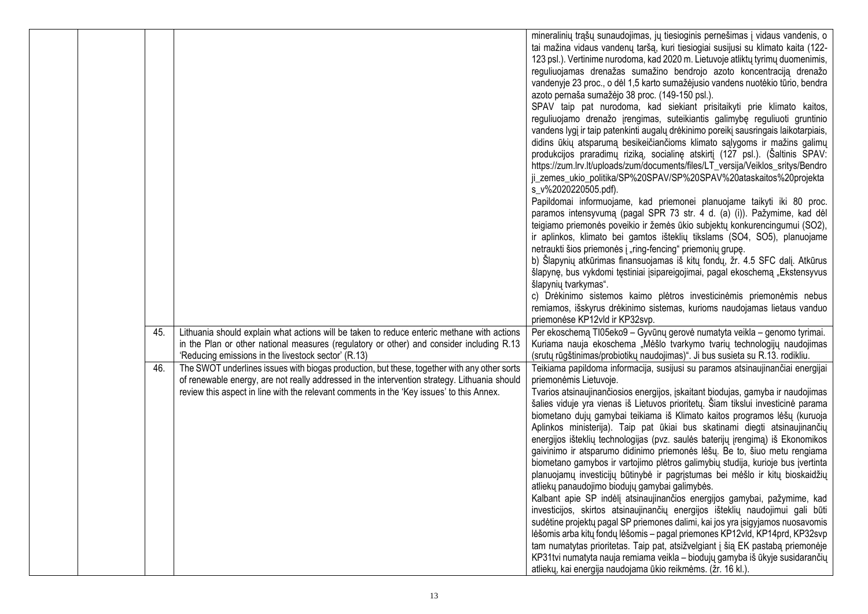|  |     |                                                                                                                                                                                                                                                                                         | mineralinių trąšų sunaudojimas, jų tiesioginis pernešimas į vidaus vandenis, o<br>tai mažina vidaus vandenų taršą, kuri tiesiogiai susijusi su klimato kaita (122-<br>123 psl.). Vertinime nurodoma, kad 2020 m. Lietuvoje atliktų tyrimų duomenimis,<br>reguliuojamas drenažas sumažino bendrojo azoto koncentraciją drenažo<br>vandenyje 23 proc., o dėl 1,5 karto sumažėjusio vandens nuotėkio tūrio, bendra<br>azoto pernaša sumažėjo 38 proc. (149-150 psl.).<br>SPAV taip pat nurodoma, kad siekiant prisitaikyti prie klimato kaitos,<br>reguliuojamo drenažo įrengimas, suteikiantis galimybę reguliuoti gruntinio<br>vandens lygį ir taip patenkinti augalų drėkinimo poreikį sausringais laikotarpiais,<br>didins ūkių atsparumą besikeičiančioms klimato sąlygoms ir mažins galimų<br>produkcijos praradimų riziką, socialinę atskirtį (127 psl.). (Šaltinis SPAV:<br>https://zum.lrv.lt/uploads/zum/documents/files/LT_versija/Veiklos_sritys/Bendro<br>ji_zemes_ukio_politika/SP%20SPAV/SP%20SPAV%20ataskaitos%20projekta<br>s_v%2020220505.pdf).<br>Papildomai informuojame, kad priemonei planuojame taikyti iki 80 proc.<br>paramos intensyvumą (pagal SPR 73 str. 4 d. (a) (i)). Pažymime, kad dėl<br>teigiamo priemonės poveikio ir žemės ūkio subjektų konkurencingumui (SO2),<br>ir aplinkos, klimato bei gamtos išteklių tikslams (SO4, SO5), planuojame<br>netraukti šios priemonės į "ring-fencing" priemonių grupę.<br>b) Šlapynių atkūrimas finansuojamas iš kitų fondų, žr. 4.5 SFC dalį. Atkūrus<br>šlapynę, bus vykdomi tęstiniai įsipareigojimai, pagal ekoschemą "Ekstensyvus<br>šlapynių tvarkymas".<br>c) Drėkinimo sistemos kaimo plėtros investicinėmis priemonėmis nebus |
|--|-----|-----------------------------------------------------------------------------------------------------------------------------------------------------------------------------------------------------------------------------------------------------------------------------------------|-------------------------------------------------------------------------------------------------------------------------------------------------------------------------------------------------------------------------------------------------------------------------------------------------------------------------------------------------------------------------------------------------------------------------------------------------------------------------------------------------------------------------------------------------------------------------------------------------------------------------------------------------------------------------------------------------------------------------------------------------------------------------------------------------------------------------------------------------------------------------------------------------------------------------------------------------------------------------------------------------------------------------------------------------------------------------------------------------------------------------------------------------------------------------------------------------------------------------------------------------------------------------------------------------------------------------------------------------------------------------------------------------------------------------------------------------------------------------------------------------------------------------------------------------------------------------------------------------------------------------------------------------------------------------------------------------------------|
|  |     |                                                                                                                                                                                                                                                                                         | remiamos, išskyrus drėkinimo sistemas, kurioms naudojamas lietaus vanduo<br>priemonėse KP12vld ir KP32svp.                                                                                                                                                                                                                                                                                                                                                                                                                                                                                                                                                                                                                                                                                                                                                                                                                                                                                                                                                                                                                                                                                                                                                                                                                                                                                                                                                                                                                                                                                                                                                                                                  |
|  | 45. | Lithuania should explain what actions will be taken to reduce enteric methane with actions<br>in the Plan or other national measures (regulatory or other) and consider including R.13<br>'Reducing emissions in the livestock sector' (R.13)                                           | Per ekoschemą TI05eko9 – Gyvūnų gerovė numatyta veikla – genomo tyrimai.<br>Kuriama nauja ekoschema "Mėšlo tvarkymo tvarių technologijų naudojimas<br>(srutų rūgštinimas/probiotikų naudojimas)". Ji bus susieta su R.13. rodikliu.                                                                                                                                                                                                                                                                                                                                                                                                                                                                                                                                                                                                                                                                                                                                                                                                                                                                                                                                                                                                                                                                                                                                                                                                                                                                                                                                                                                                                                                                         |
|  | 46. | The SWOT underlines issues with biogas production, but these, together with any other sorts<br>of renewable energy, are not really addressed in the intervention strategy. Lithuania should<br>review this aspect in line with the relevant comments in the 'Key issues' to this Annex. | Teikiama papildoma informacija, susijusi su paramos atsinaujinančiai energijai<br>priemonėmis Lietuvoje.<br>Tvarios atsinaujinančiosios energijos, įskaitant biodujas, gamyba ir naudojimas<br>šalies viduje yra vienas iš Lietuvos prioritetų. Šiam tikslui investicinė parama<br>biometano dujų gamybai teikiama iš Klimato kaitos programos lėšų (kuruoja<br>Aplinkos ministerija). Taip pat ūkiai bus skatinami diegti atsinaujinančių<br>energijos išteklių technologijas (pvz. saulės baterijų įrengimą) iš Ekonomikos<br>gaivinimo ir atsparumo didinimo priemonės lėšų. Be to, šiuo metu rengiama<br>biometano gamybos ir vartojimo plėtros galimybių studija, kurioje bus įvertinta<br>planuojamų investicijų būtinybė ir pagrįstumas bei mėšlo ir kitų bioskaidžių<br>atliekų panaudojimo biodujų gamybai galimybės.<br>Kalbant apie SP indėlį atsinaujinančios energijos gamybai, pažymime, kad<br>investicijos, skirtos atsinaujinančių energijos išteklių naudojimui gali būti<br>sudėtine projektų pagal SP priemones dalimi, kai jos yra įsigyjamos nuosavomis<br>lėšomis arba kitų fondų lėšomis - pagal priemones KP12vld, KP14prd, KP32svp<br>tam numatytas prioritetas. Taip pat, atsižvelgiant į šią EK pastabą priemonėje<br>KP31tvi numatyta nauja remiama veikla - biodujų gamyba iš ūkyje susidarančių<br>atliekų, kai energija naudojama ūkio reikmėms. (žr. 16 kl.).                                                                                                                                                                                                                                                                                                              |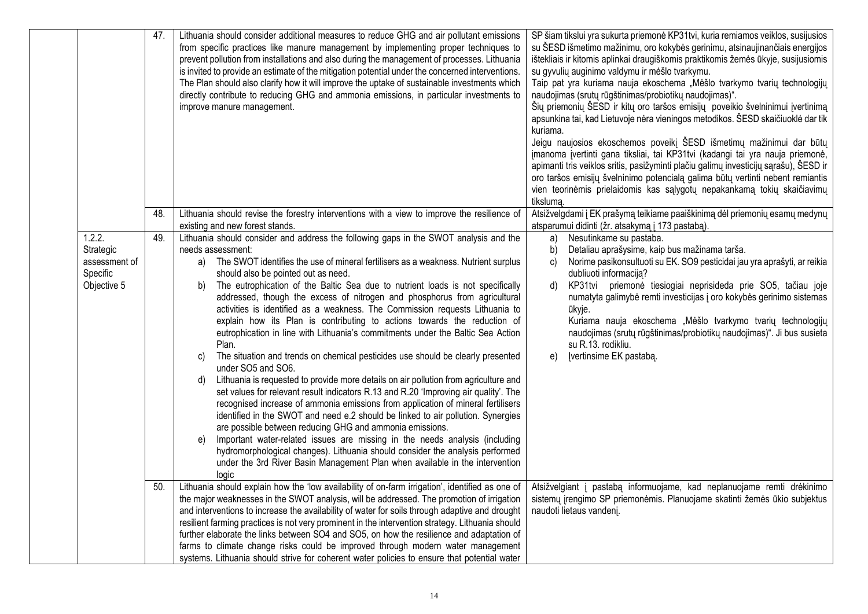|                                                                 | 47. | Lithuania should consider additional measures to reduce GHG and air pollutant emissions<br>from specific practices like manure management by implementing proper techniques to<br>prevent pollution from installations and also during the management of processes. Lithuania<br>is invited to provide an estimate of the mitigation potential under the concerned interventions.<br>The Plan should also clarify how it will improve the uptake of sustainable investments which<br>directly contribute to reducing GHG and ammonia emissions, in particular investments to<br>improve manure management.                                                                                                                                                                                                                                                                                                                                                                                                                                                                                                                                                                                                                                                                                                                                                                                                                                                                      | SP šiam tikslui yra sukurta priemonė KP31tvi, kuria remiamos veiklos, susijusios<br>su ŠESD išmetimo mažinimu, oro kokybės gerinimu, atsinaujinančiais energijos<br>ištekliais ir kitomis aplinkai draugiškomis praktikomis žemės ūkyje, susijusiomis<br>su gyvulių auginimo valdymu ir mėšlo tvarkymu.<br>Taip pat yra kuriama nauja ekoschema "Mėšlo tvarkymo tvarių technologijų<br>naudojimas (srutų rūgštinimas/probiotikų naudojimas)".<br>Šių priemonių ŠESD ir kitų oro taršos emisijų poveikio švelninimui įvertinimą<br>apsunkina tai, kad Lietuvoje nėra vieningos metodikos. ŠESD skaičiuoklė dar tik<br>kuriama.<br>Jeigu naujosios ekoschemos poveikį ŠESD išmetimų mažinimui dar būtų<br>jmanoma įvertinti gana tiksliai, tai KP31tvi (kadangi tai yra nauja priemonė,<br>apimanti tris veiklos sritis, pasižyminti plačiu galimų investicijų sąrašu), ŠESD ir<br>oro taršos emisijų švelninimo potencialą galima būtų vertinti nebent remiantis<br>vien teorinėmis prielaidomis kas sąlygotų nepakankamą tokių skaičiavimų<br>tikslumą. |
|-----------------------------------------------------------------|-----|---------------------------------------------------------------------------------------------------------------------------------------------------------------------------------------------------------------------------------------------------------------------------------------------------------------------------------------------------------------------------------------------------------------------------------------------------------------------------------------------------------------------------------------------------------------------------------------------------------------------------------------------------------------------------------------------------------------------------------------------------------------------------------------------------------------------------------------------------------------------------------------------------------------------------------------------------------------------------------------------------------------------------------------------------------------------------------------------------------------------------------------------------------------------------------------------------------------------------------------------------------------------------------------------------------------------------------------------------------------------------------------------------------------------------------------------------------------------------------|---------------------------------------------------------------------------------------------------------------------------------------------------------------------------------------------------------------------------------------------------------------------------------------------------------------------------------------------------------------------------------------------------------------------------------------------------------------------------------------------------------------------------------------------------------------------------------------------------------------------------------------------------------------------------------------------------------------------------------------------------------------------------------------------------------------------------------------------------------------------------------------------------------------------------------------------------------------------------------------------------------------------------------------------------------|
|                                                                 | 48. | Lithuania should revise the forestry interventions with a view to improve the resilience of<br>existing and new forest stands.                                                                                                                                                                                                                                                                                                                                                                                                                                                                                                                                                                                                                                                                                                                                                                                                                                                                                                                                                                                                                                                                                                                                                                                                                                                                                                                                                  | Atsižvelgdami į EK prašymą teikiame paaiškinimą dėl priemonių esamų medynų<br>atsparumui didinti (žr. atsakymą į 173 pastabą).                                                                                                                                                                                                                                                                                                                                                                                                                                                                                                                                                                                                                                                                                                                                                                                                                                                                                                                          |
| 1.2.2.<br>Strategic<br>assessment of<br>Specific<br>Objective 5 | 49. | Lithuania should consider and address the following gaps in the SWOT analysis and the<br>needs assessment:<br>a) The SWOT identifies the use of mineral fertilisers as a weakness. Nutrient surplus<br>should also be pointed out as need.<br>The eutrophication of the Baltic Sea due to nutrient loads is not specifically<br>b)<br>addressed, though the excess of nitrogen and phosphorus from agricultural<br>activities is identified as a weakness. The Commission requests Lithuania to<br>explain how its Plan is contributing to actions towards the reduction of<br>eutrophication in line with Lithuania's commitments under the Baltic Sea Action<br>Plan.<br>The situation and trends on chemical pesticides use should be clearly presented<br>C)<br>under SO5 and SO6.<br>Lithuania is requested to provide more details on air pollution from agriculture and<br>d)<br>set values for relevant result indicators R.13 and R.20 'Improving air quality'. The<br>recognised increase of ammonia emissions from application of mineral fertilisers<br>identified in the SWOT and need e.2 should be linked to air pollution. Synergies<br>are possible between reducing GHG and ammonia emissions.<br>Important water-related issues are missing in the needs analysis (including<br>e)<br>hydromorphological changes). Lithuania should consider the analysis performed<br>under the 3rd River Basin Management Plan when available in the intervention<br>logic | Nesutinkame su pastaba.<br>a)<br>Detaliau aprašysime, kaip bus mažinama tarša.<br>b)<br>Norime pasikonsultuoti su EK. SO9 pesticidai jau yra aprašyti, ar reikia<br>C)<br>dubliuoti informaciją?<br>KP31tvi priemonė tiesiogiai neprisideda prie SO5, tačiau joje<br>d)<br>numatyta galimybė remti investicijas į oro kokybės gerinimo sistemas<br>ūkyje.<br>Kuriama nauja ekoschema "Mėšlo tvarkymo tvarių technologijų<br>naudojimas (srutų rūgštinimas/probiotikų naudojimas)". Ji bus susieta<br>su R.13. rodikliu.<br>Įvertinsime EK pastabą.<br>e)                                                                                                                                                                                                                                                                                                                                                                                                                                                                                                |
|                                                                 | 50. | Lithuania should explain how the 'low availability of on-farm irrigation', identified as one of<br>the major weaknesses in the SWOT analysis, will be addressed. The promotion of irrigation<br>and interventions to increase the availability of water for soils through adaptive and drought<br>resilient farming practices is not very prominent in the intervention strategy. Lithuania should<br>further elaborate the links between SO4 and SO5, on how the resilience and adaptation of<br>farms to climate change risks could be improved through modern water management<br>systems. Lithuania should strive for coherent water policies to ensure that potential water                                                                                                                                                                                                                                                                                                                                                                                                                                                                                                                                                                                                                                                                                                                                                                                                | Atsižvelgiant į pastabą informuojame, kad neplanuojame remti drėkinimo<br>sistemų įrengimo SP priemonėmis. Planuojame skatinti žemės ūkio subjektus<br>naudoti lietaus vandenį.                                                                                                                                                                                                                                                                                                                                                                                                                                                                                                                                                                                                                                                                                                                                                                                                                                                                         |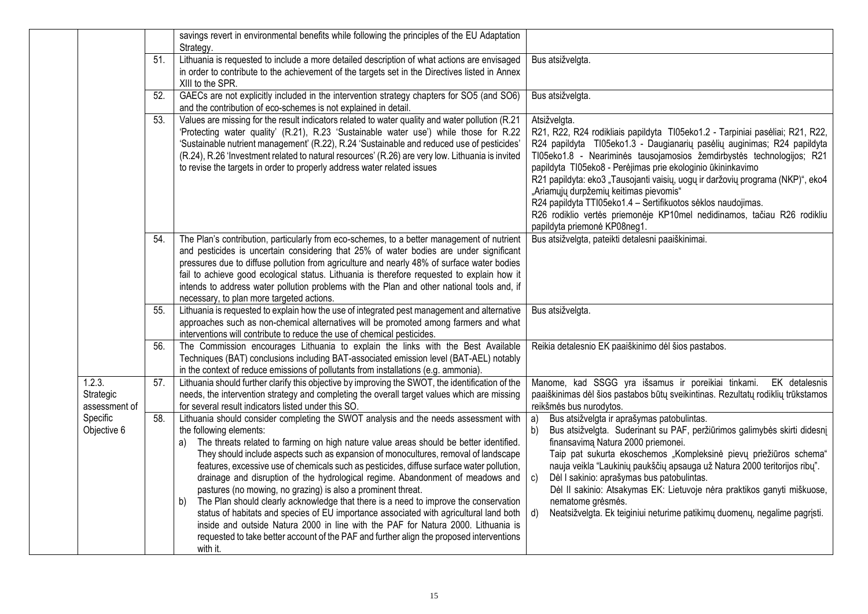|                                      |     | savings revert in environmental benefits while following the principles of the EU Adaptation<br>Strategy.                                                                                                                                                                                                                                                                                                                                                                                                                                                                                                                                                                                                                                                                                                                                                                                                                                  |                                                                                                                                                                                                                                                                                                                                                                                                                                                                                                                                                                                                                         |
|--------------------------------------|-----|--------------------------------------------------------------------------------------------------------------------------------------------------------------------------------------------------------------------------------------------------------------------------------------------------------------------------------------------------------------------------------------------------------------------------------------------------------------------------------------------------------------------------------------------------------------------------------------------------------------------------------------------------------------------------------------------------------------------------------------------------------------------------------------------------------------------------------------------------------------------------------------------------------------------------------------------|-------------------------------------------------------------------------------------------------------------------------------------------------------------------------------------------------------------------------------------------------------------------------------------------------------------------------------------------------------------------------------------------------------------------------------------------------------------------------------------------------------------------------------------------------------------------------------------------------------------------------|
|                                      | 51. | Lithuania is requested to include a more detailed description of what actions are envisaged<br>in order to contribute to the achievement of the targets set in the Directives listed in Annex<br>XIII to the SPR.                                                                                                                                                                                                                                                                                                                                                                                                                                                                                                                                                                                                                                                                                                                          | Bus atsižvelgta.                                                                                                                                                                                                                                                                                                                                                                                                                                                                                                                                                                                                        |
|                                      | 52. | GAECs are not explicitly included in the intervention strategy chapters for SO5 (and SO6)<br>and the contribution of eco-schemes is not explained in detail.                                                                                                                                                                                                                                                                                                                                                                                                                                                                                                                                                                                                                                                                                                                                                                               | Bus atsižvelgta.                                                                                                                                                                                                                                                                                                                                                                                                                                                                                                                                                                                                        |
|                                      | 53. | Values are missing for the result indicators related to water quality and water pollution (R.21<br>'Protecting water quality' (R.21), R.23 'Sustainable water use') while those for R.22<br>'Sustainable nutrient management' (R.22), R.24 'Sustainable and reduced use of pesticides'<br>(R.24), R.26 'Investment related to natural resources' (R.26) are very low. Lithuania is invited<br>to revise the targets in order to properly address water related issues                                                                                                                                                                                                                                                                                                                                                                                                                                                                      | Atsižvelgta.<br>R21, R22, R24 rodikliais papildyta TI05eko1.2 - Tarpiniai pasėliai; R21, R22,<br>R24 papildyta TI05eko1.3 - Daugianarių pasėlių auginimas; R24 papildyta<br>TI05eko1.8 - Neariminės tausojamosios žemdirbystės technologijos; R21<br>papildyta TI05eko8 - Perėjimas prie ekologinio ūkininkavimo<br>R21 papildyta: eko3 "Tausojanti vaisių, uogų ir daržovių programa (NKP)", eko4<br>"Ariamųjų durpžemių keitimas pievomis"<br>R24 papildyta TTI05eko1.4 - Sertifikuotos sėklos naudojimas.<br>R26 rodiklio vertės priemonėje KP10mel nedidinamos, tačiau R26 rodikliu<br>papildyta priemonė KP08neg1. |
|                                      | 54. | The Plan's contribution, particularly from eco-schemes, to a better management of nutrient<br>and pesticides is uncertain considering that 25% of water bodies are under significant<br>pressures due to diffuse pollution from agriculture and nearly 48% of surface water bodies<br>fail to achieve good ecological status. Lithuania is therefore requested to explain how it<br>intends to address water pollution problems with the Plan and other national tools and, if<br>necessary, to plan more targeted actions.                                                                                                                                                                                                                                                                                                                                                                                                                | Bus atsižvelgta, pateikti detalesni paaiškinimai.                                                                                                                                                                                                                                                                                                                                                                                                                                                                                                                                                                       |
|                                      | 55. | Lithuania is requested to explain how the use of integrated pest management and alternative<br>approaches such as non-chemical alternatives will be promoted among farmers and what<br>interventions will contribute to reduce the use of chemical pesticides.                                                                                                                                                                                                                                                                                                                                                                                                                                                                                                                                                                                                                                                                             | Bus atsižvelgta.                                                                                                                                                                                                                                                                                                                                                                                                                                                                                                                                                                                                        |
|                                      | 56. | The Commission encourages Lithuania to explain the links with the Best Available<br>Techniques (BAT) conclusions including BAT-associated emission level (BAT-AEL) notably<br>in the context of reduce emissions of pollutants from installations (e.g. ammonia).                                                                                                                                                                                                                                                                                                                                                                                                                                                                                                                                                                                                                                                                          | Reikia detalesnio EK paaiškinimo dėl šios pastabos.                                                                                                                                                                                                                                                                                                                                                                                                                                                                                                                                                                     |
| 1.2.3.<br>Strategic<br>assessment of | 57. | Lithuania should further clarify this objective by improving the SWOT, the identification of the<br>needs, the intervention strategy and completing the overall target values which are missing<br>for several result indicators listed under this SO.                                                                                                                                                                                                                                                                                                                                                                                                                                                                                                                                                                                                                                                                                     | Manome, kad SSGG yra išsamus ir poreikiai tinkami. EK detalesnis<br>paaiškinimas dėl šios pastabos būtų sveikintinas. Rezultatų rodiklių trūkstamos<br>reikšmės bus nurodytos.                                                                                                                                                                                                                                                                                                                                                                                                                                          |
| Specific<br>Objective 6              | 58. | Lithuania should consider completing the SWOT analysis and the needs assessment with<br>the following elements:<br>The threats related to farming on high nature value areas should be better identified.<br>a)<br>They should include aspects such as expansion of monocultures, removal of landscape<br>features, excessive use of chemicals such as pesticides, diffuse surface water pollution,<br>drainage and disruption of the hydrological regime. Abandonment of meadows and<br>pastures (no mowing, no grazing) is also a prominent threat.<br>The Plan should clearly acknowledge that there is a need to improve the conservation<br>b)<br>status of habitats and species of EU importance associated with agricultural land both<br>inside and outside Natura 2000 in line with the PAF for Natura 2000. Lithuania is<br>requested to take better account of the PAF and further align the proposed interventions<br>with it. | Bus atsižvelgta ir aprašymas patobulintas.<br>a)<br>Bus atsižvelgta. Suderinant su PAF, peržiūrimos galimybės skirti didesnį<br>b)<br>finansavima Natura 2000 priemonei.<br>Taip pat sukurta ekoschemos "Kompleksinė pievų priežiūros schema"<br>nauja veikla "Laukinių paukščių apsauga už Natura 2000 teritorijos ribų".<br>Dėl I sakinio: aprašymas bus patobulintas.<br>$\mathbf{c}$<br>Dėl II sakinio: Atsakymas EK: Lietuvoje nėra praktikos ganyti miškuose,<br>nematome grésmés.<br>Neatsižvelgta. Ek teiginiui neturime patikimų duomenų, negalime pagrįsti.<br>d)                                             |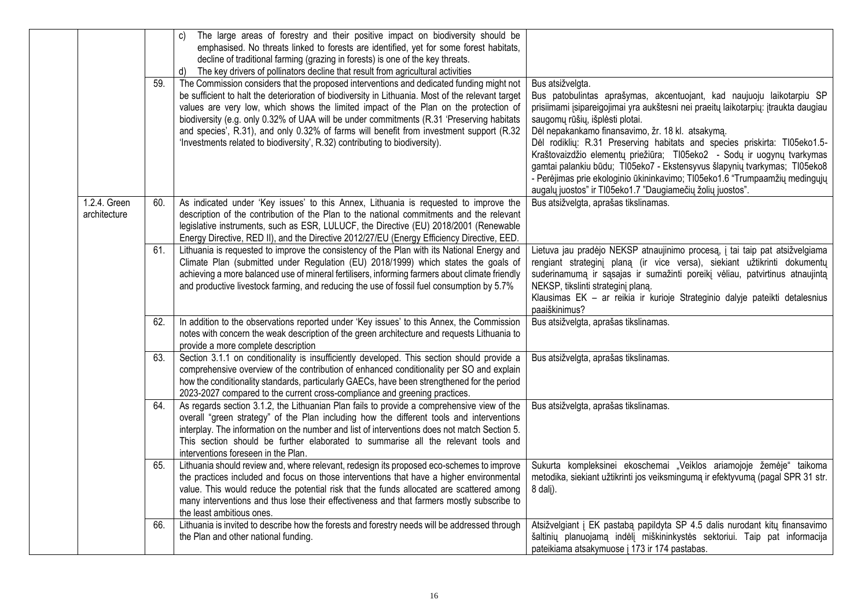|                              | 59. | c) The large areas of forestry and their positive impact on biodiversity should be<br>emphasised. No threats linked to forests are identified, yet for some forest habitats,<br>decline of traditional farming (grazing in forests) is one of the key threats.<br>The key drivers of pollinators decline that result from agricultural activities<br>d)<br>The Commission considers that the proposed interventions and dedicated funding might not<br>be sufficient to halt the deterioration of biodiversity in Lithuania. Most of the relevant target<br>values are very low, which shows the limited impact of the Plan on the protection of<br>biodiversity (e.g. only 0.32% of UAA will be under commitments (R.31 'Preserving habitats | Bus atsižvelgta.<br>Bus patobulintas aprašymas, akcentuojant, kad naujuoju laikotarpiu SP<br>prisiimami įsipareigojimai yra aukštesni nei praeitų laikotarpių: įtraukta daugiau<br>saugomų rūšių, išplėsti plotai.                                                                                                                                                                                                                 |
|------------------------------|-----|-----------------------------------------------------------------------------------------------------------------------------------------------------------------------------------------------------------------------------------------------------------------------------------------------------------------------------------------------------------------------------------------------------------------------------------------------------------------------------------------------------------------------------------------------------------------------------------------------------------------------------------------------------------------------------------------------------------------------------------------------|------------------------------------------------------------------------------------------------------------------------------------------------------------------------------------------------------------------------------------------------------------------------------------------------------------------------------------------------------------------------------------------------------------------------------------|
|                              |     | and species', R.31), and only 0.32% of farms will benefit from investment support (R.32<br>'Investments related to biodiversity', R.32) contributing to biodiversity).                                                                                                                                                                                                                                                                                                                                                                                                                                                                                                                                                                        | Dėl nepakankamo finansavimo, žr. 18 kl. atsakymą.<br>Dėl rodiklių: R.31 Preserving habitats and species priskirta: TI05eko1.5-<br>Kraštovaizdžio elementų priežiūra; TI05eko2 - Sodų ir uogynų tvarkymas<br>gamtai palankiu būdu; TI05eko7 - Ekstensyvus šlapynių tvarkymas; TI05eko8<br>- Perėjimas prie ekologinio ūkininkavimo; TI05eko1.6 "Trumpaamžių medingųjų<br>augalų juostos" ir TI05eko1.7 "Daugiamečių žolių juostos". |
| 1.2.4. Green<br>architecture | 60. | As indicated under 'Key issues' to this Annex, Lithuania is requested to improve the<br>description of the contribution of the Plan to the national commitments and the relevant<br>legislative instruments, such as ESR, LULUCF, the Directive (EU) 2018/2001 (Renewable<br>Energy Directive, RED II), and the Directive 2012/27/EU (Energy Efficiency Directive, EED.                                                                                                                                                                                                                                                                                                                                                                       | Bus atsižvelgta, aprašas tikslinamas.                                                                                                                                                                                                                                                                                                                                                                                              |
|                              | 61. | Lithuania is requested to improve the consistency of the Plan with its National Energy and<br>Climate Plan (submitted under Regulation (EU) 2018/1999) which states the goals of<br>achieving a more balanced use of mineral fertilisers, informing farmers about climate friendly<br>and productive livestock farming, and reducing the use of fossil fuel consumption by 5.7%                                                                                                                                                                                                                                                                                                                                                               | Lietuva jau pradėjo NEKSP atnaujinimo procesą, į tai taip pat atsižvelgiama<br>rengiant strateginį planą (ir vice versa), siekiant užtikrinti dokumentų<br>suderinamumą ir sąsajas ir sumažinti poreikį vėliau, patvirtinus atnaujintą<br>NEKSP, tikslinti strateginj plana.<br>Klausimas EK - ar reikia ir kurioje Strateginio dalyje pateikti detalesnius<br>paaiškinimus?                                                       |
|                              | 62. | In addition to the observations reported under 'Key issues' to this Annex, the Commission<br>notes with concern the weak description of the green architecture and requests Lithuania to<br>provide a more complete description                                                                                                                                                                                                                                                                                                                                                                                                                                                                                                               | Bus atsižvelgta, aprašas tikslinamas.                                                                                                                                                                                                                                                                                                                                                                                              |
|                              | 63. | Section 3.1.1 on conditionality is insufficiently developed. This section should provide a<br>comprehensive overview of the contribution of enhanced conditionality per SO and explain<br>how the conditionality standards, particularly GAECs, have been strengthened for the period<br>2023-2027 compared to the current cross-compliance and greening practices.                                                                                                                                                                                                                                                                                                                                                                           | Bus atsižvelgta, aprašas tikslinamas.                                                                                                                                                                                                                                                                                                                                                                                              |
|                              | 64. | As regards section 3.1.2, the Lithuanian Plan fails to provide a comprehensive view of the<br>overall "green strategy" of the Plan including how the different tools and interventions<br>interplay. The information on the number and list of interventions does not match Section 5.<br>This section should be further elaborated to summarise all the relevant tools and<br>interventions foreseen in the Plan.                                                                                                                                                                                                                                                                                                                            | Bus atsižvelgta, aprašas tikslinamas.                                                                                                                                                                                                                                                                                                                                                                                              |
|                              | 65. | Lithuania should review and, where relevant, redesign its proposed eco-schemes to improve<br>the practices included and focus on those interventions that have a higher environmental<br>value. This would reduce the potential risk that the funds allocated are scattered among<br>many interventions and thus lose their effectiveness and that farmers mostly subscribe to<br>the least ambitious ones.                                                                                                                                                                                                                                                                                                                                   | Sukurta kompleksinei ekoschemai "Veiklos ariamojoje žemėje" taikoma<br>metodika, siekiant užtikrinti jos veiksmingumą ir efektyvumą (pagal SPR 31 str.<br>8 dalj).                                                                                                                                                                                                                                                                 |
|                              | 66. | Lithuania is invited to describe how the forests and forestry needs will be addressed through<br>the Plan and other national funding.                                                                                                                                                                                                                                                                                                                                                                                                                                                                                                                                                                                                         | Atsižvelgiant į EK pastabą papildyta SP 4.5 dalis nurodant kitų finansavimo<br>šaltinių planuojamą indėlį miškininkystės sektoriui. Taip pat informacija<br>pateikiama atsakymuose į 173 ir 174 pastabas.                                                                                                                                                                                                                          |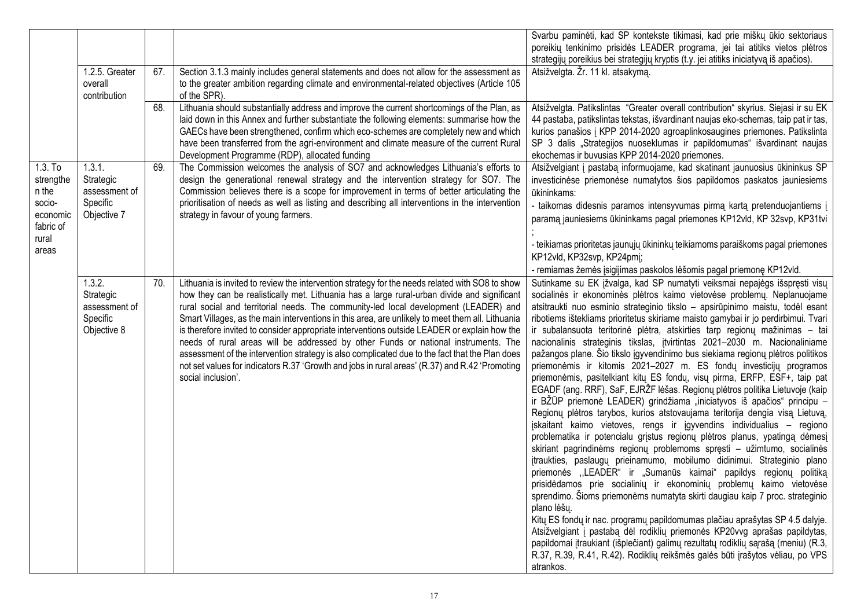|                                                                                      | 1.2.5. Greater<br>overall<br>contribution                       | 67.<br>68. | Section 3.1.3 mainly includes general statements and does not allow for the assessment as<br>to the greater ambition regarding climate and environmental-related objectives (Article 105<br>of the SPR).<br>Lithuania should substantially address and improve the current shortcomings of the Plan, as<br>laid down in this Annex and further substantiate the following elements: summarise how the<br>GAECs have been strengthened, confirm which eco-schemes are completely new and which<br>have been transferred from the agri-environment and climate measure of the current Rural                                                                                                                                                                                                                  | Svarbu paminėti, kad SP kontekste tikimasi, kad prie miškų ūkio sektoriaus<br>poreikių tenkinimo prisidės LEADER programa, jei tai atitiks vietos plėtros<br>strategijų poreikius bei strategijų kryptis (t.y. jei atitiks iniciatyvą iš apačios).<br>Atsižvelgta. Žr. 11 kl. atsakymą.<br>Atsižvelgta. Patikslintas "Greater overall contribution" skyrius. Siejasi ir su EK<br>44 pastaba, patikslintas tekstas, išvardinant naujas eko-schemas, taip pat ir tas,<br>kurios panašios į KPP 2014-2020 agroaplinkosaugines priemones. Patikslinta<br>SP 3 dalis "Strategijos nuoseklumas ir papildomumas" išvardinant naujas                                                                                                                                                                                                                                                                                                                                                                                                                                                                                                                                                                                                                                                                                                                                                                                                                                                                                                                                                                                                                                                                                                                                                                                                                                                  |
|--------------------------------------------------------------------------------------|-----------------------------------------------------------------|------------|------------------------------------------------------------------------------------------------------------------------------------------------------------------------------------------------------------------------------------------------------------------------------------------------------------------------------------------------------------------------------------------------------------------------------------------------------------------------------------------------------------------------------------------------------------------------------------------------------------------------------------------------------------------------------------------------------------------------------------------------------------------------------------------------------------|-------------------------------------------------------------------------------------------------------------------------------------------------------------------------------------------------------------------------------------------------------------------------------------------------------------------------------------------------------------------------------------------------------------------------------------------------------------------------------------------------------------------------------------------------------------------------------------------------------------------------------------------------------------------------------------------------------------------------------------------------------------------------------------------------------------------------------------------------------------------------------------------------------------------------------------------------------------------------------------------------------------------------------------------------------------------------------------------------------------------------------------------------------------------------------------------------------------------------------------------------------------------------------------------------------------------------------------------------------------------------------------------------------------------------------------------------------------------------------------------------------------------------------------------------------------------------------------------------------------------------------------------------------------------------------------------------------------------------------------------------------------------------------------------------------------------------------------------------------------------------------|
| $1.3.$ To<br>strengthe<br>n the<br>socio-<br>economic<br>fabric of<br>rural<br>areas | 1.3.1.<br>Strategic<br>assessment of<br>Specific<br>Objective 7 | 69.        | Development Programme (RDP), allocated funding<br>The Commission welcomes the analysis of SO7 and acknowledges Lithuania's efforts to<br>design the generational renewal strategy and the intervention strategy for SO7. The<br>Commission believes there is a scope for improvement in terms of better articulating the<br>prioritisation of needs as well as listing and describing all interventions in the intervention<br>strategy in favour of young farmers.                                                                                                                                                                                                                                                                                                                                        | ekochemas ir buvusias KPP 2014-2020 priemones.<br>Atsižvelgiant į pastabą informuojame, kad skatinant jaunuosius ūkininkus SP<br>investicinėse priemonėse numatytos šios papildomos paskatos jauniesiems<br>ūkininkams:<br>- taikomas didesnis paramos intensyvumas pirmą kartą pretenduojantiems į<br>paramą jauniesiems ūkininkams pagal priemones KP12vld, KP 32svp, KP31tvi<br>- teikiamas prioritetas jaunųjų ūkininkų teikiamoms paraiškoms pagal priemones<br>KP12vld, KP32svp, KP24pmj;<br>- remiamas žemės įsigijimas paskolos lėšomis pagal priemonę KP12vld.                                                                                                                                                                                                                                                                                                                                                                                                                                                                                                                                                                                                                                                                                                                                                                                                                                                                                                                                                                                                                                                                                                                                                                                                                                                                                                       |
|                                                                                      | 1.3.2.<br>Strategic<br>assessment of<br>Specific<br>Objective 8 | 70.        | Lithuania is invited to review the intervention strategy for the needs related with SO8 to show<br>how they can be realistically met. Lithuania has a large rural-urban divide and significant<br>rural social and territorial needs. The community-led local development (LEADER) and<br>Smart Villages, as the main interventions in this area, are unlikely to meet them all. Lithuania<br>is therefore invited to consider appropriate interventions outside LEADER or explain how the<br>needs of rural areas will be addressed by other Funds or national instruments. The<br>assessment of the intervention strategy is also complicated due to the fact that the Plan does<br>not set values for indicators R.37 'Growth and jobs in rural areas' (R.37) and R.42 'Promoting<br>social inclusion'. | Sutinkame su EK įžvalga, kad SP numatyti veiksmai nepajėgs išspręsti visų<br>socialinės ir ekonominės plėtros kaimo vietovėse problemų. Neplanuojame<br>atsitraukti nuo esminio strateginio tikslo - apsirūpinimo maistu, todėl esant<br>ribotiems ištekliams prioritetus skiriame maisto gamybai ir jo perdirbimui. Tvari<br>ir subalansuota teritorinė plėtra, atskirties tarp regionų mažinimas - tai<br>nacionalinis strateginis tikslas, įtvirtintas 2021-2030 m. Nacionaliniame<br>pažangos plane. Šio tikslo įgyvendinimo bus siekiama regionų plėtros politikos<br>priemonėmis ir kitomis 2021-2027 m. ES fondų investicijų programos<br>priemonėmis, pasitelkiant kitų ES fondų, visų pirma, ERFP, ESF+, taip pat<br>EGADF (ang. RRF), SaF, EJRŽF lėšas. Regionų plėtros politika Lietuvoje (kaip<br>ir BŽŪP priemonė LEADER) grindžiama "iniciatyvos iš apačios" principu –<br>Regionų plėtros tarybos, kurios atstovaujama teritorija dengia visą Lietuvą,<br>jskaitant kaimo vietoves, rengs ir įgyvendins individualius – regiono<br>problematika ir potencialu grįstus regionų plėtros planus, ypatingą dėmesį<br>skiriant pagrindinėms regionų problemoms spręsti – užimtumo, socialinės<br>įtraukties, paslaugų prieinamumo, mobilumo didinimui. Strateginio plano<br>priemonės "LEADER" ir "Sumanūs kaimai" papildys regionų politiką<br>prisidėdamos prie socialinių ir ekonominių problemų kaimo vietovėse<br>sprendimo. Šioms priemonėms numatyta skirti daugiau kaip 7 proc. strateginio<br>plano lėšų.<br>Kitų ES fondų ir nac. programų papildomumas plačiau aprašytas SP 4.5 dalyje.<br>Atsižvelgiant į pastabą dėl rodiklių priemonės KP20vvg aprašas papildytas,<br>papildomai įtraukiant (išplečiant) galimų rezultatų rodiklių sąrašą (meniu) (R.3,<br>R.37, R.39, R.41, R.42). Rodiklių reikšmės galės būti įrašytos vėliau, po VPS<br>atrankos. |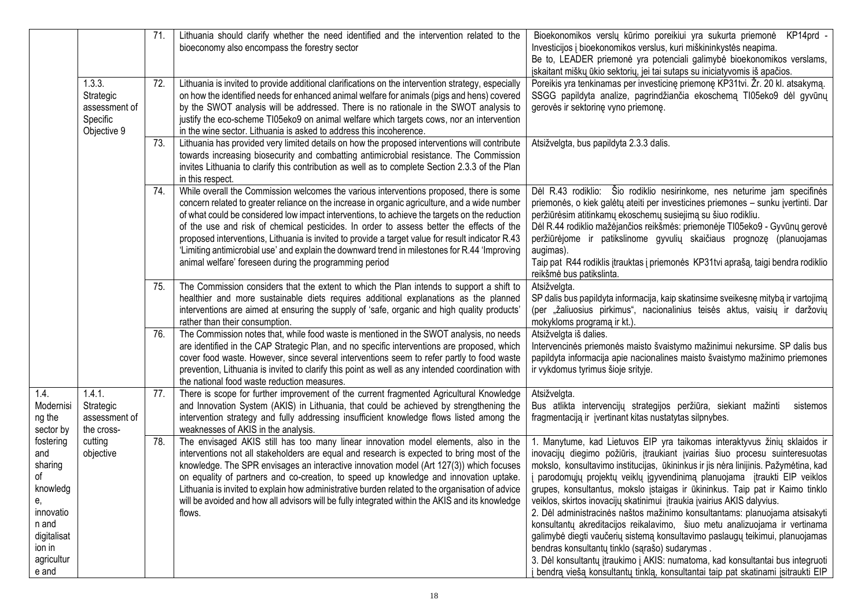|                                                                                                                           |                                                                 | 71. | Lithuania should clarify whether the need identified and the intervention related to the<br>bioeconomy also encompass the forestry sector                                                                                                                                                                                                                                                                                                                                                                                                                                                                                                            | Bioekonomikos verslų kūrimo poreikiui yra sukurta priemonė KP14prd -<br>Investicijos į bioekonomikos verslus, kuri miškininkystės neapima.<br>Be to, LEADER priemonė yra potenciali galimybė bioekonomikos verslams,<br>įskaitant miškų ūkio sektorių, jei tai sutaps su iniciatyvomis iš apačios.                                                                                                                                                                                                                                                                                                                                                                                                                                                                                                                                                                                                                                                       |
|---------------------------------------------------------------------------------------------------------------------------|-----------------------------------------------------------------|-----|------------------------------------------------------------------------------------------------------------------------------------------------------------------------------------------------------------------------------------------------------------------------------------------------------------------------------------------------------------------------------------------------------------------------------------------------------------------------------------------------------------------------------------------------------------------------------------------------------------------------------------------------------|----------------------------------------------------------------------------------------------------------------------------------------------------------------------------------------------------------------------------------------------------------------------------------------------------------------------------------------------------------------------------------------------------------------------------------------------------------------------------------------------------------------------------------------------------------------------------------------------------------------------------------------------------------------------------------------------------------------------------------------------------------------------------------------------------------------------------------------------------------------------------------------------------------------------------------------------------------|
|                                                                                                                           | 1.3.3.<br>Strategic<br>assessment of<br>Specific<br>Objective 9 | 72. | Lithuania is invited to provide additional clarifications on the intervention strategy, especially<br>on how the identified needs for enhanced animal welfare for animals (pigs and hens) covered<br>by the SWOT analysis will be addressed. There is no rationale in the SWOT analysis to<br>justify the eco-scheme TI05eko9 on animal welfare which targets cows, nor an intervention<br>in the wine sector. Lithuania is asked to address this incoherence.                                                                                                                                                                                       | Poreikis yra tenkinamas per investicinę priemonę KP31tvi. Žr. 20 kl. atsakymą.<br>SSGG papildyta analize, pagrindžiančia ekoschemą TI05eko9 dėl gyvūnų<br>gerovės ir sektorinę vyno priemonę.                                                                                                                                                                                                                                                                                                                                                                                                                                                                                                                                                                                                                                                                                                                                                            |
|                                                                                                                           |                                                                 | 73. | Lithuania has provided very limited details on how the proposed interventions will contribute<br>towards increasing biosecurity and combatting antimicrobial resistance. The Commission<br>invites Lithuania to clarify this contribution as well as to complete Section 2.3.3 of the Plan<br>in this respect.                                                                                                                                                                                                                                                                                                                                       | Atsižvelgta, bus papildyta 2.3.3 dalis.                                                                                                                                                                                                                                                                                                                                                                                                                                                                                                                                                                                                                                                                                                                                                                                                                                                                                                                  |
|                                                                                                                           |                                                                 | 74. | While overall the Commission welcomes the various interventions proposed, there is some<br>concern related to greater reliance on the increase in organic agriculture, and a wide number<br>of what could be considered low impact interventions, to achieve the targets on the reduction<br>of the use and risk of chemical pesticides. In order to assess better the effects of the<br>proposed interventions, Lithuania is invited to provide a target value for result indicator R.43<br>'Limiting antimicrobial use' and explain the downward trend in milestones for R.44 'Improving<br>animal welfare' foreseen during the programming period | Dėl R.43 rodiklio: Šio rodiklio nesirinkome, nes neturime jam specifinės<br>priemonės, o kiek galėtų ateiti per investicines priemones - sunku įvertinti. Dar<br>peržiūrėsim atitinkamų ekoschemų susiejimą su šiuo rodikliu.<br>Dėl R.44 rodiklio mažėjančios reikšmės: priemonėje Tl05eko9 - Gyvūnų gerovė<br>peržiūrėjome ir patikslinome gyvulių skaičiaus prognozę (planuojamas<br>augimas).<br>Taip pat R44 rodiklis įtrauktas į priemonės KP31tvi aprašą, taigi bendra rodiklio<br>reikšmė bus patikslinta.                                                                                                                                                                                                                                                                                                                                                                                                                                       |
|                                                                                                                           |                                                                 | 75. | The Commission considers that the extent to which the Plan intends to support a shift to<br>healthier and more sustainable diets requires additional explanations as the planned<br>interventions are aimed at ensuring the supply of 'safe, organic and high quality products'<br>rather than their consumption.                                                                                                                                                                                                                                                                                                                                    | Atsižvelgta.<br>SP dalis bus papildyta informacija, kaip skatinsime sveikesnę mitybą ir vartojimą<br>(per "žaliuosius pirkimus", nacionalinius teisės aktus, vaisių ir daržovių<br>mokykloms programą ir kt.).                                                                                                                                                                                                                                                                                                                                                                                                                                                                                                                                                                                                                                                                                                                                           |
|                                                                                                                           |                                                                 | 76. | The Commission notes that, while food waste is mentioned in the SWOT analysis, no needs<br>are identified in the CAP Strategic Plan, and no specific interventions are proposed, which<br>cover food waste. However, since several interventions seem to refer partly to food waste<br>prevention, Lithuania is invited to clarify this point as well as any intended coordination with<br>the national food waste reduction measures.                                                                                                                                                                                                               | Atsižvelgta iš dalies.<br>Intervencinės priemonės maisto švaistymo mažinimui nekursime. SP dalis bus<br>papildyta informacija apie nacionalines maisto švaistymo mažinimo priemones<br>ir vykdomus tyrimus šioje srityje.                                                                                                                                                                                                                                                                                                                                                                                                                                                                                                                                                                                                                                                                                                                                |
| 1.4.<br>Modernisi<br>ng the<br>sector by                                                                                  | 1.4.1.<br>Strategic<br>assessment of<br>the cross-              | 77. | There is scope for further improvement of the current fragmented Agricultural Knowledge<br>and Innovation System (AKIS) in Lithuania, that could be achieved by strengthening the<br>intervention strategy and fully addressing insufficient knowledge flows listed among the<br>weaknesses of AKIS in the analysis.                                                                                                                                                                                                                                                                                                                                 | Atsižvelgta.<br>Bus atlikta intervencijų strategijos peržiūra, siekiant mažinti<br>sistemos<br>fragmentaciją ir įvertinant kitas nustatytas silpnybes.                                                                                                                                                                                                                                                                                                                                                                                                                                                                                                                                                                                                                                                                                                                                                                                                   |
| fostering<br>and<br>sharing<br>of<br>knowledg<br>е,<br>innovatio<br>n and<br>digitalisat<br>ion in<br>agricultur<br>e and | cutting<br>objective                                            | 78. | The envisaged AKIS still has too many linear innovation model elements, also in the<br>interventions not all stakeholders are equal and research is expected to bring most of the<br>knowledge. The SPR envisages an interactive innovation model (Art 127(3)) which focuses<br>on equality of partners and co-creation, to speed up knowledge and innovation uptake.<br>Lithuania is invited to explain how administrative burden related to the organisation of advice<br>will be avoided and how all advisors will be fully integrated within the AKIS and its knowledge<br>flows.                                                                | 1. Manytume, kad Lietuvos EIP yra taikomas interaktyvus žinių sklaidos ir<br>inovacijų diegimo požiūris, įtraukiant įvairias šiuo procesu suinteresuotas<br>mokslo, konsultavimo institucijas, ūkininkus ir jis nėra linijinis. Pažymėtina, kad<br>parodomųjų projektų veiklų įgyvendinimą planuojama įtraukti EIP veiklos<br>grupes, konsultantus, mokslo įstaigas ir ūkininkus. Taip pat ir Kaimo tinklo<br>veiklos, skirtos inovacijų skatinimui įtraukia įvairius AKIS dalyvius.<br>2. Dėl administracinės naštos mažinimo konsultantams: planuojama atsisakyti<br>konsultantų akreditacijos reikalavimo, šiuo metu analizuojama ir vertinama<br>galimybė diegti vaučerių sistemą konsultavimo paslaugų teikimui, planuojamas<br>bendras konsultantų tinklo (sąrašo) sudarymas.<br>3. Dėl konsultantų įtraukimo į AKIS: numatoma, kad konsultantai bus integruoti<br>bendrą viešą konsultantų tinklą, konsultantai taip pat skatinami įsitraukti EIP |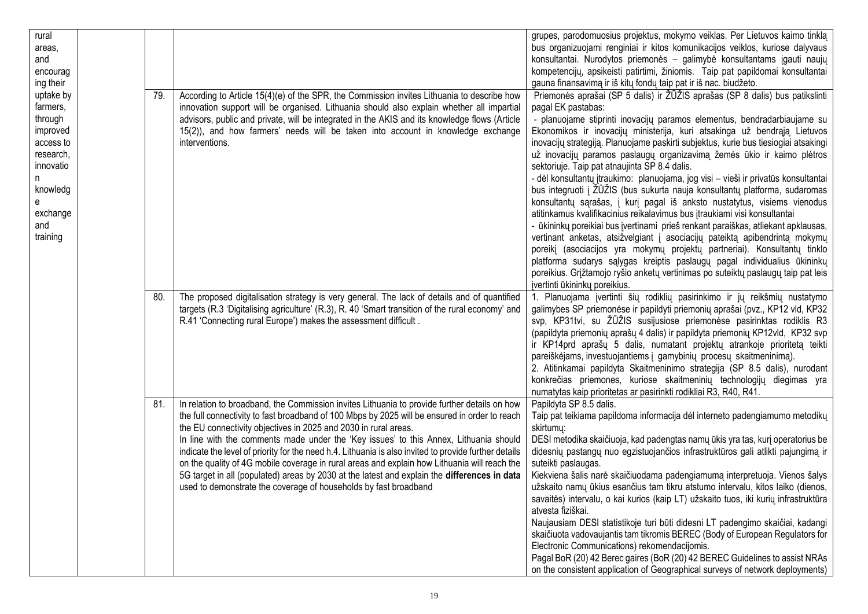| rural     |     |                                                                                                       | grupes, parodomuosius projektus, mokymo veiklas. Per Lietuvos kaimo tinklą          |
|-----------|-----|-------------------------------------------------------------------------------------------------------|-------------------------------------------------------------------------------------|
| areas,    |     |                                                                                                       | bus organizuojami renginiai ir kitos komunikacijos veiklos, kuriose dalyvaus        |
| and       |     |                                                                                                       | konsultantai. Nurodytos priemonės – galimybė konsultantams įgauti naujų             |
| encourag  |     |                                                                                                       | kompetencijų, apsikeisti patirtimi, žiniomis. Taip pat papildomai konsultantai      |
| ing their |     |                                                                                                       | gauna finansavimą ir iš kitų fondų taip pat ir iš nac. biudžeto.                    |
| uptake by | 79. | According to Article 15(4)(e) of the SPR, the Commission invites Lithuania to describe how            | Priemonės aprašai (SP 5 dalis) ir ŽŪŽIS aprašas (SP 8 dalis) bus patikslinti        |
| farmers,  |     | innovation support will be organised. Lithuania should also explain whether all impartial             | pagal EK pastabas:                                                                  |
| through   |     | advisors, public and private, will be integrated in the AKIS and its knowledge flows (Article         | - planuojame stiprinti inovacijų paramos elementus, bendradarbiaujame su            |
| improved  |     | 15(2)), and how farmers' needs will be taken into account in knowledge exchange                       | Ekonomikos ir inovacijų ministerija, kuri atsakinga už bendrąją Lietuvos            |
| access to |     | interventions.                                                                                        | inovacijų strategiją. Planuojame paskirti subjektus, kurie bus tiesiogiai atsakingi |
| research, |     |                                                                                                       | už inovacijų paramos paslaugų organizavimą žemės ūkio ir kaimo plėtros              |
| innovatio |     |                                                                                                       | sektoriuje. Taip pat atnaujinta SP 8.4 dalis.                                       |
| n         |     |                                                                                                       | - dėl konsultantų įtraukimo: planuojama, jog visi - vieši ir privatūs konsultantai  |
| knowledg  |     |                                                                                                       | bus integruoti į ŽŪŽIS (bus sukurta nauja konsultantų platforma, sudaromas          |
| е         |     |                                                                                                       | konsultantų sąrašas, į kurį pagal iš anksto nustatytus, visiems vienodus            |
| exchange  |     |                                                                                                       | atitinkamus kvalifikacinius reikalavimus bus įtraukiami visi konsultantai           |
| and       |     |                                                                                                       | - ūkininkų poreikiai bus įvertinami prieš renkant paraiškas, atliekant apklausas,   |
| training  |     |                                                                                                       | vertinant anketas, atsižvelgiant į asociacijų pateiktą apibendrintą mokymų          |
|           |     |                                                                                                       | poreikį (asociacijos yra mokymų projektų partneriai). Konsultantų tinklo            |
|           |     |                                                                                                       | platforma sudarys sąlygas kreiptis paslaugų pagal individualius ūkininkų            |
|           |     |                                                                                                       | poreikius. Grįžtamojo ryšio anketų vertinimas po suteiktų paslaugų taip pat leis    |
|           |     |                                                                                                       | jvertinti ūkininkų poreikius.                                                       |
|           | 80. | The proposed digitalisation strategy is very general. The lack of details and of quantified           | 1. Planuojama įvertinti šių rodiklių pasirinkimo ir jų reikšmių nustatymo           |
|           |     | targets (R.3 'Digitalising agriculture' (R.3), R. 40 'Smart transition of the rural economy' and      | galimybes SP priemonėse ir papildyti priemonių aprašai (pvz., KP12 vld, KP32        |
|           |     | R.41 'Connecting rural Europe') makes the assessment difficult.                                       | svp, KP31tvi, su ŽŪŽIS susijusiose priemonėse pasirinktas rodiklis R3               |
|           |     |                                                                                                       | (papildyta priemonių aprašų 4 dalis) ir papildyta priemonių KP12vld, KP32 svp       |
|           |     |                                                                                                       | ir KP14prd aprašų 5 dalis, numatant projektų atrankoje prioritetą teikti            |
|           |     |                                                                                                       | pareiškėjams, investuojantiems į gamybinių procesų skaitmeninimą).                  |
|           |     |                                                                                                       | 2. Atitinkamai papildyta Skaitmeninimo strategija (SP 8.5 dalis), nurodant          |
|           |     |                                                                                                       | konkrečias priemones, kuriose skaitmeninių technologijų diegimas yra                |
|           |     |                                                                                                       | numatytas kaip prioritetas ar pasirinkti rodikliai R3, R40, R41.                    |
|           | 81. | In relation to broadband, the Commission invites Lithuania to provide further details on how          | Papildyta SP 8.5 dalis.                                                             |
|           |     | the full connectivity to fast broadband of 100 Mbps by 2025 will be ensured in order to reach         | Taip pat teikiama papildoma informacija dėl interneto padengiamumo metodikų         |
|           |     | the EU connectivity objectives in 2025 and 2030 in rural areas.                                       | skirtumų:                                                                           |
|           |     | In line with the comments made under the 'Key issues' to this Annex, Lithuania should                 | DESI metodika skaičiuoja, kad padengtas namų ūkis yra tas, kurį operatorius be      |
|           |     | indicate the level of priority for the need h.4. Lithuania is also invited to provide further details | didesnių pastangų nuo egzistuojančios infrastruktūros gali atlikti pajungimą ir     |
|           |     | on the quality of 4G mobile coverage in rural areas and explain how Lithuania will reach the          | suteikti paslaugas.                                                                 |
|           |     | 5G target in all (populated) areas by 2030 at the latest and explain the differences in data          | Kiekviena šalis narė skaičiuodama padengiamumą interpretuoja. Vienos šalys          |
|           |     | used to demonstrate the coverage of households by fast broadband                                      | užskaito namų ūkius esančius tam tikru atstumo intervalu, kitos laiko (dienos,      |
|           |     |                                                                                                       | savaitės) intervalu, o kai kurios (kaip LT) užskaito tuos, iki kurių infrastruktūra |
|           |     |                                                                                                       | atvesta fiziškai.                                                                   |
|           |     |                                                                                                       | Naujausiam DESI statistikoje turi būti didesni LT padengimo skaičiai, kadangi       |
|           |     |                                                                                                       | skaičiuota vadovaujantis tam tikromis BEREC (Body of European Regulators for        |
|           |     |                                                                                                       | Electronic Communications) rekomendacijomis.                                        |
|           |     |                                                                                                       | Pagal BoR (20) 42 Berec gaires (BoR (20) 42 BEREC Guidelines to assist NRAs         |
|           |     |                                                                                                       | on the consistent application of Geographical surveys of network deployments)       |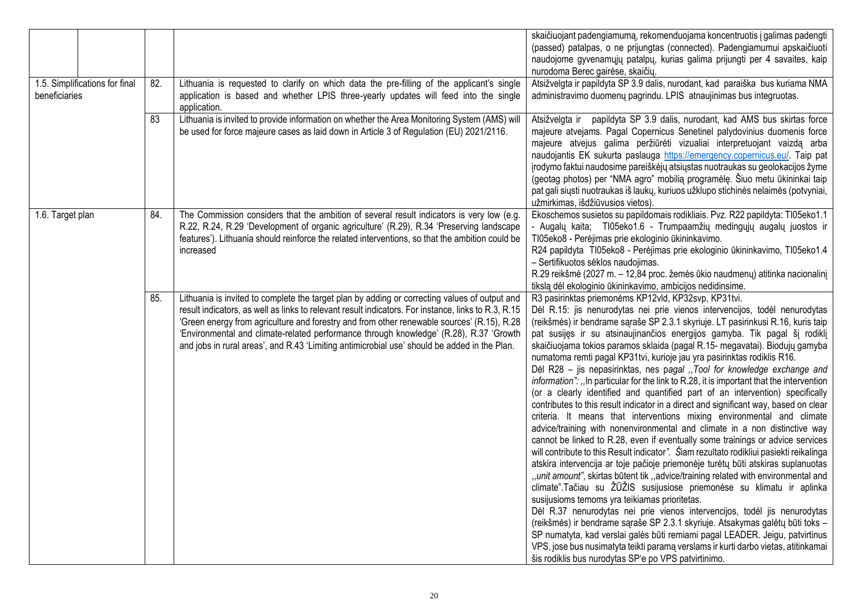|                                                 |     |                                                                                                                                                                                                                                                                                                                                                                                                                                                                                              | skaičiuojant padengiamumą, rekomenduojama koncentruotis į galimas padengti<br>(passed) patalpas, o ne prijungtas (connected). Padengiamumui apskaičiuoti<br>naudojome gyvenamųjų patalpų, kurias galima prijungti per 4 savaites, kaip<br>nurodoma Berec gairėse, skaičių.                                                                                                                                                                                                                                                                                                                                                                                                                                                                                                                                                                                                                                                                                                                                                                                                                                                                                                                                                                                                                                                                                                                                                                                                                                                                                                                                                                                                                                                                                                                                                                        |
|-------------------------------------------------|-----|----------------------------------------------------------------------------------------------------------------------------------------------------------------------------------------------------------------------------------------------------------------------------------------------------------------------------------------------------------------------------------------------------------------------------------------------------------------------------------------------|---------------------------------------------------------------------------------------------------------------------------------------------------------------------------------------------------------------------------------------------------------------------------------------------------------------------------------------------------------------------------------------------------------------------------------------------------------------------------------------------------------------------------------------------------------------------------------------------------------------------------------------------------------------------------------------------------------------------------------------------------------------------------------------------------------------------------------------------------------------------------------------------------------------------------------------------------------------------------------------------------------------------------------------------------------------------------------------------------------------------------------------------------------------------------------------------------------------------------------------------------------------------------------------------------------------------------------------------------------------------------------------------------------------------------------------------------------------------------------------------------------------------------------------------------------------------------------------------------------------------------------------------------------------------------------------------------------------------------------------------------------------------------------------------------------------------------------------------------|
| 1.5. Simplifications for final<br>beneficiaries | 82. | Lithuania is requested to clarify on which data the pre-filling of the applicant's single<br>application is based and whether LPIS three-yearly updates will feed into the single<br>application.                                                                                                                                                                                                                                                                                            | Atsižvelgta ir papildyta SP 3.9 dalis, nurodant, kad paraiška bus kuriama NMA<br>administravimo duomenų pagrindu. LPIS atnaujinimas bus integruotas.                                                                                                                                                                                                                                                                                                                                                                                                                                                                                                                                                                                                                                                                                                                                                                                                                                                                                                                                                                                                                                                                                                                                                                                                                                                                                                                                                                                                                                                                                                                                                                                                                                                                                              |
|                                                 | 83  | Lithuania is invited to provide information on whether the Area Monitoring System (AMS) will<br>be used for force majeure cases as laid down in Article 3 of Regulation (EU) 2021/2116.                                                                                                                                                                                                                                                                                                      | Atsižvelgta ir papildyta SP 3.9 dalis, nurodant, kad AMS bus skirtas force<br>majeure atvejams. Pagal Copernicus Senetinel palydovinius duomenis force<br>majeure atvejus galima peržiūrėti vizualiai interpretuojant vaizdą arba<br>naudojantis EK sukurta paslauga https://emergency.copernicus.eu/. Taip pat<br>įrodymo faktui naudosime pareiškėjų atsiųstas nuotraukas su geolokacijos žyme<br>(geotag photos) per "NMA agro" mobilia programėlę. Šiuo metu ūkininkai taip<br>pat gali siųsti nuotraukas iš laukų, kuriuos užklupo stichinės nelaimės (potvyniai,<br>užmirkimas, išdžiūvusios vietos)                                                                                                                                                                                                                                                                                                                                                                                                                                                                                                                                                                                                                                                                                                                                                                                                                                                                                                                                                                                                                                                                                                                                                                                                                                        |
| 1.6. Target plan                                | 84. | The Commission considers that the ambition of several result indicators is very low (e.g.<br>R.22, R.24, R.29 'Development of organic agriculture' (R.29), R.34 'Preserving landscape<br>features'). Lithuania should reinforce the related interventions, so that the ambition could be<br>increased                                                                                                                                                                                        | Ekoschemos susietos su papildomais rodikliais. Pvz. R22 papildyta: TI05eko1.1<br>- Augalų kaita; TI05eko1.6 - Trumpaamžių medingųjų augalų juostos ir<br>TI05eko8 - Perėjimas prie ekologinio ūkininkavimo.<br>R24 papildyta TI05eko8 - Perėjimas prie ekologinio ūkininkavimo, TI05eko1.4<br>- Sertifikuotos sėklos naudojimas.<br>R.29 reikšmė (2027 m. – 12,84 proc. žemės ūkio naudmenų) atitinka nacionalinį<br>tikslą dėl ekologinio ūkininkavimo, ambicijos nedidinsime.                                                                                                                                                                                                                                                                                                                                                                                                                                                                                                                                                                                                                                                                                                                                                                                                                                                                                                                                                                                                                                                                                                                                                                                                                                                                                                                                                                   |
|                                                 | 85. | Lithuania is invited to complete the target plan by adding or correcting values of output and<br>result indicators, as well as links to relevant result indicators. For instance, links to R.3, R.15<br>'Green energy from agriculture and forestry and from other renewable sources' (R.15), R.28<br>'Environmental and climate-related performance through knowledge' (R.28), R.37 'Growth<br>and jobs in rural areas', and R.43 'Limiting antimicrobial use' should be added in the Plan. | R3 pasirinktas priemonėms KP12vld, KP32svp, KP31tvi.<br>Dėl R.15: jis nenurodytas nei prie vienos intervencijos, todėl nenurodytas<br>(reikšmės) ir bendrame sąraše SP 2.3.1 skyriuje. LT pasirinkusi R.16, kuris taip<br>pat susijęs ir su atsinaujinančios energijos gamyba. Tik pagal šį rodiklį<br>skaičiuojama tokios paramos sklaida (pagal R.15- megavatai). Biodujų gamyba<br>numatoma remti pagal KP31tvi, kurioje jau yra pasirinktas rodiklis R16.<br>Del R28 - jis nepasirinktas, nes pagal "Tool for knowledge exchange and<br>information": "In particular for the link to R.28, it is important that the intervention<br>(or a clearly identified and quantified part of an intervention) specifically<br>contributes to this result indicator in a direct and significant way, based on clear<br>criteria. It means that interventions mixing environmental and climate<br>advice/training with nonenvironmental and climate in a non distinctive way<br>cannot be linked to R.28, even if eventually some trainings or advice services<br>will contribute to this Result indicator". Šiam rezultato rodikliui pasiekti reikalinga<br>atskira intervencija ar toje pačioje priemonėje turėtų būti atskiras suplanuotas<br>"unit amount", skirtas būtent tik "advice/training related with environmental and<br>climate".Tačiau su ŽŪŽIS susijusiose priemonėse su klimatu ir aplinka<br>susijusioms temoms yra teikiamas prioritetas.<br>Dėl R.37 nenurodytas nei prie vienos intervencijos, todėl jis nenurodytas<br>(reikšmės) ir bendrame sąraše SP 2.3.1 skyriuje. Atsakymas galėtų būti toks -<br>SP numatyta, kad verslai galės būti remiami pagal LEADER. Jeigu, patvirtinus<br>VPS, jose bus nusimatyta teikti paramą verslams ir kurti darbo vietas, atitinkamai<br>šis rodiklis bus nurodytas SP'e po VPS patvirtinimo. |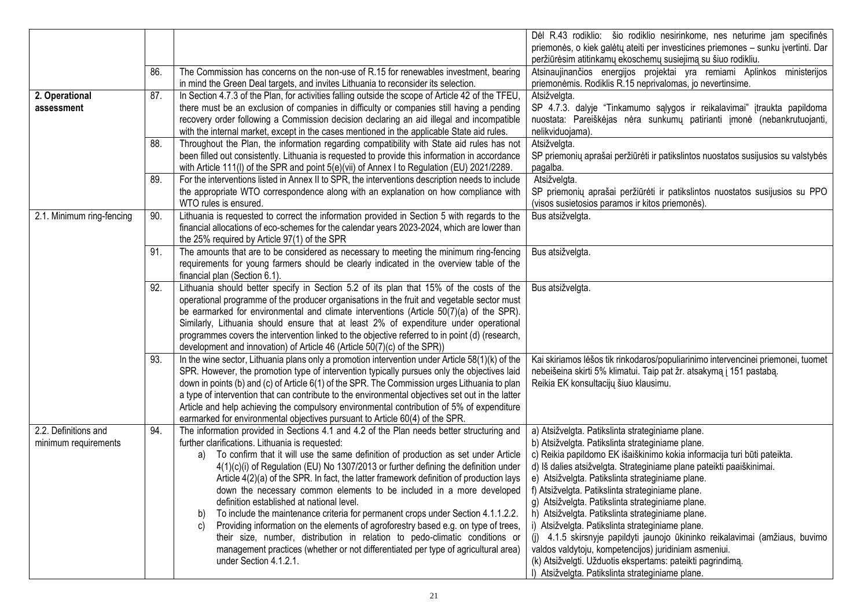|                           |     |                                                                                                                                                                                 | Dėl R.43 rodiklio: šio rodiklio nesirinkome, nes neturime jam specifinės<br>priemonės, o kiek galėtų ateiti per investicines priemones - sunku įvertinti. Dar |
|---------------------------|-----|---------------------------------------------------------------------------------------------------------------------------------------------------------------------------------|---------------------------------------------------------------------------------------------------------------------------------------------------------------|
|                           |     |                                                                                                                                                                                 | peržiūrėsim atitinkamų ekoschemų susiejimą su šiuo rodikliu.                                                                                                  |
|                           | 86. | The Commission has concerns on the non-use of R.15 for renewables investment, bearing                                                                                           | Atsinaujinančios energijos projektai yra remiami Aplinkos ministerijos                                                                                        |
|                           |     | in mind the Green Deal targets, and invites Lithuania to reconsider its selection.                                                                                              | priemonėmis. Rodiklis R.15 neprivalomas, jo nevertinsime.                                                                                                     |
| 2. Operational            | 87. | In Section 4.7.3 of the Plan, for activities falling outside the scope of Article 42 of the TFEU,                                                                               | Atsižvelgta.                                                                                                                                                  |
| assessment                |     | there must be an exclusion of companies in difficulty or companies still having a pending                                                                                       | SP 4.7.3. dalyje "Tinkamumo sąlygos ir reikalavimai" įtraukta papildoma                                                                                       |
|                           |     | recovery order following a Commission decision declaring an aid illegal and incompatible                                                                                        | nuostata: Pareiškėjas nėra sunkumų patirianti įmonė (nebankrutuojanti,                                                                                        |
|                           |     | with the internal market, except in the cases mentioned in the applicable State aid rules.                                                                                      | nelikviduojama).                                                                                                                                              |
|                           | 88. | Throughout the Plan, the information regarding compatibility with State aid rules has not                                                                                       | Atsižvelgta.                                                                                                                                                  |
|                           |     | been filled out consistently. Lithuania is requested to provide this information in accordance                                                                                  | SP priemonių aprašai peržiūrėti ir patikslintos nuostatos susijusios su valstybės                                                                             |
|                           |     | with Article 111(I) of the SPR and point 5(e)(vii) of Annex I to Regulation (EU) 2021/2289.                                                                                     | pagalba.                                                                                                                                                      |
|                           | 89. | For the interventions listed in Annex II to SPR, the interventions description needs to include                                                                                 | Atsižvelgta.                                                                                                                                                  |
|                           |     | the appropriate WTO correspondence along with an explanation on how compliance with                                                                                             | SP priemonių aprašai peržiūrėti ir patikslintos nuostatos susijusios su PPO                                                                                   |
|                           |     | WTO rules is ensured.                                                                                                                                                           | (visos susietosios paramos ir kitos priemonės).                                                                                                               |
| 2.1. Minimum ring-fencing | 90. | Lithuania is requested to correct the information provided in Section 5 with regards to the                                                                                     | Bus atsižvelgta.                                                                                                                                              |
|                           |     | financial allocations of eco-schemes for the calendar years 2023-2024, which are lower than                                                                                     |                                                                                                                                                               |
|                           |     | the 25% required by Article 97(1) of the SPR                                                                                                                                    |                                                                                                                                                               |
|                           | 91. | The amounts that are to be considered as necessary to meeting the minimum ring-fencing                                                                                          | Bus atsižvelgta.                                                                                                                                              |
|                           |     | requirements for young farmers should be clearly indicated in the overview table of the                                                                                         |                                                                                                                                                               |
|                           |     | financial plan (Section 6.1).                                                                                                                                                   |                                                                                                                                                               |
|                           | 92. | Lithuania should better specify in Section 5.2 of its plan that 15% of the costs of the                                                                                         | Bus atsižvelgta.                                                                                                                                              |
|                           |     | operational programme of the producer organisations in the fruit and vegetable sector must                                                                                      |                                                                                                                                                               |
|                           |     | be earmarked for environmental and climate interventions (Article 50(7)(a) of the SPR).<br>Similarly, Lithuania should ensure that at least 2% of expenditure under operational |                                                                                                                                                               |
|                           |     | programmes covers the intervention linked to the objective referred to in point (d) (research,                                                                                  |                                                                                                                                                               |
|                           |     | development and innovation) of Article 46 (Article 50(7)(c) of the SPR))                                                                                                        |                                                                                                                                                               |
|                           | 93. | In the wine sector, Lithuania plans only a promotion intervention under Article 58(1)(k) of the                                                                                 | Kai skiriamos lėšos tik rinkodaros/populiarinimo intervencinei priemonei, tuomet                                                                              |
|                           |     | SPR. However, the promotion type of intervention typically pursues only the objectives laid                                                                                     | nebeišeina skirti 5% klimatui. Taip pat žr. atsakymą į 151 pastabą.                                                                                           |
|                           |     | down in points (b) and (c) of Article 6(1) of the SPR. The Commission urges Lithuania to plan                                                                                   | Reikia EK konsultacijų šiuo klausimu.                                                                                                                         |
|                           |     | a type of intervention that can contribute to the environmental objectives set out in the latter                                                                                |                                                                                                                                                               |
|                           |     | Article and help achieving the compulsory environmental contribution of 5% of expenditure                                                                                       |                                                                                                                                                               |
|                           |     | earmarked for environmental objectives pursuant to Article 60(4) of the SPR.                                                                                                    |                                                                                                                                                               |
| 2.2. Definitions and      | 94. | The information provided in Sections 4.1 and 4.2 of the Plan needs better structuring and                                                                                       | a) Atsižvelgta. Patikslinta strateginiame plane.                                                                                                              |
| minimum requirements      |     | further clarifications. Lithuania is requested:                                                                                                                                 | b) Atsižvelgta. Patikslinta strateginiame plane.                                                                                                              |
|                           |     | a) To confirm that it will use the same definition of production as set under Article                                                                                           | c) Reikia papildomo EK išaiškinimo kokia informacija turi būti pateikta.                                                                                      |
|                           |     | 4(1)(c)(i) of Regulation (EU) No 1307/2013 or further defining the definition under                                                                                             | d) Iš dalies atsižvelgta. Strateginiame plane pateikti paaiškinimai.                                                                                          |
|                           |     | Article 4(2)(a) of the SPR. In fact, the latter framework definition of production lays                                                                                         | e) Atsižvelgta. Patikslinta strateginiame plane.                                                                                                              |
|                           |     | down the necessary common elements to be included in a more developed                                                                                                           | f) Atsižvelgta. Patikslinta strateginiame plane.                                                                                                              |
|                           |     | definition established at national level.                                                                                                                                       | g) Atsižvelgta. Patikslinta strateginiame plane.                                                                                                              |
|                           |     | To include the maintenance criteria for permanent crops under Section 4.1.1.2.2.<br>b)                                                                                          | h) Atsižvelgta. Patikslinta strateginiame plane.                                                                                                              |
|                           |     | Providing information on the elements of agroforestry based e.g. on type of trees,<br>C)                                                                                        | i) Atsižvelgta. Patikslinta strateginiame plane.                                                                                                              |
|                           |     | their size, number, distribution in relation to pedo-climatic conditions or                                                                                                     | (j) 4.1.5 skirsnyje papildyti jaunojo ūkininko reikalavimai (amžiaus, buvimo                                                                                  |
|                           |     | management practices (whether or not differentiated per type of agricultural area)                                                                                              | valdos valdytoju, kompetencijos) juridiniam asmeniui.                                                                                                         |
|                           |     | under Section 4.1.2.1.                                                                                                                                                          | (k) Atsižvelgti. Užduotis ekspertams: pateikti pagrindimą.                                                                                                    |
|                           |     |                                                                                                                                                                                 | I) Atsižvelgta. Patikslinta strateginiame plane.                                                                                                              |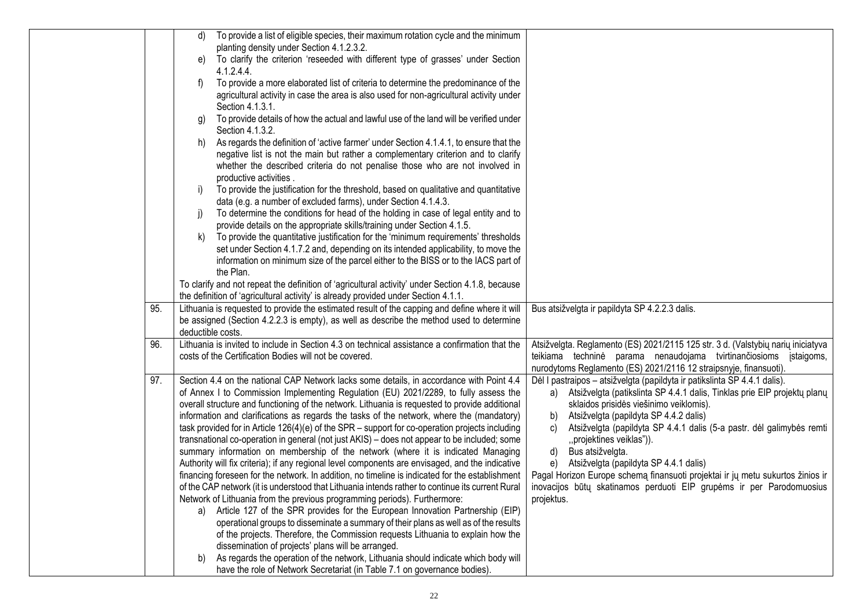|     | To provide a list of eligible species, their maximum rotation cycle and the minimum<br>d)                                                                                              |                                                                                                                                                          |
|-----|----------------------------------------------------------------------------------------------------------------------------------------------------------------------------------------|----------------------------------------------------------------------------------------------------------------------------------------------------------|
|     | planting density under Section 4.1.2.3.2.                                                                                                                                              |                                                                                                                                                          |
|     | To clarify the criterion 'reseeded with different type of grasses' under Section<br>e)<br>4.1.2.4.4                                                                                    |                                                                                                                                                          |
|     | To provide a more elaborated list of criteria to determine the predominance of the<br>f)                                                                                               |                                                                                                                                                          |
|     | agricultural activity in case the area is also used for non-agricultural activity under                                                                                                |                                                                                                                                                          |
|     | Section 4.1.3.1.                                                                                                                                                                       |                                                                                                                                                          |
|     | To provide details of how the actual and lawful use of the land will be verified under<br>g)                                                                                           |                                                                                                                                                          |
|     | Section 4.1.3.2.                                                                                                                                                                       |                                                                                                                                                          |
|     | As regards the definition of 'active farmer' under Section 4.1.4.1, to ensure that the<br>h)                                                                                           |                                                                                                                                                          |
|     | negative list is not the main but rather a complementary criterion and to clarify                                                                                                      |                                                                                                                                                          |
|     | whether the described criteria do not penalise those who are not involved in                                                                                                           |                                                                                                                                                          |
|     | productive activities.<br>To provide the justification for the threshold, based on qualitative and quantitative<br>i)                                                                  |                                                                                                                                                          |
|     | data (e.g. a number of excluded farms), under Section 4.1.4.3.                                                                                                                         |                                                                                                                                                          |
|     | To determine the conditions for head of the holding in case of legal entity and to<br>$\vert$ )                                                                                        |                                                                                                                                                          |
|     | provide details on the appropriate skills/training under Section 4.1.5.                                                                                                                |                                                                                                                                                          |
|     | To provide the quantitative justification for the 'minimum requirements' thresholds<br>k)                                                                                              |                                                                                                                                                          |
|     | set under Section 4.1.7.2 and, depending on its intended applicability, to move the                                                                                                    |                                                                                                                                                          |
|     | information on minimum size of the parcel either to the BISS or to the IACS part of                                                                                                    |                                                                                                                                                          |
|     | the Plan.                                                                                                                                                                              |                                                                                                                                                          |
|     | To clarify and not repeat the definition of 'agricultural activity' under Section 4.1.8, because<br>the definition of 'agricultural activity' is already provided under Section 4.1.1. |                                                                                                                                                          |
| 95. | Lithuania is requested to provide the estimated result of the capping and define where it will                                                                                         | Bus atsižvelgta ir papildyta SP 4.2.2.3 dalis.                                                                                                           |
|     | be assigned (Section 4.2.2.3 is empty), as well as describe the method used to determine                                                                                               |                                                                                                                                                          |
|     | deductible costs.                                                                                                                                                                      |                                                                                                                                                          |
| 96. | Lithuania is invited to include in Section 4.3 on technical assistance a confirmation that the                                                                                         | Atsižvelgta. Reglamento (ES) 2021/2115 125 str. 3 d. (Valstybių narių iniciatyva                                                                         |
|     | costs of the Certification Bodies will not be covered.                                                                                                                                 | teikiama techninė parama nenaudojama tvirtinančiosioms įstaigoms,                                                                                        |
|     |                                                                                                                                                                                        | nurodytoms Reglamento (ES) 2021/2116 12 straipsnyje, finansuoti).                                                                                        |
| 97. | Section 4.4 on the national CAP Network lacks some details, in accordance with Point 4.4<br>of Annex I to Commission Implementing Regulation (EU) 2021/2289, to fully assess the       | Dėl I pastraipos – atsižvelgta (papildyta ir patikslinta SP 4.4.1 dalis).<br>a) Atsižvelgta (patikslinta SP 4.4.1 dalis, Tinklas prie EIP projektų planų |
|     | overall structure and functioning of the network. Lithuania is requested to provide additional                                                                                         | sklaidos prisidės viešinimo veiklomis).                                                                                                                  |
|     | information and clarifications as regards the tasks of the network, where the (mandatory)                                                                                              | Atsižvelgta (papildyta SP 4.4.2 dalis)<br>b)                                                                                                             |
|     | task provided for in Article 126(4)(e) of the SPR – support for co-operation projects including                                                                                        | Atsižvelgta (papildyta SP 4.4.1 dalis (5-a pastr. dėl galimybės remti<br>C)                                                                              |
|     | transnational co-operation in general (not just AKIS) - does not appear to be included; some                                                                                           | "projektines veiklas")).                                                                                                                                 |
|     | summary information on membership of the network (where it is indicated Managing                                                                                                       | d)<br>Bus atsižvelgta.                                                                                                                                   |
|     | Authority will fix criteria); if any regional level components are envisaged, and the indicative                                                                                       | Atsižvelgta (papildyta SP 4.4.1 dalis)<br>e)                                                                                                             |
|     | financing foreseen for the network. In addition, no timeline is indicated for the establishment                                                                                        | Pagal Horizon Europe schema finansuoti projektai ir jų metu sukurtos žinios ir                                                                           |
|     | of the CAP network (it is understood that Lithuania intends rather to continue its current Rural<br>Network of Lithuania from the previous programming periods). Furthermore:          | inovacijos būtų skatinamos perduoti EIP grupėms ir per Parodomuosius                                                                                     |
|     | Article 127 of the SPR provides for the European Innovation Partnership (EIP)<br>a)                                                                                                    | projektus.                                                                                                                                               |
|     | operational groups to disseminate a summary of their plans as well as of the results                                                                                                   |                                                                                                                                                          |
|     | of the projects. Therefore, the Commission requests Lithuania to explain how the                                                                                                       |                                                                                                                                                          |
|     | dissemination of projects' plans will be arranged.                                                                                                                                     |                                                                                                                                                          |
|     | As regards the operation of the network, Lithuania should indicate which body will<br>b)                                                                                               |                                                                                                                                                          |
|     | have the role of Network Secretariat (in Table 7.1 on governance bodies).                                                                                                              |                                                                                                                                                          |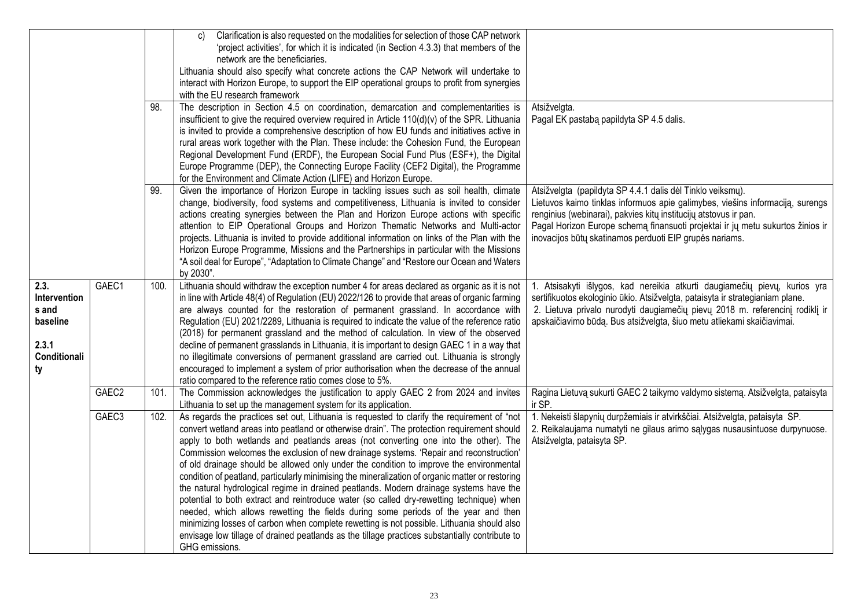|                                                                          |                   | 98.  | Clarification is also requested on the modalities for selection of those CAP network<br>C)<br>'project activities', for which it is indicated (in Section 4.3.3) that members of the<br>network are the beneficiaries.<br>Lithuania should also specify what concrete actions the CAP Network will undertake to<br>interact with Horizon Europe, to support the EIP operational groups to profit from synergies<br>with the EU research framework<br>The description in Section 4.5 on coordination, demarcation and complementarities is<br>insufficient to give the required overview required in Article 110(d)(v) of the SPR. Lithuania<br>is invited to provide a comprehensive description of how EU funds and initiatives active in<br>rural areas work together with the Plan. These include: the Cohesion Fund, the European<br>Regional Development Fund (ERDF), the European Social Fund Plus (ESF+), the Digital<br>Europe Programme (DEP), the Connecting Europe Facility (CEF2 Digital), the Programme<br>for the Environment and Climate Action (LIFE) and Horizon Europe. | Atsižvelgta.<br>Pagal EK pastaba papildyta SP 4.5 dalis.                                                                                                                                                                                                                                                                                                     |
|--------------------------------------------------------------------------|-------------------|------|-------------------------------------------------------------------------------------------------------------------------------------------------------------------------------------------------------------------------------------------------------------------------------------------------------------------------------------------------------------------------------------------------------------------------------------------------------------------------------------------------------------------------------------------------------------------------------------------------------------------------------------------------------------------------------------------------------------------------------------------------------------------------------------------------------------------------------------------------------------------------------------------------------------------------------------------------------------------------------------------------------------------------------------------------------------------------------------------|--------------------------------------------------------------------------------------------------------------------------------------------------------------------------------------------------------------------------------------------------------------------------------------------------------------------------------------------------------------|
|                                                                          |                   | 99.  | Given the importance of Horizon Europe in tackling issues such as soil health, climate<br>change, biodiversity, food systems and competitiveness, Lithuania is invited to consider<br>actions creating synergies between the Plan and Horizon Europe actions with specific<br>attention to EIP Operational Groups and Horizon Thematic Networks and Multi-actor<br>projects. Lithuania is invited to provide additional information on links of the Plan with the<br>Horizon Europe Programme, Missions and the Partnerships in particular with the Missions<br>"A soil deal for Europe", "Adaptation to Climate Change" and "Restore our Ocean and Waters<br>by 2030".                                                                                                                                                                                                                                                                                                                                                                                                                   | Atsižvelgta (papildyta SP 4.4.1 dalis dėl Tinklo veiksmų).<br>Lietuvos kaimo tinklas informuos apie galimybes, viešins informaciją, surengs<br>renginius (webinarai), pakvies kitų institucijų atstovus ir pan.<br>Pagal Horizon Europe schema finansuoti projektai ir jų metu sukurtos žinios ir<br>inovacijos būtų skatinamos perduoti EIP grupės nariams. |
| 2.3.<br>Intervention<br>s and<br>baseline<br>2.3.1<br>Conditionali<br>ty | GAEC1             | 100. | Lithuania should withdraw the exception number 4 for areas declared as organic as it is not<br>in line with Article 48(4) of Regulation (EU) 2022/126 to provide that areas of organic farming<br>are always counted for the restoration of permanent grassland. In accordance with<br>Regulation (EU) 2021/2289, Lithuania is required to indicate the value of the reference ratio<br>(2018) for permanent grassland and the method of calculation. In view of the observed<br>decline of permanent grasslands in Lithuania, it is important to design GAEC 1 in a way that<br>no illegitimate conversions of permanent grassland are carried out. Lithuania is strongly<br>encouraged to implement a system of prior authorisation when the decrease of the annual<br>ratio compared to the reference ratio comes close to 5%.                                                                                                                                                                                                                                                         | 1. Atsisakyti išlygos, kad nereikia atkurti daugiamečių pievų, kurios yra<br>sertifikuotos ekologinio ūkio. Atsižvelgta, pataisyta ir strategianiam plane.<br>2. Lietuva privalo nurodyti daugiamečių pievų 2018 m. referencinį rodiklį ir<br>apskaičiavimo būdą. Bus atsižvelgta, šiuo metu atliekami skaičiavimai.                                         |
|                                                                          | GAEC <sub>2</sub> | 101. | The Commission acknowledges the justification to apply GAEC 2 from 2024 and invites<br>Lithuania to set up the management system for its application.                                                                                                                                                                                                                                                                                                                                                                                                                                                                                                                                                                                                                                                                                                                                                                                                                                                                                                                                     | Ragina Lietuvą sukurti GAEC 2 taikymo valdymo sistemą. Atsižvelgta, pataisyta<br>ir SP.                                                                                                                                                                                                                                                                      |
|                                                                          | GAEC <sub>3</sub> | 102. | As regards the practices set out, Lithuania is requested to clarify the requirement of "not<br>convert wetland areas into peatland or otherwise drain". The protection requirement should<br>apply to both wetlands and peatlands areas (not converting one into the other). The<br>Commission welcomes the exclusion of new drainage systems. 'Repair and reconstruction'<br>of old drainage should be allowed only under the condition to improve the environmental<br>condition of peatland, particularly minimising the mineralization of organic matter or restoring<br>the natural hydrological regime in drained peatlands. Modern drainage systems have the<br>potential to both extract and reintroduce water (so called dry-rewetting technique) when<br>needed, which allows rewetting the fields during some periods of the year and then<br>minimizing losses of carbon when complete rewetting is not possible. Lithuania should also<br>envisage low tillage of drained peatlands as the tillage practices substantially contribute to<br>GHG emissions.                   | 1. Nekeisti šlapynių durpžemiais ir atvirkščiai. Atsižvelgta, pataisyta SP.<br>2. Reikalaujama numatyti ne gilaus arimo sąlygas nusausintuose durpynuose.<br>Atsižvelgta, pataisyta SP.                                                                                                                                                                      |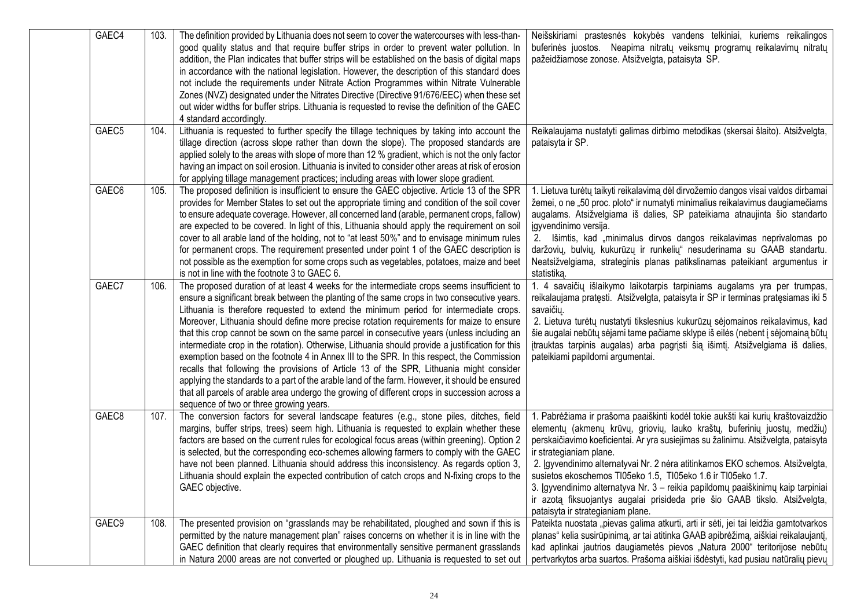| GAEC4             | 103. | The definition provided by Lithuania does not seem to cover the watercourses with less-than-<br>good quality status and that require buffer strips in order to prevent water pollution. In<br>addition, the Plan indicates that buffer strips will be established on the basis of digital maps<br>in accordance with the national legislation. However, the description of this standard does<br>not include the requirements under Nitrate Action Programmes within Nitrate Vulnerable<br>Zones (NVZ) designated under the Nitrates Directive (Directive 91/676/EEC) when these set<br>out wider widths for buffer strips. Lithuania is requested to revise the definition of the GAEC<br>4 standard accordingly.                                                                                                                                                                                                                                                                                                       | Neišskiriami prastesnės kokybės vandens telkiniai, kuriems reikalingos<br>buferinės juostos. Neapima nitratų veiksmų programų reikalavimų nitratų<br>pažeidžiamose zonose. Atsižvelgta, pataisyta SP.                                                                                                                                                                                                                                                                                                                                                                                                                               |
|-------------------|------|--------------------------------------------------------------------------------------------------------------------------------------------------------------------------------------------------------------------------------------------------------------------------------------------------------------------------------------------------------------------------------------------------------------------------------------------------------------------------------------------------------------------------------------------------------------------------------------------------------------------------------------------------------------------------------------------------------------------------------------------------------------------------------------------------------------------------------------------------------------------------------------------------------------------------------------------------------------------------------------------------------------------------|-------------------------------------------------------------------------------------------------------------------------------------------------------------------------------------------------------------------------------------------------------------------------------------------------------------------------------------------------------------------------------------------------------------------------------------------------------------------------------------------------------------------------------------------------------------------------------------------------------------------------------------|
| GAEC <sub>5</sub> | 104. | Lithuania is requested to further specify the tillage techniques by taking into account the<br>tillage direction (across slope rather than down the slope). The proposed standards are<br>applied solely to the areas with slope of more than 12 % gradient, which is not the only factor<br>having an impact on soil erosion. Lithuania is invited to consider other areas at risk of erosion<br>for applying tillage management practices; including areas with lower slope gradient.                                                                                                                                                                                                                                                                                                                                                                                                                                                                                                                                  | Reikalaujama nustatyti galimas dirbimo metodikas (skersai šlaito). Atsižvelgta,<br>pataisyta ir SP.                                                                                                                                                                                                                                                                                                                                                                                                                                                                                                                                 |
| GAEC <sub>6</sub> | 105. | The proposed definition is insufficient to ensure the GAEC objective. Article 13 of the SPR<br>provides for Member States to set out the appropriate timing and condition of the soil cover<br>to ensure adequate coverage. However, all concerned land (arable, permanent crops, fallow)<br>are expected to be covered. In light of this, Lithuania should apply the requirement on soil<br>cover to all arable land of the holding, not to "at least 50%" and to envisage minimum rules<br>for permanent crops. The requirement presented under point 1 of the GAEC description is<br>not possible as the exemption for some crops such as vegetables, potatoes, maize and beet<br>is not in line with the footnote 3 to GAEC 6.                                                                                                                                                                                                                                                                                       | 1. Lietuva turėtų taikyti reikalavimą dėl dirvožemio dangos visai valdos dirbamai<br>žemei, o ne "50 proc. ploto" ir numatyti minimalius reikalavimus daugiamečiams<br>augalams. Atsižvelgiama iš dalies, SP pateikiama atnaujinta šio standarto<br>įgyvendinimo versija.<br>2. Išimtis, kad "minimalus dirvos dangos reikalavimas neprivalomas po<br>daržovių, bulvių, kukurūzų ir runkelių" nesuderinama su GAAB standartu.<br>Neatsižvelgiama, strateginis planas patikslinamas pateikiant argumentus ir<br>statistiką.                                                                                                          |
| GAEC7             | 106. | The proposed duration of at least 4 weeks for the intermediate crops seems insufficient to<br>ensure a significant break between the planting of the same crops in two consecutive years.<br>Lithuania is therefore requested to extend the minimum period for intermediate crops.<br>Moreover, Lithuania should define more precise rotation requirements for maize to ensure<br>that this crop cannot be sown on the same parcel in consecutive years (unless including an<br>intermediate crop in the rotation). Otherwise, Lithuania should provide a justification for this<br>exemption based on the footnote 4 in Annex III to the SPR. In this respect, the Commission<br>recalls that following the provisions of Article 13 of the SPR, Lithuania might consider<br>applying the standards to a part of the arable land of the farm. However, it should be ensured<br>that all parcels of arable area undergo the growing of different crops in succession across a<br>sequence of two or three growing years. | 1. 4 savaičių išlaikymo laikotarpis tarpiniams augalams yra per trumpas,<br>reikalaujama pratęsti. Atsižvelgta, pataisyta ir SP ir terminas pratęsiamas iki 5<br>savaičių.<br>2. Lietuva turėtų nustatyti tikslesnius kukurūzų sėjomainos reikalavimus, kad<br>šie augalai nebūtų sėjami tame pačiame sklype iš eilės (nebent į sėjomainą būtų<br>įtrauktas tarpinis augalas) arba pagrįsti šią išimtį. Atsižvelgiama iš dalies,<br>pateikiami papildomi argumentai.                                                                                                                                                                |
| GAEC8             | 107. | The conversion factors for several landscape features (e.g., stone piles, ditches, field<br>margins, buffer strips, trees) seem high. Lithuania is requested to explain whether these<br>factors are based on the current rules for ecological focus areas (within greening). Option 2<br>is selected, but the corresponding eco-schemes allowing farmers to comply with the GAEC<br>have not been planned. Lithuania should address this inconsistency. As regards option 3,<br>Lithuania should explain the expected contribution of catch crops and N-fixing crops to the<br>GAEC objective.                                                                                                                                                                                                                                                                                                                                                                                                                          | 1. Pabrėžiama ir prašoma paaiškinti kodėl tokie aukšti kai kurių kraštovaizdžio<br>elementų (akmenų krūvų, griovių, lauko kraštų, buferinių juostų, medžių)<br>perskaičiavimo koeficientai. Ar yra susiejimas su žalinimu. Atsižvelgta, pataisyta<br>ir strategianiam plane.<br>2. Įgyvendinimo alternatyvai Nr. 2 nėra atitinkamos EKO schemos. Atsižvelgta,<br>susietos ekoschemos TI05eko 1.5, TI05eko 1.6 ir TI05eko 1.7.<br>3. Įgyvendinimo alternatyva Nr. 3 - reikia papildomų paaiškinimų kaip tarpiniai<br>ir azotą fiksuojantys augalai prisideda prie šio GAAB tikslo. Atsižvelgta,<br>pataisyta ir strategianiam plane. |
| GAEC9             | 108. | The presented provision on "grasslands may be rehabilitated, ploughed and sown if this is<br>permitted by the nature management plan" raises concerns on whether it is in line with the<br>GAEC definition that clearly requires that environmentally sensitive permanent grasslands<br>in Natura 2000 areas are not converted or ploughed up. Lithuania is requested to set out                                                                                                                                                                                                                                                                                                                                                                                                                                                                                                                                                                                                                                         | Pateikta nuostata "pievas galima atkurti, arti ir sėti, jei tai leidžia gamtotvarkos<br>planas" kelia susirūpinimą, ar tai atitinka GAAB apibrėžimą, aiškiai reikalaujantį,<br>kad aplinkai jautrios daugiametės pievos "Natura 2000" teritorijose nebūtų<br>pertvarkytos arba suartos. Prašoma aiškiai išdėstyti, kad pusiau natūralių pievų                                                                                                                                                                                                                                                                                       |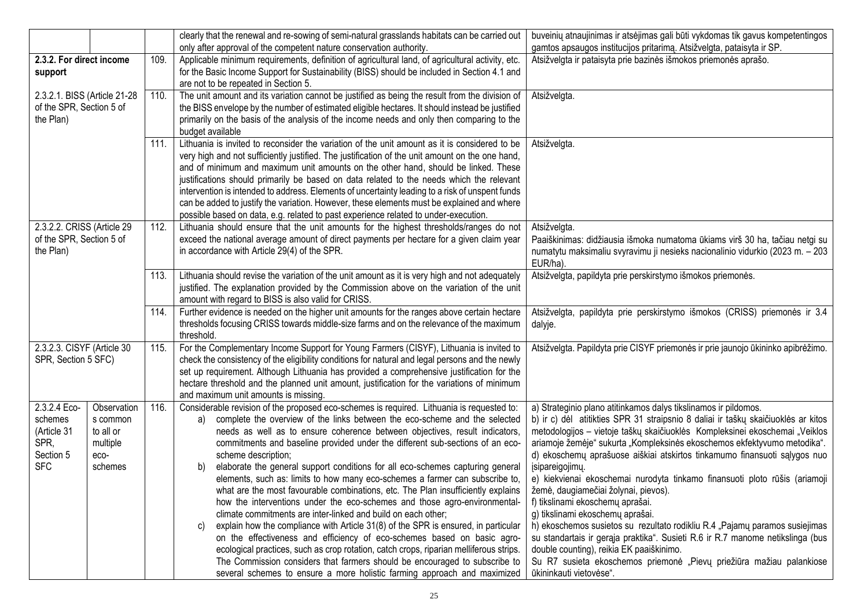|                              |             |      | clearly that the renewal and re-sowing of semi-natural grasslands habitats can be carried out    | buveinių atnaujinimas ir atsėjimas gali būti vykdomas tik gavus kompetentingos    |
|------------------------------|-------------|------|--------------------------------------------------------------------------------------------------|-----------------------------------------------------------------------------------|
|                              |             |      | only after approval of the competent nature conservation authority.                              | gamtos apsaugos institucijos pritarimą. Atsižvelgta, pataisyta ir SP.             |
| 2.3.2. For direct income     |             | 109. | Applicable minimum requirements, definition of agricultural land, of agricultural activity, etc. | Atsižvelgta ir pataisyta prie bazinės išmokos priemonės aprašo.                   |
| support                      |             |      | for the Basic Income Support for Sustainability (BISS) should be included in Section 4.1 and     |                                                                                   |
|                              |             |      | are not to be repeated in Section 5.                                                             |                                                                                   |
| 2.3.2.1. BISS (Article 21-28 |             | 110. | The unit amount and its variation cannot be justified as being the result from the division of   | Atsižvelgta.                                                                      |
| of the SPR, Section 5 of     |             |      | the BISS envelope by the number of estimated eligible hectares. It should instead be justified   |                                                                                   |
| the Plan)                    |             |      | primarily on the basis of the analysis of the income needs and only then comparing to the        |                                                                                   |
|                              |             |      | budget available                                                                                 |                                                                                   |
|                              |             | 111. | Lithuania is invited to reconsider the variation of the unit amount as it is considered to be    | Atsižvelgta.                                                                      |
|                              |             |      | very high and not sufficiently justified. The justification of the unit amount on the one hand,  |                                                                                   |
|                              |             |      | and of minimum and maximum unit amounts on the other hand, should be linked. These               |                                                                                   |
|                              |             |      | justifications should primarily be based on data related to the needs which the relevant         |                                                                                   |
|                              |             |      | intervention is intended to address. Elements of uncertainty leading to a risk of unspent funds  |                                                                                   |
|                              |             |      | can be added to justify the variation. However, these elements must be explained and where       |                                                                                   |
|                              |             |      | possible based on data, e.g. related to past experience related to under-execution.              |                                                                                   |
| 2.3.2.2. CRISS (Article 29   |             | 112. | Lithuania should ensure that the unit amounts for the highest thresholds/ranges do not           | Atsižvelgta.                                                                      |
| of the SPR, Section 5 of     |             |      | exceed the national average amount of direct payments per hectare for a given claim year         | Paaiškinimas: didžiausia išmoka numatoma ūkiams virš 30 ha, tačiau netgi su       |
| the Plan)                    |             |      | in accordance with Article 29(4) of the SPR.                                                     | numatytu maksimaliu svyravimu ji nesieks nacionalinio vidurkio (2023 m. - 203     |
|                              |             |      |                                                                                                  | EUR/ha).                                                                          |
|                              |             | 113. | Lithuania should revise the variation of the unit amount as it is very high and not adequately   | Atsižvelgta, papildyta prie perskirstymo išmokos priemonės.                       |
|                              |             |      | justified. The explanation provided by the Commission above on the variation of the unit         |                                                                                   |
|                              |             |      | amount with regard to BISS is also valid for CRISS.                                              |                                                                                   |
|                              |             | 114. | Further evidence is needed on the higher unit amounts for the ranges above certain hectare       | Atsižvelgta, papildyta prie perskirstymo išmokos (CRISS) priemonės ir 3.4         |
|                              |             |      | thresholds focusing CRISS towards middle-size farms and on the relevance of the maximum          | dalyje.                                                                           |
|                              |             |      | threshold.                                                                                       |                                                                                   |
| 2.3.2.3. CISYF (Article 30   |             | 115. | For the Complementary Income Support for Young Farmers (CISYF), Lithuania is invited to          | Atsižvelgta. Papildyta prie CISYF priemonės ir prie jaunojo ūkininko apibrėžimo.  |
| SPR, Section 5 SFC)          |             |      | check the consistency of the eligibility conditions for natural and legal persons and the newly  |                                                                                   |
|                              |             |      | set up requirement. Although Lithuania has provided a comprehensive justification for the        |                                                                                   |
|                              |             |      | hectare threshold and the planned unit amount, justification for the variations of minimum       |                                                                                   |
|                              |             |      | and maximum unit amounts is missing.                                                             |                                                                                   |
| 2.3.2.4 Eco-                 | Observation | 116. | Considerable revision of the proposed eco-schemes is required. Lithuania is requested to:        | a) Strateginio plano atitinkamos dalys tikslinamos ir pildomos.                   |
| schemes                      | s common    |      | complete the overview of the links between the eco-scheme and the selected<br>a)                 | b) ir c) dėl atitikties SPR 31 straipsnio 8 daliai ir taškų skaičiuoklės ar kitos |
| (Article 31                  | to all or   |      | needs as well as to ensure coherence between objectives, result indicators,                      | metodologijos - vietoje taškų skaičiuoklės Kompleksinei ekoschemai "Veiklos       |
| SPR,                         | multiple    |      | commitments and baseline provided under the different sub-sections of an eco-                    | ariamoje žemėje" sukurta "Kompleksinės ekoschemos ekfektyvumo metodika".          |
| Section 5                    | eco-        |      | scheme description;                                                                              | d) ekoschemų aprašuose aiškiai atskirtos tinkamumo finansuoti sąlygos nuo         |
| <b>SFC</b>                   | schemes     |      | elaborate the general support conditions for all eco-schemes capturing general<br>b)             | įsipareigojimų.                                                                   |
|                              |             |      | elements, such as: limits to how many eco-schemes a farmer can subscribe to,                     | e) kiekvienai ekoschemai nurodyta tinkamo finansuoti ploto rūšis (ariamoji        |
|                              |             |      | what are the most favourable combinations, etc. The Plan insufficiently explains                 | žemė, daugiamečiai žolynai, pievos).                                              |
|                              |             |      | how the interventions under the eco-schemes and those agro-environmental-                        | f) tikslinami ekoschemų aprašai.                                                  |
|                              |             |      | climate commitments are inter-linked and build on each other;                                    | g) tikslinami ekoschemų aprašai.                                                  |
|                              |             |      | explain how the compliance with Article 31(8) of the SPR is ensured, in particular<br>C)         | h) ekoschemos susietos su rezultato rodikliu R.4 "Pajamų paramos susiejimas       |
|                              |             |      | on the effectiveness and efficiency of eco-schemes based on basic agro-                          | su standartais ir gerąja praktika". Susieti R.6 ir R.7 manome netikslinga (bus    |
|                              |             |      | ecological practices, such as crop rotation, catch crops, riparian melliferous strips.           | double counting), reikia EK paaiškinimo.                                          |
|                              |             |      | The Commission considers that farmers should be encouraged to subscribe to                       | Su R7 susieta ekoschemos priemonė "Pievų priežiūra mažiau palankiose              |
|                              |             |      | several schemes to ensure a more holistic farming approach and maximized                         | ūkininkauti vietovėse".                                                           |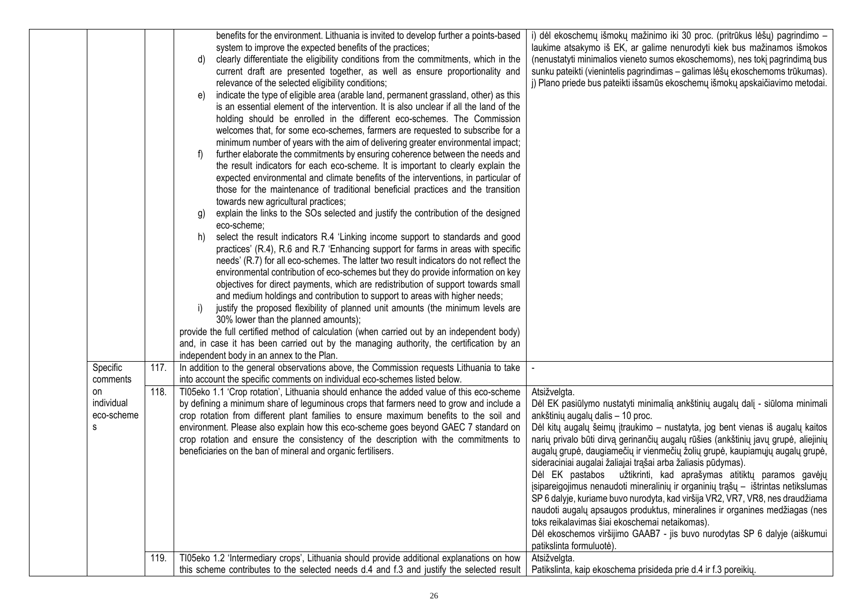|                                     |              | benefits for the environment. Lithuania is invited to develop further a points-based<br>system to improve the expected benefits of the practices;<br>clearly differentiate the eligibility conditions from the commitments, which in the<br>d)<br>current draft are presented together, as well as ensure proportionality and<br>relevance of the selected eligibility conditions;<br>indicate the type of eligible area (arable land, permanent grassland, other) as this<br>e)<br>is an essential element of the intervention. It is also unclear if all the land of the<br>holding should be enrolled in the different eco-schemes. The Commission<br>welcomes that, for some eco-schemes, farmers are requested to subscribe for a<br>minimum number of years with the aim of delivering greater environmental impact;<br>further elaborate the commitments by ensuring coherence between the needs and<br>the result indicators for each eco-scheme. It is important to clearly explain the<br>expected environmental and climate benefits of the interventions, in particular of<br>those for the maintenance of traditional beneficial practices and the transition<br>towards new agricultural practices;<br>explain the links to the SOs selected and justify the contribution of the designed<br>g)<br>eco-scheme;<br>select the result indicators R.4 'Linking income support to standards and good<br>h)<br>practices' (R.4), R.6 and R.7 'Enhancing support for farms in areas with specific<br>needs' (R.7) for all eco-schemes. The latter two result indicators do not reflect the<br>environmental contribution of eco-schemes but they do provide information on key<br>objectives for direct payments, which are redistribution of support towards small<br>and medium holdings and contribution to support to areas with higher needs;<br>justify the proposed flexibility of planned unit amounts (the minimum levels are<br>30% lower than the planned amounts);<br>provide the full certified method of calculation (when carried out by an independent body)<br>and, in case it has been carried out by the managing authority, the certification by an<br>independent body in an annex to the Plan. | i) dėl ekoschemų išmokų mažinimo iki 30 proc. (pritrūkus lėšų) pagrindimo -<br>laukime atsakymo iš EK, ar galime nenurodyti kiek bus mažinamos išmokos<br>(nenustatyti minimalios vieneto sumos ekoschemoms), nes tokį pagrindimą bus<br>sunku pateikti (vienintelis pagrindimas - galimas lėšų ekoschemoms trūkumas).<br>j) Plano priede bus pateikti išsamūs ekoschemų išmokų apskaičiavimo metodai.                                                                                                                                                                                                                                                                                                                                                                                                                                                                                                                                                      |
|-------------------------------------|--------------|------------------------------------------------------------------------------------------------------------------------------------------------------------------------------------------------------------------------------------------------------------------------------------------------------------------------------------------------------------------------------------------------------------------------------------------------------------------------------------------------------------------------------------------------------------------------------------------------------------------------------------------------------------------------------------------------------------------------------------------------------------------------------------------------------------------------------------------------------------------------------------------------------------------------------------------------------------------------------------------------------------------------------------------------------------------------------------------------------------------------------------------------------------------------------------------------------------------------------------------------------------------------------------------------------------------------------------------------------------------------------------------------------------------------------------------------------------------------------------------------------------------------------------------------------------------------------------------------------------------------------------------------------------------------------------------------------------------------------------------------------------------------------------------------------------------------------------------------------------------------------------------------------------------------------------------------------------------------------------------------------------------------------------------------------------------------------------------------------------------------------------------------------------------------------------------------------------------------------|-------------------------------------------------------------------------------------------------------------------------------------------------------------------------------------------------------------------------------------------------------------------------------------------------------------------------------------------------------------------------------------------------------------------------------------------------------------------------------------------------------------------------------------------------------------------------------------------------------------------------------------------------------------------------------------------------------------------------------------------------------------------------------------------------------------------------------------------------------------------------------------------------------------------------------------------------------------|
| Specific<br>comments                | 117.         | In addition to the general observations above, the Commission requests Lithuania to take<br>into account the specific comments on individual eco-schemes listed below.                                                                                                                                                                                                                                                                                                                                                                                                                                                                                                                                                                                                                                                                                                                                                                                                                                                                                                                                                                                                                                                                                                                                                                                                                                                                                                                                                                                                                                                                                                                                                                                                                                                                                                                                                                                                                                                                                                                                                                                                                                                       |                                                                                                                                                                                                                                                                                                                                                                                                                                                                                                                                                                                                                                                                                                                                                                                                                                                                                                                                                             |
| on<br>individual<br>eco-scheme<br>S | 118.<br>119. | TI05eko 1.1 'Crop rotation', Lithuania should enhance the added value of this eco-scheme<br>by defining a minimum share of leguminous crops that farmers need to grow and include a<br>crop rotation from different plant families to ensure maximum benefits to the soil and<br>environment. Please also explain how this eco-scheme goes beyond GAEC 7 standard on<br>crop rotation and ensure the consistency of the description with the commitments to<br>beneficiaries on the ban of mineral and organic fertilisers.<br>TI05eko 1.2 'Intermediary crops', Lithuania should provide additional explanations on how                                                                                                                                                                                                                                                                                                                                                                                                                                                                                                                                                                                                                                                                                                                                                                                                                                                                                                                                                                                                                                                                                                                                                                                                                                                                                                                                                                                                                                                                                                                                                                                                     | Atsižvelgta.<br>Dėl EK pasiūlymo nustatyti minimalią ankštinių augalų dalį - siūloma minimali<br>ankštinių augalų dalis - 10 proc.<br>Dėl kitų augalų šeimų įtraukimo - nustatyta, jog bent vienas iš augalų kaitos<br>narių privalo būti dirvą gerinančių augalų rūšies (ankštinių javų grupė, aliejinių<br>augalų grupė, daugiamečių ir vienmečių žolių grupė, kaupiamųjų augalų grupė,<br>sideraciniai augalai žaliajai trąšai arba žaliasis pūdymas).<br>Dėl EK pastabos užtikrinti, kad aprašymas atitiktų paramos gavėjų<br>įsipareigojimus nenaudoti mineralinių ir organinių trąšų - ištrintas netikslumas<br>SP 6 dalyje, kuriame buvo nurodyta, kad viršija VR2, VR7, VR8, nes draudžiama<br>naudoti augalų apsaugos produktus, mineralines ir organines medžiagas (nes<br>toks reikalavimas šiai ekoschemai netaikomas).<br>Dėl ekoschemos viršijimo GAAB7 - jis buvo nurodytas SP 6 dalyje (aiškumui<br>patikslinta formuluotė)<br>Atsižvelgta. |
|                                     |              | this scheme contributes to the selected needs d.4 and f.3 and justify the selected result                                                                                                                                                                                                                                                                                                                                                                                                                                                                                                                                                                                                                                                                                                                                                                                                                                                                                                                                                                                                                                                                                                                                                                                                                                                                                                                                                                                                                                                                                                                                                                                                                                                                                                                                                                                                                                                                                                                                                                                                                                                                                                                                    | Patikslinta, kaip ekoschema prisideda prie d.4 ir f.3 poreikių.                                                                                                                                                                                                                                                                                                                                                                                                                                                                                                                                                                                                                                                                                                                                                                                                                                                                                             |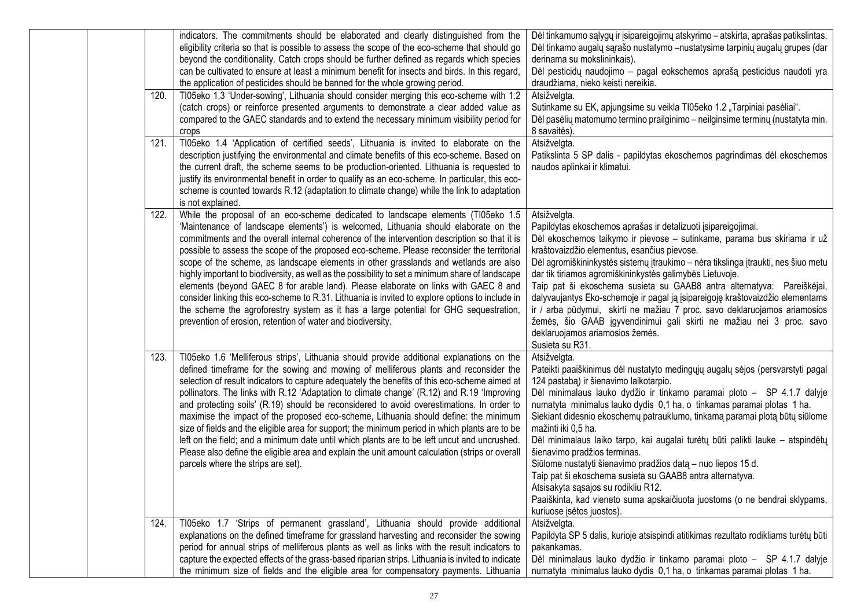| 120.<br>121. | indicators. The commitments should be elaborated and clearly distinguished from the<br>eligibility criteria so that is possible to assess the scope of the eco-scheme that should go<br>beyond the conditionality. Catch crops should be further defined as regards which species<br>can be cultivated to ensure at least a minimum benefit for insects and birds. In this regard,<br>the application of pesticides should be banned for the whole growing period.<br>TI05eko 1.3 'Under-sowing', Lithuania should consider merging this eco-scheme with 1.2<br>(catch crops) or reinforce presented arguments to demonstrate a clear added value as<br>compared to the GAEC standards and to extend the necessary minimum visibility period for<br>crops<br>TI05eko 1.4 'Application of certified seeds', Lithuania is invited to elaborate on the<br>description justifying the environmental and climate benefits of this eco-scheme. Based on | Dėl tinkamumo sąlygų ir įsipareigojimų atskyrimo – atskirta, aprašas patikslintas.<br>Dėl tinkamo augalų sąrašo nustatymo - nustatysime tarpinių augalų grupes (dar<br>derinama su mokslininkais).<br>Dėl pesticidų naudojimo - pagal eokschemos aprašą pesticidus naudoti yra<br>draudžiama, nieko keisti nereikia.<br>Atsižvelgta.<br>Sutinkame su EK, apjungsime su veikla TI05eko 1.2 "Tarpiniai pasėliai".<br>Dėl pasėlių matomumo termino prailginimo – neilginsime terminų (nustatyta min.<br>8 savaitės).<br>Atsižvelgta.<br>Patikslinta 5 SP dalis - papildytas ekoschemos pagrindimas dėl ekoschemos                                                                                                                                                                                      |
|--------------|---------------------------------------------------------------------------------------------------------------------------------------------------------------------------------------------------------------------------------------------------------------------------------------------------------------------------------------------------------------------------------------------------------------------------------------------------------------------------------------------------------------------------------------------------------------------------------------------------------------------------------------------------------------------------------------------------------------------------------------------------------------------------------------------------------------------------------------------------------------------------------------------------------------------------------------------------|-----------------------------------------------------------------------------------------------------------------------------------------------------------------------------------------------------------------------------------------------------------------------------------------------------------------------------------------------------------------------------------------------------------------------------------------------------------------------------------------------------------------------------------------------------------------------------------------------------------------------------------------------------------------------------------------------------------------------------------------------------------------------------------------------------|
|              | the current draft, the scheme seems to be production-oriented. Lithuania is requested to<br>justify its environmental benefit in order to qualify as an eco-scheme. In particular, this eco-<br>scheme is counted towards R.12 (adaptation to climate change) while the link to adaptation<br>is not explained.                                                                                                                                                                                                                                                                                                                                                                                                                                                                                                                                                                                                                                   | naudos aplinkai ir klimatui.                                                                                                                                                                                                                                                                                                                                                                                                                                                                                                                                                                                                                                                                                                                                                                        |
| 122.         | While the proposal of an eco-scheme dedicated to landscape elements (TI05eko 1.5<br>'Maintenance of landscape elements') is welcomed, Lithuania should elaborate on the<br>commitments and the overall internal coherence of the intervention description so that it is<br>possible to assess the scope of the proposed eco-scheme. Please reconsider the territorial<br>scope of the scheme, as landscape elements in other grasslands and wetlands are also<br>highly important to biodiversity, as well as the possibility to set a minimum share of landscape<br>elements (beyond GAEC 8 for arable land). Please elaborate on links with GAEC 8 and<br>consider linking this eco-scheme to R.31. Lithuania is invited to explore options to include in<br>the scheme the agroforestry system as it has a large potential for GHG sequestration,<br>prevention of erosion, retention of water and biodiversity.                               | Atsižvelgta.<br>Papildytas ekoschemos aprašas ir detalizuoti įsipareigojimai.<br>Dėl ekoschemos taikymo ir pievose - sutinkame, parama bus skiriama ir už<br>kraštovaizdžio elementus, esančius pievose.<br>Dėl agromiškininkystės sistemų įtraukimo - nėra tikslinga įtraukti, nes šiuo metu<br>dar tik tiriamos agromiškininkystės galimybės Lietuvoje.<br>Taip pat ši ekoschema susieta su GAAB8 antra alternatyva: Pareiškėjai,<br>dalyvaujantys Eko-schemoje ir pagal ją įsipareigoję kraštovaizdžio elementams<br>ir / arba pūdymui, skirti ne mažiau 7 proc. savo deklaruojamos ariamosios<br>žemės, šio GAAB įgyvendinimui gali skirti ne mažiau nei 3 proc. savo<br>deklaruojamos ariamosios žemės.<br>Susieta su R31.                                                                     |
| 123.         | TI05eko 1.6 'Melliferous strips', Lithuania should provide additional explanations on the<br>defined timeframe for the sowing and mowing of melliferous plants and reconsider the<br>selection of result indicators to capture adequately the benefits of this eco-scheme aimed at<br>pollinators. The links with R.12 'Adaptation to climate change' (R.12) and R.19 'Improving<br>and protecting soils' (R.19) should be reconsidered to avoid overestimations. In order to<br>maximise the impact of the proposed eco-scheme, Lithuania should define: the minimum<br>size of fields and the eligible area for support; the minimum period in which plants are to be<br>left on the field; and a minimum date until which plants are to be left uncut and uncrushed.<br>Please also define the eligible area and explain the unit amount calculation (strips or overall<br>parcels where the strips are set).                                  | Atsižvelgta.<br>Pateikti paaiškinimus dėl nustatyto medingųjų augalų sėjos (persvarstyti pagal<br>124 pastaba) ir šienavimo laikotarpio.<br>Dėl minimalaus lauko dydžio ir tinkamo paramai ploto - SP 4.1.7 dalyje<br>numatyta minimalus lauko dydis 0,1 ha, o tinkamas paramai plotas 1 ha.<br>Siekiant didesnio ekoschemų patrauklumo, tinkamą paramai plotą būtų siūlome<br>mažinti iki 0,5 ha.<br>Dėl minimalaus laiko tarpo, kai augalai turėtų būti palikti lauke - atspindėtų<br>šienavimo pradžios terminas.<br>Siūlome nustatyti šienavimo pradžios datą - nuo liepos 15 d.<br>Taip pat ši ekoschema susieta su GAAB8 antra alternatyva.<br>Atsisakyta sąsajos su rodikliu R12.<br>Paaiškinta, kad vieneto suma apskaičiuota juostoms (o ne bendrai sklypams,<br>kuriuose įsėtos juostos). |
| 124.         | TI05eko 1.7 'Strips of permanent grassland', Lithuania should provide additional<br>explanations on the defined timeframe for grassland harvesting and reconsider the sowing<br>period for annual strips of melliferous plants as well as links with the result indicators to<br>capture the expected effects of the grass-based riparian strips. Lithuania is invited to indicate<br>the minimum size of fields and the eligible area for compensatory payments. Lithuania                                                                                                                                                                                                                                                                                                                                                                                                                                                                       | Atsižvelgta.<br>Papildyta SP 5 dalis, kurioje atsispindi atitikimas rezultato rodikliams turėtų būti<br>pakankamas.<br>Dėl minimalaus lauko dydžio ir tinkamo paramai ploto - SP 4.1.7 dalyje<br>numatyta minimalus lauko dydis 0,1 ha, o tinkamas paramai plotas 1 ha.                                                                                                                                                                                                                                                                                                                                                                                                                                                                                                                             |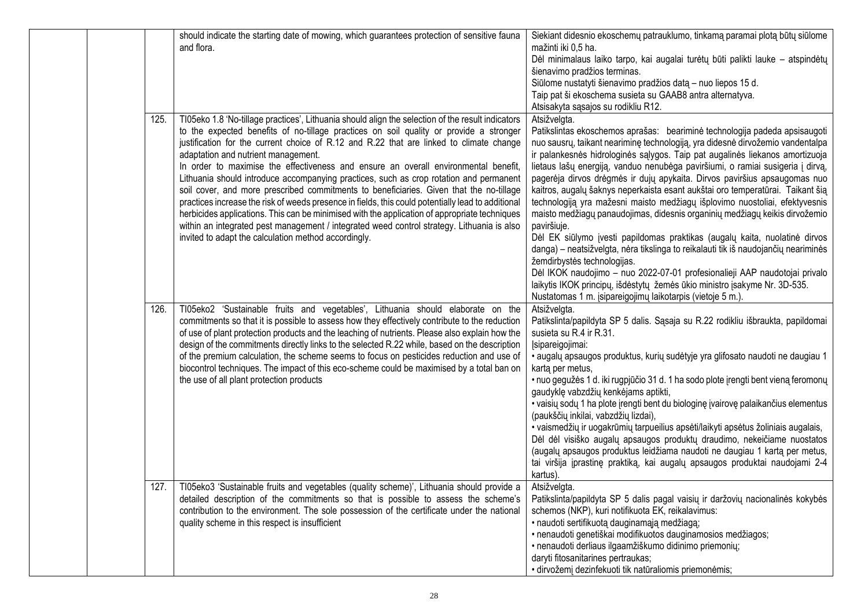|      | should indicate the starting date of mowing, which guarantees protection of sensitive fauna                                                                                       | Siekiant didesnio ekoschemų patrauklumo, tinkamą paramai plotą būtų siūlome                                                                                    |
|------|-----------------------------------------------------------------------------------------------------------------------------------------------------------------------------------|----------------------------------------------------------------------------------------------------------------------------------------------------------------|
|      | and flora.                                                                                                                                                                        | mažinti iki 0,5 ha.<br>Dėl minimalaus laiko tarpo, kai augalai turėtų būti palikti lauke - atspindėtų                                                          |
|      |                                                                                                                                                                                   | šienavimo pradžios terminas.                                                                                                                                   |
|      |                                                                                                                                                                                   | Siūlome nustatyti šienavimo pradžios datą - nuo liepos 15 d.                                                                                                   |
|      |                                                                                                                                                                                   | Taip pat ši ekoschema susieta su GAAB8 antra alternatyva.                                                                                                      |
|      |                                                                                                                                                                                   |                                                                                                                                                                |
|      |                                                                                                                                                                                   | Atsisakyta sąsajos su rodikliu R12.                                                                                                                            |
| 125. | TI05eko 1.8 'No-tillage practices', Lithuania should align the selection of the result indicators                                                                                 | Atsižvelgta.                                                                                                                                                   |
|      | to the expected benefits of no-tillage practices on soil quality or provide a stronger<br>justification for the current choice of R.12 and R.22 that are linked to climate change | Patikslintas ekoschemos aprašas: beariminė technologija padeda apsisaugoti                                                                                     |
|      | adaptation and nutrient management.                                                                                                                                               | nuo sausrų, taikant neariminę technologiją, yra didesnė dirvožemio vandentalpa<br>ir palankesnės hidrologinės sąlygos. Taip pat augalinės liekanos amortizuoja |
|      | In order to maximise the effectiveness and ensure an overall environmental benefit,                                                                                               | lietaus lašų energiją, vanduo nenubėga paviršiumi, o ramiai susigeria į dirvą,                                                                                 |
|      | Lithuania should introduce accompanying practices, such as crop rotation and permanent                                                                                            | pagerėja dirvos drėgmės ir dujų apykaita. Dirvos paviršius apsaugomas nuo                                                                                      |
|      | soil cover, and more prescribed commitments to beneficiaries. Given that the no-tillage                                                                                           | kaitros, augalų šaknys neperkaista esant aukštai oro temperatūrai. Taikant šią                                                                                 |
|      | practices increase the risk of weeds presence in fields, this could potentially lead to additional                                                                                | technologiją yra mažesni maisto medžiagų išplovimo nuostoliai, efektyvesnis                                                                                    |
|      | herbicides applications. This can be minimised with the application of appropriate techniques                                                                                     | maisto medžiagų panaudojimas, didesnis organinių medžiagų keikis dirvožemio                                                                                    |
|      | within an integrated pest management / integrated weed control strategy. Lithuania is also                                                                                        | paviršiuje.                                                                                                                                                    |
|      | invited to adapt the calculation method accordingly.                                                                                                                              | Dėl EK siūlymo įvesti papildomas praktikas (augalų kaita, nuolatinė dirvos                                                                                     |
|      |                                                                                                                                                                                   | danga) – neatsižvelgta, nėra tikslinga to reikalauti tik iš naudojančių neariminės                                                                             |
|      |                                                                                                                                                                                   | žemdirbystės technologijas.                                                                                                                                    |
|      |                                                                                                                                                                                   | Dėl IKOK naudojimo - nuo 2022-07-01 profesionalieji AAP naudotojai privalo                                                                                     |
|      |                                                                                                                                                                                   | laikytis IKOK principų, išdėstytų žemės ūkio ministro įsakyme Nr. 3D-535.                                                                                      |
|      |                                                                                                                                                                                   | Nustatomas 1 m. įsipareigojimų laikotarpis (vietoje 5 m.).                                                                                                     |
| 126. | TI05eko2 'Sustainable fruits and vegetables', Lithuania should elaborate on the                                                                                                   | Atsižvelgta.                                                                                                                                                   |
|      | commitments so that it is possible to assess how they effectively contribute to the reduction                                                                                     | Patikslinta/papildyta SP 5 dalis. Sąsaja su R.22 rodikliu išbraukta, papildomai                                                                                |
|      | of use of plant protection products and the leaching of nutrients. Please also explain how the                                                                                    | susieta su R.4 ir R.31.                                                                                                                                        |
|      | design of the commitments directly links to the selected R.22 while, based on the description                                                                                     | Įsipareigojimai:                                                                                                                                               |
|      | of the premium calculation, the scheme seems to focus on pesticides reduction and use of                                                                                          | · augalų apsaugos produktus, kurių sudėtyje yra glifosato naudoti ne daugiau 1                                                                                 |
|      | biocontrol techniques. The impact of this eco-scheme could be maximised by a total ban on                                                                                         | karta per metus,                                                                                                                                               |
|      | the use of all plant protection products                                                                                                                                          | · nuo gegužės 1 d. iki rugpjūčio 31 d. 1 ha sodo plote įrengti bent vieną feromonų                                                                             |
|      |                                                                                                                                                                                   | gaudyklę vabzdžių kenkėjams aptikti,                                                                                                                           |
|      |                                                                                                                                                                                   | · vaisių sodų 1 ha plote įrengti bent du biologinę įvairovę palaikančius elementus                                                                             |
|      |                                                                                                                                                                                   | (paukščių inkilai, vabzdžių lizdai),                                                                                                                           |
|      |                                                                                                                                                                                   | · vaismedžių ir uogakrūmių tarpueilius apsėti/laikyti apsėtus žoliniais augalais,                                                                              |
|      |                                                                                                                                                                                   | Dėl dėl visiško augalų apsaugos produktų draudimo, nekeičiame nuostatos                                                                                        |
|      |                                                                                                                                                                                   | (augalų apsaugos produktus leidžiama naudoti ne daugiau 1 kartą per metus,                                                                                     |
|      |                                                                                                                                                                                   | tai viršija įprastinę praktiką, kai augalų apsaugos produktai naudojami 2-4                                                                                    |
|      |                                                                                                                                                                                   | kartus).                                                                                                                                                       |
| 127. | TI05eko3 'Sustainable fruits and vegetables (quality scheme)', Lithuania should provide a                                                                                         | Atsižvelgta.                                                                                                                                                   |
|      | detailed description of the commitments so that is possible to assess the scheme's                                                                                                | Patikslinta/papildyta SP 5 dalis pagal vaisių ir daržovių nacionalinės kokybės                                                                                 |
|      | contribution to the environment. The sole possession of the certificate under the national                                                                                        | schemos (NKP), kuri notifikuota EK, reikalavimus:                                                                                                              |
|      | quality scheme in this respect is insufficient                                                                                                                                    | · naudoti sertifikuotą dauginamąją medžiagą;                                                                                                                   |
|      |                                                                                                                                                                                   | · nenaudoti genetiškai modifikuotos dauginamosios medžiagos;                                                                                                   |
|      |                                                                                                                                                                                   | · nenaudoti derliaus ilgaamžiškumo didinimo priemonių;                                                                                                         |
|      |                                                                                                                                                                                   | daryti fitosanitarines pertraukas;                                                                                                                             |
|      |                                                                                                                                                                                   | · dirvožemį dezinfekuoti tik natūraliomis priemonėmis;                                                                                                         |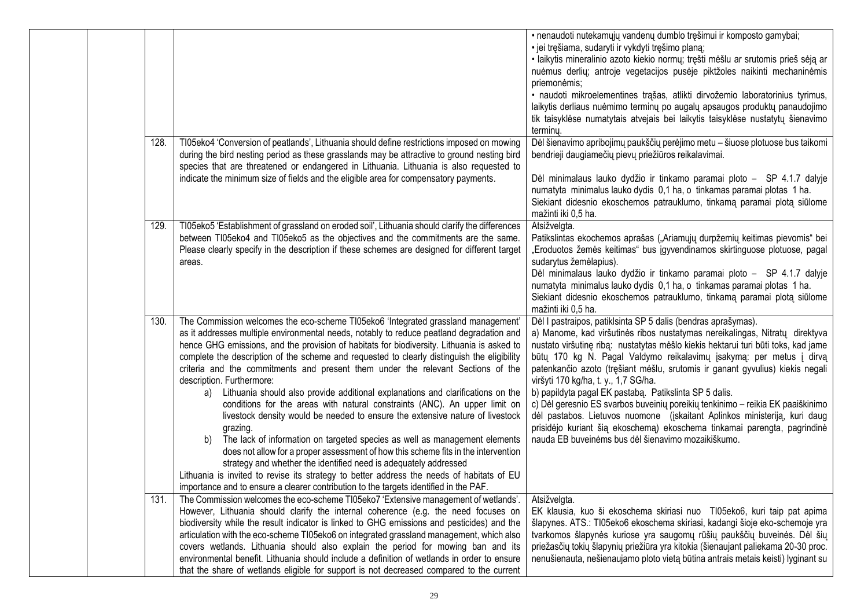|      |                                                                                                                                                                                                                                                                                                                                                                                                                                                                                                                                                                                                                                                                                                                                                                                                                                                                                                                                                                                                                                                                                                                                                                                                     | • nenaudoti nutekamųjų vandenų dumblo tręšimui ir komposto gamybai;<br>· jei tręšiama, sudaryti ir vykdyti tręšimo planą;<br>· laikytis mineralinio azoto kiekio normų; tręšti mėšlu ar srutomis prieš sėją ar<br>nuėmus derlių; antroje vegetacijos pusėje piktžoles naikinti mechaninėmis<br>priemonėmis;<br>· naudoti mikroelementines trąšas, atlikti dirvožemio laboratorinius tyrimus,<br>laikytis derliaus nuėmimo terminų po augalų apsaugos produktų panaudojimo<br>tik taisyklėse numatytais atvejais bei laikytis taisyklėse nustatytų šienavimo<br>terminy.                                                                                                                                                                                                                      |
|------|-----------------------------------------------------------------------------------------------------------------------------------------------------------------------------------------------------------------------------------------------------------------------------------------------------------------------------------------------------------------------------------------------------------------------------------------------------------------------------------------------------------------------------------------------------------------------------------------------------------------------------------------------------------------------------------------------------------------------------------------------------------------------------------------------------------------------------------------------------------------------------------------------------------------------------------------------------------------------------------------------------------------------------------------------------------------------------------------------------------------------------------------------------------------------------------------------------|----------------------------------------------------------------------------------------------------------------------------------------------------------------------------------------------------------------------------------------------------------------------------------------------------------------------------------------------------------------------------------------------------------------------------------------------------------------------------------------------------------------------------------------------------------------------------------------------------------------------------------------------------------------------------------------------------------------------------------------------------------------------------------------------|
| 128. | TI05eko4 'Conversion of peatlands', Lithuania should define restrictions imposed on mowing<br>during the bird nesting period as these grasslands may be attractive to ground nesting bird<br>species that are threatened or endangered in Lithuania. Lithuania is also requested to<br>indicate the minimum size of fields and the eligible area for compensatory payments.                                                                                                                                                                                                                                                                                                                                                                                                                                                                                                                                                                                                                                                                                                                                                                                                                         | Dėl šienavimo apribojimų paukščių perėjimo metu - šiuose plotuose bus taikomi<br>bendrieji daugiamečių pievų priežiūros reikalavimai.<br>Dėl minimalaus lauko dydžio ir tinkamo paramai ploto - SP 4.1.7 dalyje<br>numatyta minimalus lauko dydis 0,1 ha, o tinkamas paramai plotas 1 ha.<br>Siekiant didesnio ekoschemos patrauklumo, tinkamą paramai plotą siūlome<br>mažinti iki 0,5 ha.                                                                                                                                                                                                                                                                                                                                                                                                  |
| 129. | TI05eko5 'Establishment of grassland on eroded soil', Lithuania should clarify the differences<br>between TI05eko4 and TI05eko5 as the objectives and the commitments are the same.<br>Please clearly specify in the description if these schemes are designed for different target<br>areas.                                                                                                                                                                                                                                                                                                                                                                                                                                                                                                                                                                                                                                                                                                                                                                                                                                                                                                       | Atsižvelgta.<br>Patikslintas ekochemos aprašas ("Ariamųjų durpžemių keitimas pievomis" bei<br>"Eroduotos žemės keitimas" bus įgyvendinamos skirtinguose plotuose, pagal<br>sudarytus žemėlapius).<br>Dėl minimalaus lauko dydžio ir tinkamo paramai ploto - SP 4.1.7 dalyje<br>numatyta minimalus lauko dydis 0,1 ha, o tinkamas paramai plotas 1 ha.<br>Siekiant didesnio ekoschemos patrauklumo, tinkamą paramai plotą siūlome<br>mažinti iki 0,5 ha.                                                                                                                                                                                                                                                                                                                                      |
| 130. | The Commission welcomes the eco-scheme TI05eko6 'Integrated grassland management'<br>as it addresses multiple environmental needs, notably to reduce peatland degradation and<br>hence GHG emissions, and the provision of habitats for biodiversity. Lithuania is asked to<br>complete the description of the scheme and requested to clearly distinguish the eligibility<br>criteria and the commitments and present them under the relevant Sections of the<br>description. Furthermore:<br>Lithuania should also provide additional explanations and clarifications on the<br>a)<br>conditions for the areas with natural constraints (ANC). An upper limit on<br>livestock density would be needed to ensure the extensive nature of livestock<br>grazing.<br>The lack of information on targeted species as well as management elements<br>b)<br>does not allow for a proper assessment of how this scheme fits in the intervention<br>strategy and whether the identified need is adequately addressed<br>Lithuania is invited to revise its strategy to better address the needs of habitats of EU<br>importance and to ensure a clearer contribution to the targets identified in the PAF. | Dėl I pastraipos, patiklsinta SP 5 dalis (bendras aprašymas).<br>a) Manome, kad viršutinės ribos nustatymas nereikalingas, Nitratų direktyva<br>nustato viršutinę ribą: nustatytas mėšlo kiekis hektarui turi būti toks, kad jame<br>būtų 170 kg N. Pagal Valdymo reikalavimų įsakymą: per metus į dirvą<br>patenkančio azoto (tręšiant mėšlu, srutomis ir ganant gyvulius) kiekis negali<br>viršyti 170 kg/ha, t. y., 1,7 SG/ha.<br>b) papildyta pagal EK pastabą. Patikslinta SP 5 dalis.<br>c) Dėl geresnio ES svarbos buveinių poreikių tenkinimo - reikia EK paaiškinimo<br>dėl pastabos. Lietuvos nuomone (įskaitant Aplinkos ministeriją, kuri daug<br>prisidėjo kuriant šią ekoschemą) ekoschema tinkamai parengta, pagrindinė<br>nauda EB buveinėms bus dėl šienavimo mozaikiškumo. |
| 131. | The Commission welcomes the eco-scheme TI05eko7 'Extensive management of wetlands'.<br>However, Lithuania should clarify the internal coherence (e.g. the need focuses on<br>biodiversity while the result indicator is linked to GHG emissions and pesticides) and the<br>articulation with the eco-scheme TI05eko6 on integrated grassland management, which also<br>covers wetlands. Lithuania should also explain the period for mowing ban and its<br>environmental benefit. Lithuania should include a definition of wetlands in order to ensure<br>that the share of wetlands eligible for support is not decreased compared to the current                                                                                                                                                                                                                                                                                                                                                                                                                                                                                                                                                  | Atsižvelgta.<br>EK klausia, kuo ši ekoschema skiriasi nuo TI05eko6, kuri taip pat apima<br>šlapynes. ATS.: TI05eko6 ekoschema skiriasi, kadangi šioje eko-schemoje yra<br>tvarkomos šlapynės kuriose yra saugomų rūšių paukščių buveinės. Dėl šių<br>priežasčių tokių šlapynių priežiūra yra kitokia (šienaujant paliekama 20-30 proc.<br>nenušienauta, nešienaujamo ploto vietą būtina antrais metais keisti) lyginant su                                                                                                                                                                                                                                                                                                                                                                   |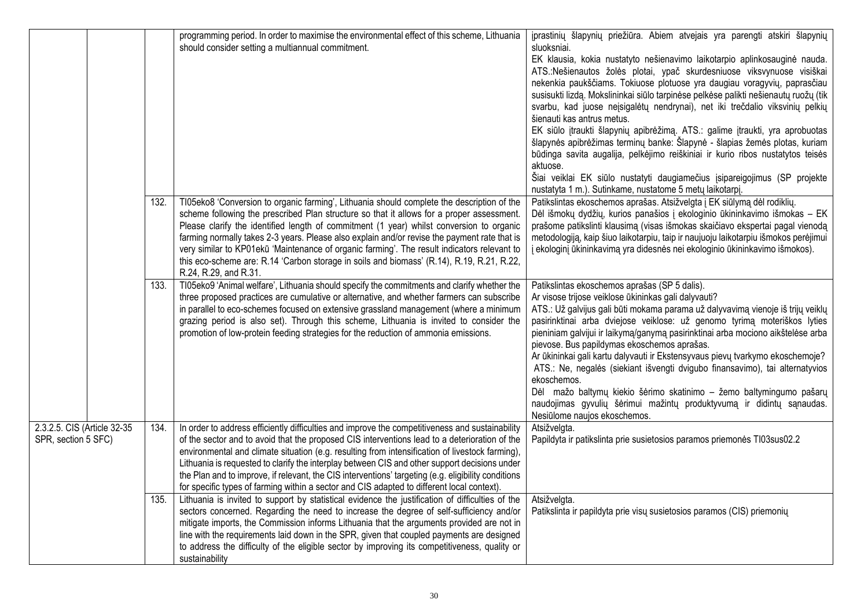|                                                    |      | programming period. In order to maximise the environmental effect of this scheme, Lithuania<br>should consider setting a multiannual commitment.                                                                                                                                                                                                                                                                                                                                                                                                                                                          | įprastinių šlapynių priežiūra. Abiem atvejais yra parengti atskiri šlapynių<br>sluoksniai.<br>EK klausia, kokia nustatyto nešienavimo laikotarpio aplinkosauginė nauda.<br>ATS.:Nešienautos žolės plotai, ypač skurdesniuose viksvynuose visiškai<br>nekenkia paukščiams. Tokiuose plotuose yra daugiau voragyvių, paprasčiau<br>susisukti lizdą. Mokslininkai siūlo tarpinėse pelkėse palikti nešienautų ruožų (tik<br>svarbu, kad juose nejsigalėtų nendrynai), net iki trečdalio viksvinių pelkių<br>šienauti kas antrus metus.<br>EK siūlo įtraukti šlapynių apibrėžimą. ATS.: galime įtraukti, yra aprobuotas<br>šlapynės apibrėžimas terminų banke: Šlapynė - šlapias žemės plotas, kuriam<br>būdinga savita augalija, pelkėjimo reiškiniai ir kurio ribos nustatytos teisės<br>aktuose.<br>Šiai veiklai EK siūlo nustatyti daugiamečius įsipareigojimus (SP projekte<br>nustatyta 1 m.). Sutinkame, nustatome 5 metų laikotarpį. |
|----------------------------------------------------|------|-----------------------------------------------------------------------------------------------------------------------------------------------------------------------------------------------------------------------------------------------------------------------------------------------------------------------------------------------------------------------------------------------------------------------------------------------------------------------------------------------------------------------------------------------------------------------------------------------------------|-----------------------------------------------------------------------------------------------------------------------------------------------------------------------------------------------------------------------------------------------------------------------------------------------------------------------------------------------------------------------------------------------------------------------------------------------------------------------------------------------------------------------------------------------------------------------------------------------------------------------------------------------------------------------------------------------------------------------------------------------------------------------------------------------------------------------------------------------------------------------------------------------------------------------------------------|
|                                                    | 132. | TI05eko8 'Conversion to organic farming', Lithuania should complete the description of the<br>scheme following the prescribed Plan structure so that it allows for a proper assessment.<br>Please clarify the identified length of commitment (1 year) whilst conversion to organic<br>farming normally takes 2-3 years. Please also explain and/or revise the payment rate that is<br>very similar to KP01ekū 'Maintenance of organic farming'. The result indicators relevant to<br>this eco-scheme are: R.14 'Carbon storage in soils and biomass' (R.14), R.19, R.21, R.22,<br>R.24, R.29, and R.31.  | Patikslintas ekoschemos aprašas. Atsižvelgta į EK siūlymą dėl rodiklių.<br>Dėl išmokų dydžių, kurios panašios į ekologinio ūkininkavimo išmokas - EK<br>prašome patikslinti klausimą (visas išmokas skaičiavo ekspertai pagal vienodą<br>metodologiją, kaip šiuo laikotarpiu, taip ir naujuoju laikotarpiu išmokos perėjimui<br>į ekologinį ūkininkavimą yra didesnės nei ekologinio ūkininkavimo išmokos).                                                                                                                                                                                                                                                                                                                                                                                                                                                                                                                             |
|                                                    | 133. | TI05eko9 'Animal welfare', Lithuania should specify the commitments and clarify whether the<br>three proposed practices are cumulative or alternative, and whether farmers can subscribe<br>in parallel to eco-schemes focused on extensive grassland management (where a minimum<br>grazing period is also set). Through this scheme, Lithuania is invited to consider the<br>promotion of low-protein feeding strategies for the reduction of ammonia emissions.                                                                                                                                        | Patikslintas ekoschemos aprašas (SP 5 dalis).<br>Ar visose trijose veiklose ūkininkas gali dalyvauti?<br>ATS.: Už galvijus gali būti mokama parama už dalyvavimą vienoje iš trijų veiklų<br>pasirinktinai arba dviejose veiklose: už genomo tyrimą moteriškos lyties<br>pieniniam galvijui ir laikymą/ganymą pasirinktinai arba mociono aikštelėse arba<br>pievose. Bus papildymas ekoschemos aprašas.<br>Ar ūkininkai gali kartu dalyvauti ir Ekstensyvaus pievų tvarkymo ekoschemoje?<br>ATS.: Ne, negalės (siekiant išvengti dvigubo finansavimo), tai alternatyvios<br>ekoschemos.<br>Dėl mažo baltymų kiekio šėrimo skatinimo - žemo baltymingumo pašarų<br>naudojimas gyvulių šėrimui mažintų produktyvumą ir didintų sąnaudas.<br>Nesiūlome naujos ekoschemos.                                                                                                                                                                   |
| 2.3.2.5. CIS (Article 32-35<br>SPR, section 5 SFC) | 134. | In order to address efficiently difficulties and improve the competitiveness and sustainability<br>of the sector and to avoid that the proposed CIS interventions lead to a deterioration of the<br>environmental and climate situation (e.g. resulting from intensification of livestock farming),<br>Lithuania is requested to clarify the interplay between CIS and other support decisions under<br>the Plan and to improve, if relevant, the CIS interventions' targeting (e.g. eligibility conditions<br>for specific types of farming within a sector and CIS adapted to different local context). | Atsižvelgta.<br>Papildyta ir patikslinta prie susietosios paramos priemonės TI03sus02.2                                                                                                                                                                                                                                                                                                                                                                                                                                                                                                                                                                                                                                                                                                                                                                                                                                                 |
|                                                    | 135. | Lithuania is invited to support by statistical evidence the justification of difficulties of the<br>sectors concerned. Regarding the need to increase the degree of self-sufficiency and/or<br>mitigate imports, the Commission informs Lithuania that the arguments provided are not in<br>line with the requirements laid down in the SPR, given that coupled payments are designed<br>to address the difficulty of the eligible sector by improving its competitiveness, quality or<br>sustainability                                                                                                  | Atsižvelgta.<br>Patikslinta ir papildyta prie visų susietosios paramos (CIS) priemonių                                                                                                                                                                                                                                                                                                                                                                                                                                                                                                                                                                                                                                                                                                                                                                                                                                                  |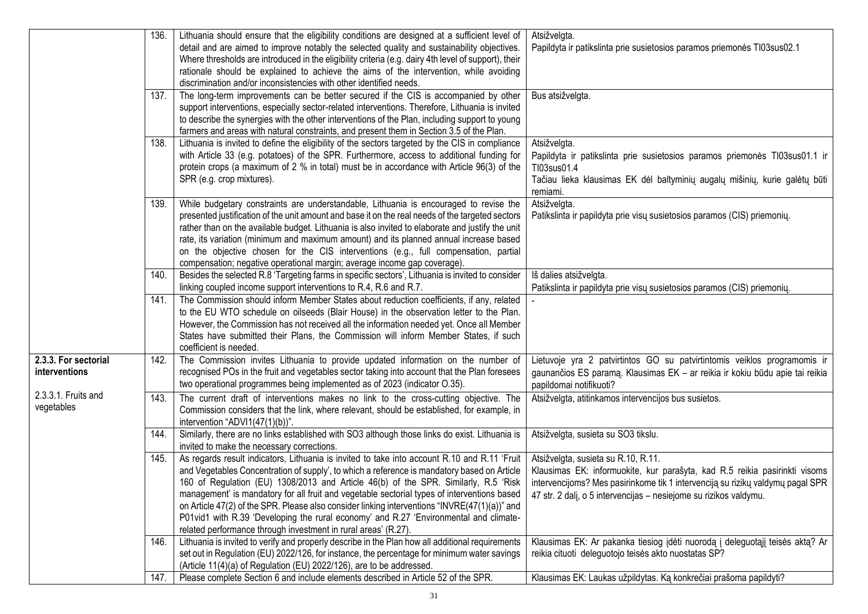|                      | 136. | Lithuania should ensure that the eligibility conditions are designed at a sufficient level of        | Atsižvelgta.                                                                   |
|----------------------|------|------------------------------------------------------------------------------------------------------|--------------------------------------------------------------------------------|
|                      |      | detail and are aimed to improve notably the selected quality and sustainability objectives.          | Papildyta ir patikslinta prie susietosios paramos priemonės TI03sus02.1        |
|                      |      | Where thresholds are introduced in the eligibility criteria (e.g. dairy 4th level of support), their |                                                                                |
|                      |      | rationale should be explained to achieve the aims of the intervention, while avoiding                |                                                                                |
|                      |      | discrimination and/or inconsistencies with other identified needs.                                   |                                                                                |
|                      | 137. | The long-term improvements can be better secured if the CIS is accompanied by other                  | Bus atsižvelgta.                                                               |
|                      |      | support interventions, especially sector-related interventions. Therefore, Lithuania is invited      |                                                                                |
|                      |      | to describe the synergies with the other interventions of the Plan, including support to young       |                                                                                |
|                      |      | farmers and areas with natural constraints, and present them in Section 3.5 of the Plan.             |                                                                                |
|                      | 138. | Lithuania is invited to define the eligibility of the sectors targeted by the CIS in compliance      | Atsižvelgta.                                                                   |
|                      |      | with Article 33 (e.g. potatoes) of the SPR. Furthermore, access to additional funding for            | Papildyta ir patikslinta prie susietosios paramos priemonės TI03sus01.1 ir     |
|                      |      | protein crops (a maximum of 2 % in total) must be in accordance with Article 96(3) of the            | TI03sus01.4                                                                    |
|                      |      | SPR (e.g. crop mixtures).                                                                            | Tačiau lieka klausimas EK dėl baltyminių augalų mišinių, kurie galėtų būti     |
|                      |      |                                                                                                      | remiami.                                                                       |
|                      | 139. | While budgetary constraints are understandable, Lithuania is encouraged to revise the                | Atsižvelgta.                                                                   |
|                      |      | presented justification of the unit amount and base it on the real needs of the targeted sectors     | Patikslinta ir papildyta prie visų susietosios paramos (CIS) priemonių.        |
|                      |      | rather than on the available budget. Lithuania is also invited to elaborate and justify the unit     |                                                                                |
|                      |      | rate, its variation (minimum and maximum amount) and its planned annual increase based               |                                                                                |
|                      |      | on the objective chosen for the CIS interventions (e.g., full compensation, partial                  |                                                                                |
|                      |      | compensation; negative operational margin; average income gap coverage).                             |                                                                                |
|                      | 140. | Besides the selected R.8 'Targeting farms in specific sectors', Lithuania is invited to consider     | Iš dalies atsižvelgta.                                                         |
|                      |      | linking coupled income support interventions to R.4, R.6 and R.7.                                    | Patikslinta ir papildyta prie visų susietosios paramos (CIS) priemonių.        |
|                      | 141. | The Commission should inform Member States about reduction coefficients, if any, related             |                                                                                |
|                      |      | to the EU WTO schedule on oilseeds (Blair House) in the observation letter to the Plan.              |                                                                                |
|                      |      | However, the Commission has not received all the information needed yet. Once all Member             |                                                                                |
|                      |      | States have submitted their Plans, the Commission will inform Member States, if such                 |                                                                                |
|                      |      | coefficient is needed.                                                                               |                                                                                |
| 2.3.3. For sectorial | 142. | The Commission invites Lithuania to provide updated information on the number of                     | Lietuvoje yra 2 patvirtintos GO su patvirtintomis veiklos programomis ir       |
| interventions        |      | recognised POs in the fruit and vegetables sector taking into account that the Plan foresees         | gaunančios ES paramą. Klausimas EK - ar reikia ir kokiu būdu apie tai reikia   |
|                      |      | two operational programmes being implemented as of 2023 (indicator O.35).                            | papildomai notifikuoti?                                                        |
| 2.3.3.1. Fruits and  | 143. | The current draft of interventions makes no link to the cross-cutting objective. The                 | Atsižvelgta, atitinkamos intervencijos bus susietos.                           |
| vegetables           |      | Commission considers that the link, where relevant, should be established, for example, in           |                                                                                |
|                      |      | intervention "ADVI1(47(1)(b))".                                                                      |                                                                                |
|                      | 144. | Similarly, there are no links established with SO3 although those links do exist. Lithuania is       | Atsižvelgta, susieta su SO3 tikslu.                                            |
|                      |      | invited to make the necessary corrections.                                                           |                                                                                |
|                      | 145. | As regards result indicators, Lithuania is invited to take into account R.10 and R.11 'Fruit         | Atsižvelgta, susieta su R.10, R.11.                                            |
|                      |      | and Vegetables Concentration of supply', to which a reference is mandatory based on Article          | Klausimas EK: informuokite, kur parašyta, kad R.5 reikia pasirinkti visoms     |
|                      |      | 160 of Regulation (EU) 1308/2013 and Article 46(b) of the SPR. Similarly, R.5 'Risk                  | intervencijoms? Mes pasirinkome tik 1 intervenciją su rizikų valdymų pagal SPR |
|                      |      | management' is mandatory for all fruit and vegetable sectorial types of interventions based          | 47 str. 2 dalį, o 5 intervencijas – nesiejome su rizikos valdymu.              |
|                      |      | on Article 47(2) of the SPR. Please also consider linking interventions "INVRE(47(1)(a))" and        |                                                                                |
|                      |      | P01vid1 with R.39 'Developing the rural economy' and R.27 'Environmental and climate-                |                                                                                |
|                      |      | related performance through investment in rural areas' (R.27).                                       |                                                                                |
|                      | 146. | Lithuania is invited to verify and properly describe in the Plan how all additional requirements     | Klausimas EK: Ar pakanka tiesiog jdėti nuorodą į deleguotąjį teisės aktą? Ar   |
|                      |      | set out in Regulation (EU) 2022/126, for instance, the percentage for minimum water savings          | reikia cituoti deleguotojo teisės akto nuostatas SP?                           |
|                      |      | (Article 11(4)(a) of Regulation (EU) 2022/126), are to be addressed.                                 |                                                                                |
|                      | 147. | Please complete Section 6 and include elements described in Article 52 of the SPR.                   | Klausimas EK: Laukas užpildytas. Ką konkrečiai prašoma papildyti?              |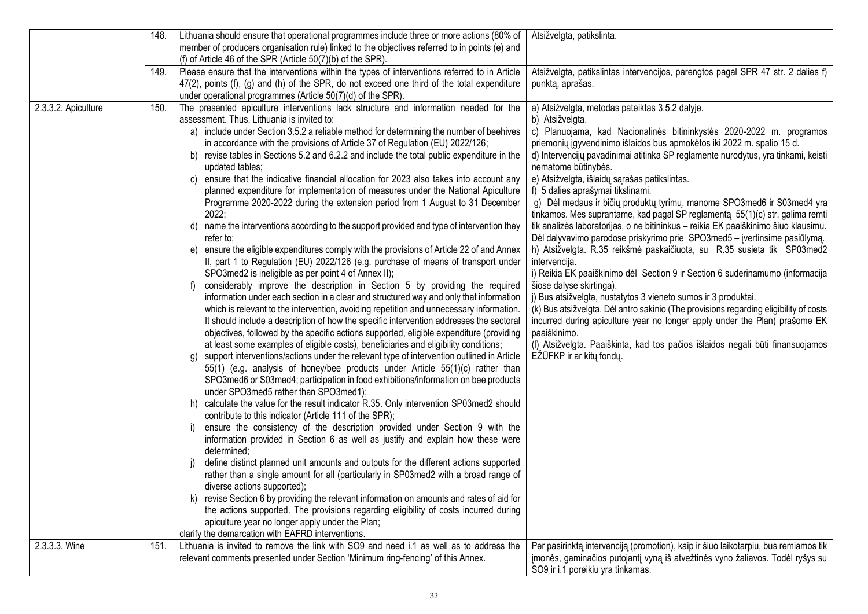|                     | 148. | Lithuania should ensure that operational programmes include three or more actions (80% of                                                                        | Atsižvelgta, patikslinta.                                                                                   |
|---------------------|------|------------------------------------------------------------------------------------------------------------------------------------------------------------------|-------------------------------------------------------------------------------------------------------------|
|                     |      | member of producers organisation rule) linked to the objectives referred to in points (e) and                                                                    |                                                                                                             |
|                     |      | (f) of Article 46 of the SPR (Article $50(7)(b)$ of the SPR).                                                                                                    |                                                                                                             |
|                     | 149. | Please ensure that the interventions within the types of interventions referred to in Article                                                                    | Atsižvelgta, patikslintas intervencijos, parengtos pagal SPR 47 str. 2 dalies f)                            |
|                     |      | 47(2), points (f), (g) and (h) of the SPR, do not exceed one third of the total expenditure                                                                      | punktą, aprašas.                                                                                            |
|                     |      | under operational programmes (Article 50(7)(d) of the SPR).                                                                                                      |                                                                                                             |
| 2.3.3.2. Apiculture | 150. | The presented apiculture interventions lack structure and information needed for the                                                                             | a) Atsižvelgta, metodas pateiktas 3.5.2 dalyje.                                                             |
|                     |      | assessment. Thus, Lithuania is invited to:                                                                                                                       | b) Atsižvelgta.                                                                                             |
|                     |      | a) include under Section 3.5.2 a reliable method for determining the number of beehives                                                                          | c) Planuojama, kad Nacionalinės bitininkystės 2020-2022 m. programos                                        |
|                     |      | in accordance with the provisions of Article 37 of Regulation (EU) 2022/126;                                                                                     | priemonių įgyvendinimo išlaidos bus apmokėtos iki 2022 m. spalio 15 d.                                      |
|                     |      | b) revise tables in Sections 5.2 and 6.2.2 and include the total public expenditure in the                                                                       | d) Intervencijų pavadinimai atitinka SP reglamente nurodytus, yra tinkami, keisti                           |
|                     |      | updated tables;                                                                                                                                                  | nematome būtinybės.                                                                                         |
|                     |      | ensure that the indicative financial allocation for 2023 also takes into account any<br>C)                                                                       | e) Atsižvelgta, išlaidų sąrašas patikslintas.                                                               |
|                     |      | planned expenditure for implementation of measures under the National Apiculture<br>Programme 2020-2022 during the extension period from 1 August to 31 December | f) 5 dalies aprašymai tikslinami.<br>g) Dėl medaus ir bičių produktų tyrimų, manome SPO3med6 ir S03med4 yra |
|                     |      | 2022;                                                                                                                                                            | tinkamos. Mes suprantame, kad pagal SP reglamenta 55(1)(c) str. galima remti                                |
|                     |      | name the interventions according to the support provided and type of intervention they<br>d)                                                                     | tik analizės laboratorijas, o ne bitininkus - reikia EK paaiškinimo šiuo klausimu.                          |
|                     |      | refer to;                                                                                                                                                        | Dėl dalyvavimo parodose priskyrimo prie SPO3med5 – įvertinsime pasiūlymą.                                   |
|                     |      | e) ensure the eligible expenditures comply with the provisions of Article 22 of and Annex                                                                        | h) Atsižvelgta. R.35 reikšmė paskaičiuota, su R.35 susieta tik SP03med2                                     |
|                     |      | II, part 1 to Regulation (EU) 2022/126 (e.g. purchase of means of transport under                                                                                | intervencija.                                                                                               |
|                     |      | SPO3med2 is ineligible as per point 4 of Annex II);                                                                                                              | i) Reikia EK paaiškinimo dėl Section 9 ir Section 6 suderinamumo (informacija                               |
|                     |      | considerably improve the description in Section 5 by providing the required<br>f)                                                                                | šiose dalyse skirtinga).                                                                                    |
|                     |      | information under each section in a clear and structured way and only that information                                                                           | j) Bus atsižvelgta, nustatytos 3 vieneto sumos ir 3 produktai.                                              |
|                     |      | which is relevant to the intervention, avoiding repetition and unnecessary information.                                                                          | (k) Bus atsižvelgta. Dėl antro sakinio (The provisions regarding eligibility of costs                       |
|                     |      | It should include a description of how the specific intervention addresses the sectoral                                                                          | incurred during apiculture year no longer apply under the Plan) prašome EK                                  |
|                     |      | objectives, followed by the specific actions supported, eligible expenditure (providing                                                                          | paaiškinimo.                                                                                                |
|                     |      | at least some examples of eligible costs), beneficiaries and eligibility conditions;                                                                             | (I) Atsižvelgta. Paaiškinta, kad tos pačios išlaidos negali būti finansuojamos                              |
|                     |      | support interventions/actions under the relevant type of intervention outlined in Article<br>g)                                                                  | EŽŪFKP ir ar kity fondy.                                                                                    |
|                     |      | 55(1) (e.g. analysis of honey/bee products under Article 55(1)(c) rather than                                                                                    |                                                                                                             |
|                     |      | SPO3med6 or S03med4; participation in food exhibitions/information on bee products                                                                               |                                                                                                             |
|                     |      | under SPO3med5 rather than SPO3med1);                                                                                                                            |                                                                                                             |
|                     |      | calculate the value for the result indicator R.35. Only intervention SP03med2 should<br>h)<br>contribute to this indicator (Article 111 of the SPR);             |                                                                                                             |
|                     |      | ensure the consistency of the description provided under Section 9 with the<br>I)                                                                                |                                                                                                             |
|                     |      | information provided in Section 6 as well as justify and explain how these were                                                                                  |                                                                                                             |
|                     |      | determined;                                                                                                                                                      |                                                                                                             |
|                     |      | define distinct planned unit amounts and outputs for the different actions supported<br>$\vert$                                                                  |                                                                                                             |
|                     |      | rather than a single amount for all (particularly in SP03med2 with a broad range of                                                                              |                                                                                                             |
|                     |      | diverse actions supported);                                                                                                                                      |                                                                                                             |
|                     |      | k) revise Section 6 by providing the relevant information on amounts and rates of aid for                                                                        |                                                                                                             |
|                     |      | the actions supported. The provisions regarding eligibility of costs incurred during                                                                             |                                                                                                             |
|                     |      | apiculture year no longer apply under the Plan;                                                                                                                  |                                                                                                             |
|                     |      | clarify the demarcation with EAFRD interventions.                                                                                                                |                                                                                                             |
| 2.3.3.3. Wine       | 151. | Lithuania is invited to remove the link with SO9 and need i.1 as well as to address the                                                                          | Per pasirinktą intervenciją (promotion), kaip ir šiuo laikotarpiu, bus remiamos tik                         |
|                     |      | relevant comments presented under Section 'Minimum ring-fencing' of this Annex.                                                                                  | įmonės, gaminačios putojantį vyną iš atvežtinės vyno žaliavos. Todėl ryšys su                               |
|                     |      |                                                                                                                                                                  | SO9 ir i.1 poreikiu yra tinkamas.                                                                           |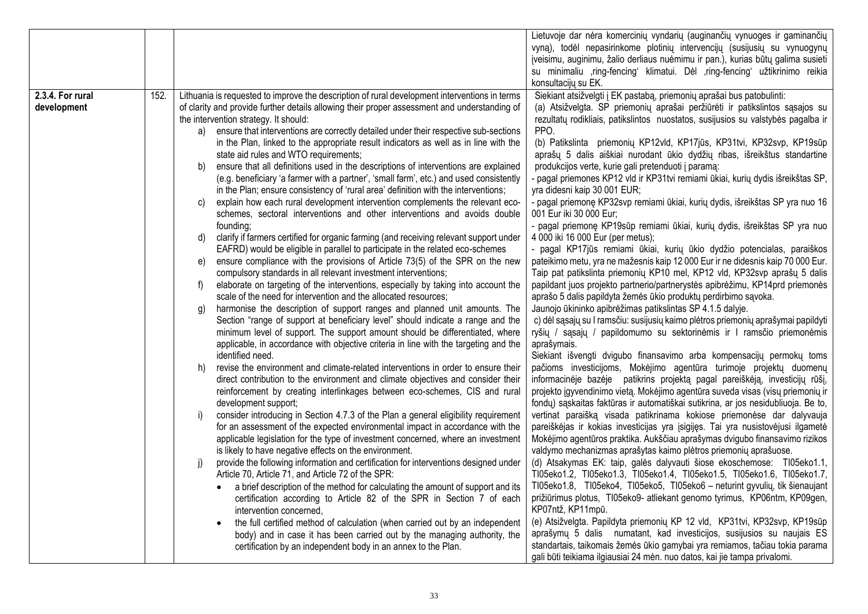|                  |      |                                                                                               | Lietuvoje dar nėra komercinių vyndarių (auginančių vynuoges ir gaminančių         |
|------------------|------|-----------------------------------------------------------------------------------------------|-----------------------------------------------------------------------------------|
|                  |      |                                                                                               | vyną), todėl nepasirinkome plotinių intervencijų (susijusių su vynuogynų          |
|                  |      |                                                                                               | įveisimu, auginimu, žalio derliaus nuėmimu ir pan.), kurias būtų galima susieti   |
|                  |      |                                                                                               | su minimaliu ,ring-fencing' klimatui. Dėl ,ring-fencing' užtikrinimo reikia       |
|                  |      |                                                                                               | konsultacijų su EK.                                                               |
| 2.3.4. For rural | 152. | Lithuania is requested to improve the description of rural development interventions in terms | Siekiant atsižvelgti į EK pastabą, priemonių aprašai bus patobulinti:             |
| development      |      | of clarity and provide further details allowing their proper assessment and understanding of  | (a) Atsižvelgta. SP priemonių aprašai peržiūrėti ir patikslintos sąsajos su       |
|                  |      | the intervention strategy. It should:                                                         | rezultatų rodikliais, patikslintos nuostatos, susijusios su valstybės pagalba ir  |
|                  |      | ensure that interventions are correctly detailed under their respective sub-sections<br>a)    | PPO.                                                                              |
|                  |      | in the Plan, linked to the appropriate result indicators as well as in line with the          | (b) Patikslinta priemonių KP12vld, KP17jūs, KP31tvi, KP32svp, KP19sūp             |
|                  |      | state aid rules and WTO requirements;                                                         | aprašų 5 dalis aiškiai nurodant ūkio dydžių ribas, išreikštus standartine         |
|                  |      | ensure that all definitions used in the descriptions of interventions are explained<br>b)     | produkcijos verte, kurie gali pretenduoti į paramą:                               |
|                  |      | (e.g. beneficiary 'a farmer with a partner', 'small farm', etc.) and used consistently        | - pagal priemones KP12 vld ir KP31tvi remiami ūkiai, kurių dydis išreikštas SP,   |
|                  |      | in the Plan; ensure consistency of 'rural area' definition with the interventions;            | yra didesni kaip 30 001 EUR;                                                      |
|                  |      | explain how each rural development intervention complements the relevant eco-<br>C)           | - pagal priemonę KP32svp remiami ūkiai, kurių dydis, išreikštas SP yra nuo 16     |
|                  |      | schemes, sectoral interventions and other interventions and avoids double                     | 001 Eur iki 30 000 Eur;                                                           |
|                  |      | founding;                                                                                     | - pagal priemonę KP19sūp remiami ūkiai, kurių dydis, išreikštas SP yra nuo        |
|                  |      | clarify if farmers certified for organic farming (and receiving relevant support under<br>d)  | 4 000 iki 16 000 Eur (per metus);                                                 |
|                  |      | EAFRD) would be eligible in parallel to participate in the related eco-schemes                | - pagal KP17jūs remiami ūkiai, kurių ūkio dydžio potencialas, paraiškos           |
|                  |      | ensure compliance with the provisions of Article 73(5) of the SPR on the new<br>e)            | pateikimo metu, yra ne mažesnis kaip 12 000 Eur ir ne didesnis kaip 70 000 Eur.   |
|                  |      | compulsory standards in all relevant investment interventions;                                | Taip pat patikslinta priemonių KP10 mel, KP12 vld, KP32svp aprašų 5 dalis         |
|                  |      | elaborate on targeting of the interventions, especially by taking into account the<br>f)      | papildant juos projekto partnerio/partnerystės apibrėžimu, KP14prd priemonės      |
|                  |      | scale of the need for intervention and the allocated resources;                               | aprašo 5 dalis papildyta žemės ūkio produktų perdirbimo sąvoka.                   |
|                  |      | harmonise the description of support ranges and planned unit amounts. The<br>g)               | Jaunojo ūkininko apibrėžimas patikslintas SP 4.1.5 dalyje.                        |
|                  |      | Section "range of support at beneficiary level" should indicate a range and the               | c) dėl sąsajų su I ramsčiu: susijusių kaimo plėtros priemonių aprašymai papildyti |
|                  |      | minimum level of support. The support amount should be differentiated, where                  | ryšių / sąsajų / papildomumo su sektorinėmis ir I ramsčio priemonėmis             |
|                  |      | applicable, in accordance with objective criteria in line with the targeting and the          | aprašymais.                                                                       |
|                  |      | identified need.                                                                              | Siekiant išvengti dvigubo finansavimo arba kompensacijų permokų toms              |
|                  |      | revise the environment and climate-related interventions in order to ensure their<br>h)       | pačioms investicijoms, Mokėjimo agentūra turimoje projektų duomenų                |
|                  |      | direct contribution to the environment and climate objectives and consider their              | informacinėje bazėje patikrins projektą pagal pareiškėją, investicijų rūšį,       |
|                  |      | reinforcement by creating interlinkages between eco-schemes, CIS and rural                    | projekto įgyvendinimo vietą. Mokėjimo agentūra suveda visas (visų priemonių ir    |
|                  |      | development support;                                                                          | fondų) sąskaitas faktūras ir automatiškai sutikrina, ar jos nesidubliuoja. Be to, |
|                  |      | consider introducing in Section 4.7.3 of the Plan a general eligibility requirement<br>i)     | vertinat paraišką visada patikrinama kokiose priemonėse dar dalyvauja             |
|                  |      | for an assessment of the expected environmental impact in accordance with the                 | pareiškėjas ir kokias investicijas yra įsigijęs. Tai yra nusistovėjusi ilgametė   |
|                  |      | applicable legislation for the type of investment concerned, where an investment              | Mokėjimo agentūros praktika. Aukščiau aprašymas dvigubo finansavimo rizikos       |
|                  |      | is likely to have negative effects on the environment.                                        | valdymo mechanizmas aprašytas kaimo plėtros priemonių aprašuose.                  |
|                  |      | j)<br>provide the following information and certification for interventions designed under    | (d) Atsakymas EK: taip, galės dalyvauti šiose ekoschemose: TI05eko1.1,            |
|                  |      | Article 70, Article 71, and Article 72 of the SPR:                                            | TI05eko1.2, TI05eko1.3, TI05eko1.4, TI05eko1.5, TI05eko1.6, TI05eko1.7,           |
|                  |      | a brief description of the method for calculating the amount of support and its<br>$\bullet$  | TI05eko1.8, TI05eko4, TI05eko5, TI05eko6 - neturint gyvulių, tik šienaujant       |
|                  |      | certification according to Article 82 of the SPR in Section 7 of each                         | prižiūrimus plotus, TI05eko9- atliekant genomo tyrimus, KP06ntm, KP09gen,         |
|                  |      | intervention concerned,                                                                       | KP07ntž, KP11mpū.                                                                 |
|                  |      | the full certified method of calculation (when carried out by an independent                  | (e) Atsižvelgta. Papildyta priemonių KP 12 vld, KP31tvi, KP32svp, KP19sūp         |
|                  |      | body) and in case it has been carried out by the managing authority, the                      | aprašymų 5 dalis numatant, kad investicijos, susijusios su naujais ES             |
|                  |      | certification by an independent body in an annex to the Plan.                                 | standartais, taikomais žemės ūkio gamybai yra remiamos, tačiau tokia parama       |
|                  |      |                                                                                               | gali būti teikiama ilgiausiai 24 mėn. nuo datos, kai jie tampa privalomi.         |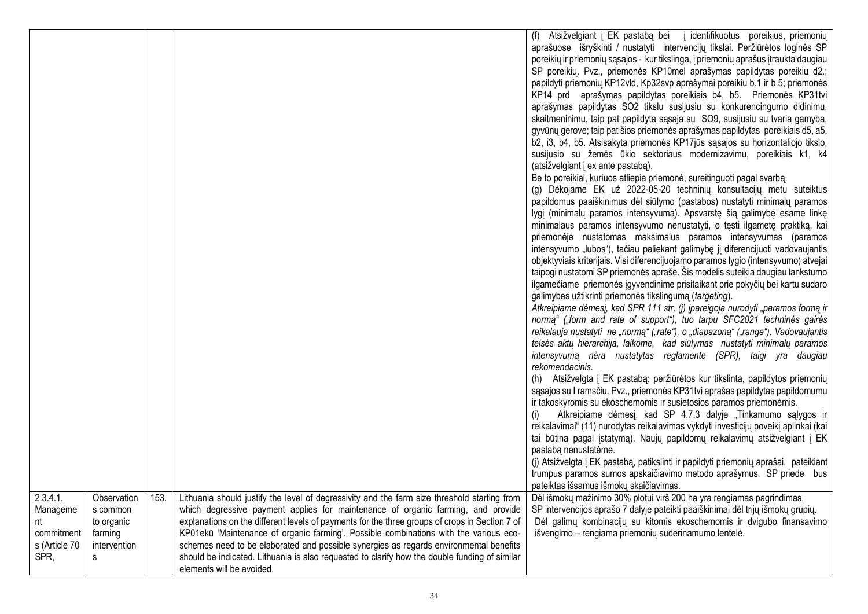|                                                                   |                                                                       |      |                                                                                                                                                                                                                                                                                                                                                                                                                                                                                                                                                                                                     | (f) Atsižvelgiant į EK pastabą bei į identifikuotus poreikius, priemonių<br>aprašuose išryškinti / nustatyti intervencijų tikslai. Peržiūrėtos loginės SP<br>poreikių ir priemonių sąsajos - kur tikslinga, į priemonių aprašus įtraukta daugiau<br>SP poreikių. Pvz., priemonės KP10mel aprašymas papildytas poreikiu d2.;<br>papildyti priemonių KP12vld, Kp32svp aprašymai poreikiu b.1 ir b.5; priemonės<br>KP14 prd aprašymas papildytas poreikiais b4, b5. Priemonės KP31tvi<br>aprašymas papildytas SO2 tikslu susijusiu su konkurencingumo didinimu,<br>skaitmeninimu, taip pat papildyta sąsaja su SO9, susijusiu su tvaria gamyba,<br>gyvūnų gerove; taip pat šios priemonės aprašymas papildytas poreikiais d5, a5,<br>b2, i3, b4, b5. Atsisakyta priemonės KP17jūs sąsajos su horizontaliojo tikslo,<br>susijusio su žemės ūkio sektoriaus modernizavimu, poreikiais k1, k4<br>(atsižvelgiant į ex ante pastaba).<br>Be to poreikiai, kuriuos atliepia priemonė, sureitinguoti pagal svarbą.<br>(g) Dėkojame EK už 2022-05-20 techninių konsultacijų metu suteiktus<br>papildomus paaiškinimus dėl siūlymo (pastabos) nustatyti minimalų paramos<br>lygį (minimalų paramos intensyvumą). Apsvarstę šią galimybę esame linkę<br>minimalaus paramos intensyvumo nenustatyti, o tęsti ilgametę praktiką, kai<br>priemonėje nustatomas maksimalus paramos intensyvumas (paramos<br>intensyvumo "lubos"), tačiau paliekant galimybę jį diferencijuoti vadovaujantis<br>objektyviais kriterijais. Visi diferencijuojamo paramos lygio (intensyvumo) atvejai<br>taipogi nustatomi SP priemonės apraše. Šis modelis suteikia daugiau lankstumo<br>ilgamečiame priemonės įgyvendinime prisitaikant prie pokyčių bei kartu sudaro<br>galimybes užtikrinti priemonės tikslingumą (targeting).<br>Atkreipiame dėmesį, kad SPR 111 str. (j) įpareigoja nurodyti "paramos formą ir<br>normą" ("form and rate of support"), tuo tarpu SFC2021 techninės gairės<br>reikalauja nustatyti ne "normą" ("rate"), o "diapazoną" ("range"). Vadovaujantis<br>teisės aktų hierarchija, laikome, kad siūlymas nustatyti minimalų paramos<br>intensyvumą nėra nustatytas reglamente (SPR), taigi yra daugiau<br>rekomendacinis.<br>(h) Atsižvelgta į EK pastabą: peržiūrėtos kur tikslinta, papildytos priemonių<br>sąsajos su I ramsčiu. Pvz., priemonės KP31tvi aprašas papildytas papildomumu<br>ir takoskyromis su ekoschemomis ir susietosios paramos priemonėmis.<br>Atkreipiame dėmesį, kad SP 4.7.3 dalyje "Tinkamumo sąlygos ir<br>reikalavimai" (11) nurodytas reikalavimas vykdyti investicijų poveikį aplinkai (kai<br>tai būtina pagal įstatymą). Naujų papildomų reikalavimų atsižvelgiant į EK<br>pastabą nenustatėme.<br>(j) Atsižvelgta į EK pastabą, patikslinti ir papildyti priemonių aprašai, pateikiant |
|-------------------------------------------------------------------|-----------------------------------------------------------------------|------|-----------------------------------------------------------------------------------------------------------------------------------------------------------------------------------------------------------------------------------------------------------------------------------------------------------------------------------------------------------------------------------------------------------------------------------------------------------------------------------------------------------------------------------------------------------------------------------------------------|------------------------------------------------------------------------------------------------------------------------------------------------------------------------------------------------------------------------------------------------------------------------------------------------------------------------------------------------------------------------------------------------------------------------------------------------------------------------------------------------------------------------------------------------------------------------------------------------------------------------------------------------------------------------------------------------------------------------------------------------------------------------------------------------------------------------------------------------------------------------------------------------------------------------------------------------------------------------------------------------------------------------------------------------------------------------------------------------------------------------------------------------------------------------------------------------------------------------------------------------------------------------------------------------------------------------------------------------------------------------------------------------------------------------------------------------------------------------------------------------------------------------------------------------------------------------------------------------------------------------------------------------------------------------------------------------------------------------------------------------------------------------------------------------------------------------------------------------------------------------------------------------------------------------------------------------------------------------------------------------------------------------------------------------------------------------------------------------------------------------------------------------------------------------------------------------------------------------------------------------------------------------------------------------------------------------------------------------------------------------------------------------------------------------------------------------------------------------------------------------------------------------------------------------------------------------------------------------------------------------------------------------------------------------------------------------------------------------------------------------------------------------------------------------------------------|
|                                                                   |                                                                       |      |                                                                                                                                                                                                                                                                                                                                                                                                                                                                                                                                                                                                     | trumpus paramos sumos apskaičiavimo metodo aprašymus. SP priede bus<br>pateiktas išsamus išmokų skaičiavimas.                                                                                                                                                                                                                                                                                                                                                                                                                                                                                                                                                                                                                                                                                                                                                                                                                                                                                                                                                                                                                                                                                                                                                                                                                                                                                                                                                                                                                                                                                                                                                                                                                                                                                                                                                                                                                                                                                                                                                                                                                                                                                                                                                                                                                                                                                                                                                                                                                                                                                                                                                                                                                                                                                                    |
| 2.3.4.1.<br>Manageme<br>nt<br>commitment<br>s (Article 70<br>SPR, | Observation<br>s common<br>to organic<br>farming<br>intervention<br>s | 153. | Lithuania should justify the level of degressivity and the farm size threshold starting from<br>which degressive payment applies for maintenance of organic farming, and provide<br>explanations on the different levels of payments for the three groups of crops in Section 7 of<br>KP01ekū 'Maintenance of organic farming'. Possible combinations with the various eco-<br>schemes need to be elaborated and possible synergies as regards environmental benefits<br>should be indicated. Lithuania is also requested to clarify how the double funding of similar<br>elements will be avoided. | Dėl išmokų mažinimo 30% plotui virš 200 ha yra rengiamas pagrindimas.<br>SP intervencijos aprašo 7 dalyje pateikti paaiškinimai dėl trijų išmokų grupių.<br>Dėl galimų kombinacijų su kitomis ekoschemomis ir dvigubo finansavimo<br>išvengimo - rengiama priemonių suderinamumo lentelė.                                                                                                                                                                                                                                                                                                                                                                                                                                                                                                                                                                                                                                                                                                                                                                                                                                                                                                                                                                                                                                                                                                                                                                                                                                                                                                                                                                                                                                                                                                                                                                                                                                                                                                                                                                                                                                                                                                                                                                                                                                                                                                                                                                                                                                                                                                                                                                                                                                                                                                                        |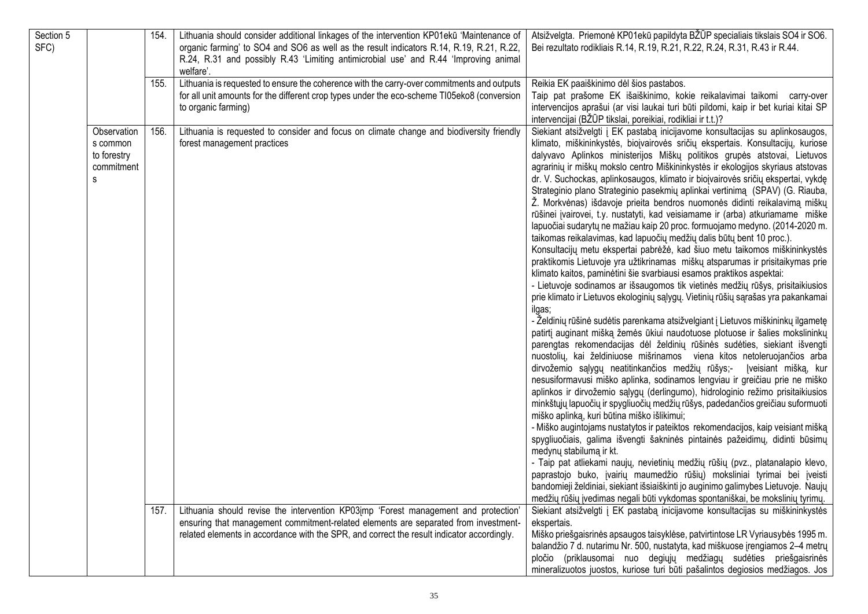| Section 5<br>SFC) |                                                           | 154. | Lithuania should consider additional linkages of the intervention KP01ekū 'Maintenance of<br>organic farming' to SO4 and SO6 as well as the result indicators R.14, R.19, R.21, R.22,<br>R.24, R.31 and possibly R.43 'Limiting antimicrobial use' and R.44 'Improving animal<br>welfare'. | Atsižvelgta. Priemonė KP01ekū papildyta BŽŪP specialiais tikslais SO4 ir SO6.<br>Bei rezultato rodikliais R.14, R.19, R.21, R.22, R.24, R.31, R.43 ir R.44.                                                                                                                                                                                                                                                                                                                                                                                                                                                                                                                                                                                                                                                                                                                                                                                                                                                                                                                                                                                                                                                                                                                                                                                                                                                                                                                                                                                                                                                                                                                                                                                                                                                                                                                                                                                                                                                                                                                                                                                                                                                                                                                                                                                                                                                                                                                                    |
|-------------------|-----------------------------------------------------------|------|--------------------------------------------------------------------------------------------------------------------------------------------------------------------------------------------------------------------------------------------------------------------------------------------|------------------------------------------------------------------------------------------------------------------------------------------------------------------------------------------------------------------------------------------------------------------------------------------------------------------------------------------------------------------------------------------------------------------------------------------------------------------------------------------------------------------------------------------------------------------------------------------------------------------------------------------------------------------------------------------------------------------------------------------------------------------------------------------------------------------------------------------------------------------------------------------------------------------------------------------------------------------------------------------------------------------------------------------------------------------------------------------------------------------------------------------------------------------------------------------------------------------------------------------------------------------------------------------------------------------------------------------------------------------------------------------------------------------------------------------------------------------------------------------------------------------------------------------------------------------------------------------------------------------------------------------------------------------------------------------------------------------------------------------------------------------------------------------------------------------------------------------------------------------------------------------------------------------------------------------------------------------------------------------------------------------------------------------------------------------------------------------------------------------------------------------------------------------------------------------------------------------------------------------------------------------------------------------------------------------------------------------------------------------------------------------------------------------------------------------------------------------------------------------------|
|                   |                                                           | 155. | Lithuania is requested to ensure the coherence with the carry-over commitments and outputs<br>for all unit amounts for the different crop types under the eco-scheme TI05eko8 (conversion<br>to organic farming)                                                                           | Reikia EK paaiškinimo dėl šios pastabos.<br>Taip pat prašome EK išaiškinimo, kokie reikalavimai taikomi carry-over<br>intervencijos aprašui (ar visi laukai turi būti pildomi, kaip ir bet kuriai kitai SP<br>intervencijai (BŽŪP tikslai, poreikiai, rodikliai ir t.t.)?                                                                                                                                                                                                                                                                                                                                                                                                                                                                                                                                                                                                                                                                                                                                                                                                                                                                                                                                                                                                                                                                                                                                                                                                                                                                                                                                                                                                                                                                                                                                                                                                                                                                                                                                                                                                                                                                                                                                                                                                                                                                                                                                                                                                                      |
|                   | Observation<br>s common<br>to forestry<br>commitment<br>S | 156. | Lithuania is requested to consider and focus on climate change and biodiversity friendly<br>forest management practices                                                                                                                                                                    | Siekiant atsižvelgti į EK pastabą inicijavome konsultacijas su aplinkosaugos,<br>klimato, miškininkystės, biojvairovės sričių ekspertais. Konsultacijų, kuriose<br>dalyvavo Aplinkos ministerijos Miškų politikos grupės atstovai, Lietuvos<br>agrarinių ir miškų mokslo centro Miškininkystės ir ekologijos skyriaus atstovas<br>dr. V. Suchockas, aplinkosaugos, klimato ir bioįvairovės sričių ekspertai, vykdę<br>Strateginio plano Strateginio pasekmių aplinkai vertinimą (SPAV) (G. Riauba,<br>Ž. Morkvėnas) išdavoje prieita bendros nuomonės didinti reikalavimą miškų<br>rūšinei įvairovei, t.y. nustatyti, kad veisiamame ir (arba) atkuriamame miške<br>lapuočiai sudarytų ne mažiau kaip 20 proc. formuojamo medyno. (2014-2020 m.<br>taikomas reikalavimas, kad lapuočių medžių dalis būtų bent 10 proc.).<br>Konsultacijų metu ekspertai pabrėžė, kad šiuo metu taikomos miškininkystės<br>praktikomis Lietuvoje yra užtikrinamas miškų atsparumas ir prisitaikymas prie<br>klimato kaitos, paminėtini šie svarbiausi esamos praktikos aspektai:<br>- Lietuvoje sodinamos ar išsaugomos tik vietinės medžių rūšys, prisitaikiusios<br>prie klimato ir Lietuvos ekologinių sąlygų. Vietinių rūšių sąrašas yra pakankamai<br>ilgas;<br>- Želdinių rūšinė sudėtis parenkama atsižvelgiant į Lietuvos miškininkų ilgametę<br>patirtį auginant mišką žemės ūkiui naudotuose plotuose ir šalies mokslininkų<br>parengtas rekomendacijas dėl želdinių rūšinės sudėties, siekiant išvengti<br>nuostolių, kai želdiniuose mišrinamos viena kitos netoleruojančios arba<br>dirvožemio sąlygų neatitinkančios medžių rūšys;-<br>Įveisiant mišką, kur<br>nesusiformavusi miško aplinka, sodinamos lengviau ir greičiau prie ne miško<br>aplinkos ir dirvožemio sąlygų (derlingumo), hidrologinio režimo prisitaikiusios<br>minkštųjų lapuočių ir spygliuočių medžių rūšys, padedančios greičiau suformuoti<br>miško aplinką, kuri būtina miško išlikimui;<br>- Miško augintojams nustatytos ir pateiktos rekomendacijos, kaip veisiant mišką<br>spygliuočiais, galima išvengti šakninės pintainės pažeidimų, didinti būsimų<br>medynų stabilumą ir kt.<br>- Taip pat atliekami naujų, nevietinių medžių rūšių (pvz., platanalapio klevo,<br>paprastojo buko, įvairių maumedžio rūšių) moksliniai tyrimai bei įveisti<br>bandomieji želdiniai, siekiant išsiaiškinti jo auginimo galimybes Lietuvoje. Naujų<br>medžių rūšių įvedimas negali būti vykdomas spontaniškai, be mokslinių tyrimų. |
|                   |                                                           | 157. | Lithuania should revise the intervention KP03imp 'Forest management and protection'<br>ensuring that management commitment-related elements are separated from investment-<br>related elements in accordance with the SPR, and correct the result indicator accordingly.                   | Siekiant atsižvelgti į EK pastabą inicijavome konsultacijas su miškininkystės<br>ekspertais.<br>Miško priešgaisrinės apsaugos taisyklėse, patvirtintose LR Vyriausybės 1995 m.<br>balandžio 7 d. nutarimu Nr. 500, nustatyta, kad miškuose įrengiamos 2-4 metrų<br>pločio (priklausomai nuo degiųjų medžiagų sudėties priešgaisrinės<br>mineralizuotos juostos, kuriose turi būti pašalintos degiosios medžiagos. Jos                                                                                                                                                                                                                                                                                                                                                                                                                                                                                                                                                                                                                                                                                                                                                                                                                                                                                                                                                                                                                                                                                                                                                                                                                                                                                                                                                                                                                                                                                                                                                                                                                                                                                                                                                                                                                                                                                                                                                                                                                                                                          |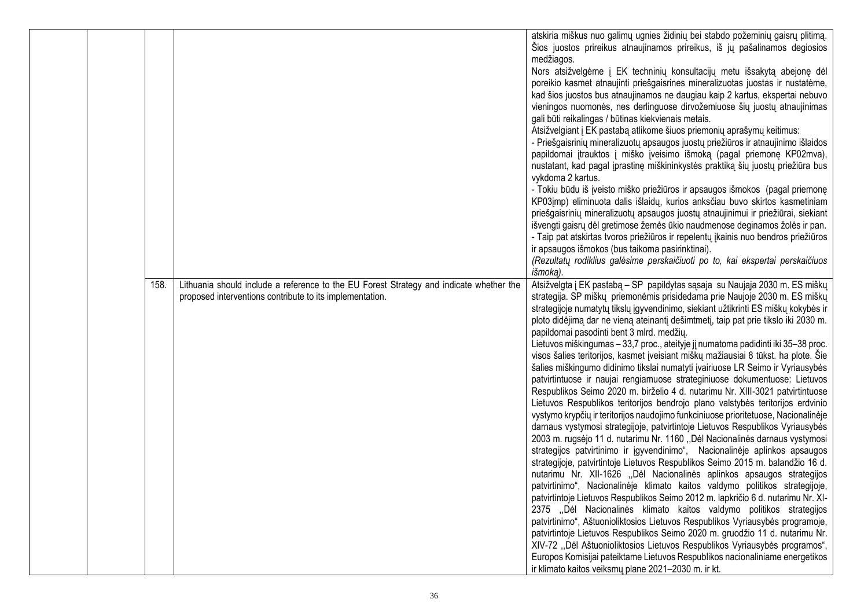|  |      |                                                                                                                                                     | atskiria miškus nuo galimų ugnies židinių bei stabdo požeminių gaisrų plitimą.<br>Šios juostos prireikus atnaujinamos prireikus, iš jų pašalinamos degiosios<br>medžiagos.<br>Nors atsižvelgėme į EK techninių konsultacijų metu išsakytą abejonę dėl<br>poreikio kasmet atnaujinti priešgaisrines mineralizuotas juostas ir nustatėme,<br>kad šios juostos bus atnaujinamos ne daugiau kaip 2 kartus, ekspertai nebuvo<br>vieningos nuomonės, nes derlinguose dirvožemiuose šių juostų atnaujinimas<br>gali būti reikalingas / būtinas kiekvienais metais.<br>Atsižvelgiant į EK pastabą atlikome šiuos priemonių aprašymų keitimus:<br>- Priešgaisrinių mineralizuotų apsaugos juostų priežiūros ir atnaujinimo išlaidos<br>papildomai įtrauktos į miško įveisimo išmoką (pagal priemonę KP02mva),<br>nustatant, kad pagal įprastinę miškininkystės praktiką šių juostų priežiūra bus<br>vykdoma 2 kartus.<br>- Tokiu būdu iš įveisto miško priežiūros ir apsaugos išmokos (pagal priemonę<br>KP03jmp) eliminuota dalis išlaidų, kurios anksčiau buvo skirtos kasmetiniam<br>priešgaisrinių mineralizuotų apsaugos juostų atnaujinimui ir priežiūrai, siekiant<br>išvengti gaisrų dėl gretimose žemės ūkio naudmenose deginamos žolės ir pan.<br>- Taip pat atskirtas tvoros priežiūros ir repelentų įkainis nuo bendros priežiūros<br>ir apsaugos išmokos (bus taikoma pasirinktinai).<br>(Rezultatų rodiklius galėsime perskaičiuoti po to, kai ekspertai perskaičiuos<br>išmoką).                                                                                                                                                                                                                                                                                                                                                                                                                                                                                                                                           |
|--|------|-----------------------------------------------------------------------------------------------------------------------------------------------------|----------------------------------------------------------------------------------------------------------------------------------------------------------------------------------------------------------------------------------------------------------------------------------------------------------------------------------------------------------------------------------------------------------------------------------------------------------------------------------------------------------------------------------------------------------------------------------------------------------------------------------------------------------------------------------------------------------------------------------------------------------------------------------------------------------------------------------------------------------------------------------------------------------------------------------------------------------------------------------------------------------------------------------------------------------------------------------------------------------------------------------------------------------------------------------------------------------------------------------------------------------------------------------------------------------------------------------------------------------------------------------------------------------------------------------------------------------------------------------------------------------------------------------------------------------------------------------------------------------------------------------------------------------------------------------------------------------------------------------------------------------------------------------------------------------------------------------------------------------------------------------------------------------------------------------------------------------------------------------------------------------------------------------|
|  | 158. | Lithuania should include a reference to the EU Forest Strategy and indicate whether the<br>proposed interventions contribute to its implementation. | Atsižvelgta į EK pastabą – SP papildytas sąsaja su Naująja 2030 m. ES miškų<br>strategija. SP miškų priemonėmis prisidedama prie Naujoje 2030 m. ES miškų<br>strategijoje numatytų tikslų įgyvendinimo, siekiant užtikrinti ES miškų kokybės ir<br>ploto didėjimą dar ne vieną ateinantį dešimtmetį, taip pat prie tikslo iki 2030 m.<br>papildomai pasodinti bent 3 mlrd. medžių.<br>Lietuvos miškingumas - 33,7 proc., ateityje jį numatoma padidinti iki 35-38 proc.<br>visos šalies teritorijos, kasmet įveisiant miškų mažiausiai 8 tūkst. ha plote. Šie<br>šalies miškingumo didinimo tikslai numatyti įvairiuose LR Seimo ir Vyriausybės<br>patvirtintuose ir naujai rengiamuose strateginiuose dokumentuose: Lietuvos<br>Respublikos Seimo 2020 m. birželio 4 d. nutarimu Nr. XIII-3021 patvirtintuose<br>Lietuvos Respublikos teritorijos bendrojo plano valstybės teritorijos erdvinio<br>vystymo krypčių ir teritorijos naudojimo funkciniuose prioritetuose, Nacionalinėje<br>darnaus vystymosi strategijoje, patvirtintoje Lietuvos Respublikos Vyriausybės<br>2003 m. rugsėjo 11 d. nutarimu Nr. 1160 "Dėl Nacionalinės darnaus vystymosi<br>strategijos patvirtinimo ir įgyvendinimo", Nacionalinėje aplinkos apsaugos<br>strategijoje, patvirtintoje Lietuvos Respublikos Seimo 2015 m. balandžio 16 d.<br>nutarimu Nr. XII-1626 "Dėl Nacionalinės aplinkos apsaugos strategijos<br>patvirtinimo", Nacionalinėje klimato kaitos valdymo politikos strategijoje,<br>patvirtintoje Lietuvos Respublikos Seimo 2012 m. lapkričio 6 d. nutarimu Nr. XI-<br>2375 "Dėl Nacionalinės klimato kaitos valdymo politikos strategijos<br>patvirtinimo", Aštuonioliktosios Lietuvos Respublikos Vyriausybės programoje,<br>patvirtintoje Lietuvos Respublikos Seimo 2020 m. gruodžio 11 d. nutarimu Nr.<br>XIV-72 "Dėl Aštuonioliktosios Lietuvos Respublikos Vyriausybės programos",<br>Europos Komisijai pateiktame Lietuvos Respublikos nacionaliniame energetikos<br>ir klimato kaitos veiksmų plane 2021-2030 m. ir kt. |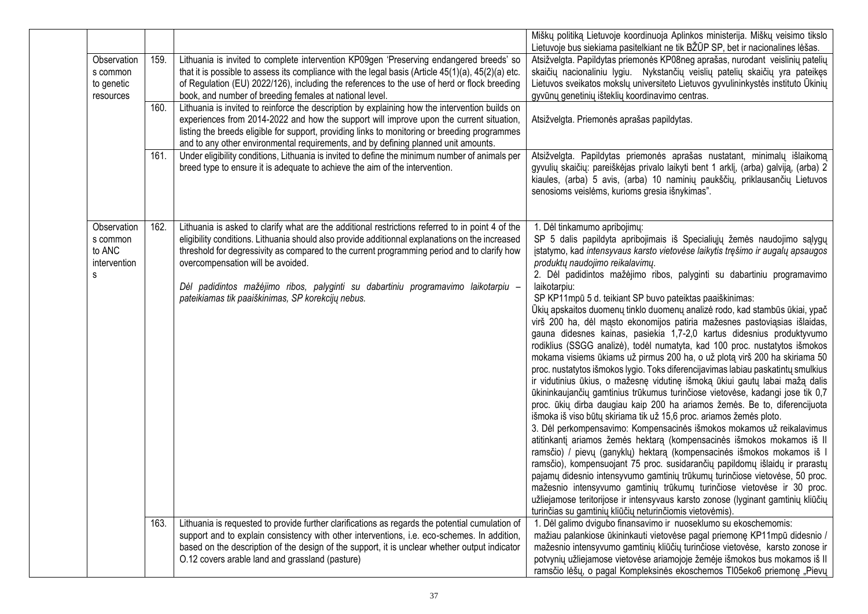|                                                        |      |                                                                                                                                                                                                                                                                                                                                                                                                                                                                                   | Miškų politiką Lietuvoje koordinuoja Aplinkos ministerija. Miškų veisimo tikslo<br>Lietuvoje bus siekiama pasitelkiant ne tik BŽŪP SP, bet ir nacionalines lėšas.                                                                                                                                                                                                                                                                                                                                                                                                                                                                                                                                                                                                                                                                                                                                                                                                                                                                                                                                                                                                                                                                                                                                                                                                                                                                                                                                                                                                                                                                                                                                                                                                                                                |
|--------------------------------------------------------|------|-----------------------------------------------------------------------------------------------------------------------------------------------------------------------------------------------------------------------------------------------------------------------------------------------------------------------------------------------------------------------------------------------------------------------------------------------------------------------------------|------------------------------------------------------------------------------------------------------------------------------------------------------------------------------------------------------------------------------------------------------------------------------------------------------------------------------------------------------------------------------------------------------------------------------------------------------------------------------------------------------------------------------------------------------------------------------------------------------------------------------------------------------------------------------------------------------------------------------------------------------------------------------------------------------------------------------------------------------------------------------------------------------------------------------------------------------------------------------------------------------------------------------------------------------------------------------------------------------------------------------------------------------------------------------------------------------------------------------------------------------------------------------------------------------------------------------------------------------------------------------------------------------------------------------------------------------------------------------------------------------------------------------------------------------------------------------------------------------------------------------------------------------------------------------------------------------------------------------------------------------------------------------------------------------------------|
| Observation<br>s common<br>to genetic<br>resources     | 159. | Lithuania is invited to complete intervention KP09gen 'Preserving endangered breeds' so<br>that it is possible to assess its compliance with the legal basis (Article $45(1)(a)$ , $45(2)(a)$ etc.<br>of Regulation (EU) 2022/126), including the references to the use of herd or flock breeding<br>book, and number of breeding females at national level.                                                                                                                      | Atsižvelgta. Papildytas priemonės KP08neg aprašas, nurodant veislinių patelių<br>skaičių nacionaliniu lygiu. Nykstančių veislių patelių skaičių yra pateikęs<br>Lietuvos sveikatos mokslų universiteto Lietuvos gyvulininkystės instituto Ūkinių<br>gyvūnų genetinių išteklių koordinavimo centras.                                                                                                                                                                                                                                                                                                                                                                                                                                                                                                                                                                                                                                                                                                                                                                                                                                                                                                                                                                                                                                                                                                                                                                                                                                                                                                                                                                                                                                                                                                              |
|                                                        | 160. | Lithuania is invited to reinforce the description by explaining how the intervention builds on<br>experiences from 2014-2022 and how the support will improve upon the current situation,<br>listing the breeds eligible for support, providing links to monitoring or breeding programmes<br>and to any other environmental requirements, and by defining planned unit amounts.                                                                                                  | Atsižvelgta. Priemonės aprašas papildytas.                                                                                                                                                                                                                                                                                                                                                                                                                                                                                                                                                                                                                                                                                                                                                                                                                                                                                                                                                                                                                                                                                                                                                                                                                                                                                                                                                                                                                                                                                                                                                                                                                                                                                                                                                                       |
|                                                        | 161. | Under eligibility conditions, Lithuania is invited to define the minimum number of animals per<br>breed type to ensure it is adequate to achieve the aim of the intervention.                                                                                                                                                                                                                                                                                                     | Atsižvelgta. Papildytas priemonės aprašas nustatant, minimalų išlaikomą<br>gyvulių skaičių: pareiškėjas privalo laikyti bent 1 arklį, (arba) galviją, (arba) 2<br>kiaules, (arba) 5 avis, (arba) 10 naminių paukščių, priklausančių Lietuvos<br>senosioms veislėms, kurioms gresia išnykimas".                                                                                                                                                                                                                                                                                                                                                                                                                                                                                                                                                                                                                                                                                                                                                                                                                                                                                                                                                                                                                                                                                                                                                                                                                                                                                                                                                                                                                                                                                                                   |
| Observation<br>s common<br>to ANC<br>intervention<br>s | 162. | Lithuania is asked to clarify what are the additional restrictions referred to in point 4 of the<br>eligibility conditions. Lithuania should also provide additionnal explanations on the increased<br>threshold for degressivity as compared to the current programming period and to clarify how<br>overcompensation will be avoided.<br>Dėl padidintos mažėjimo ribos, palyginti su dabartiniu programavimo laikotarpiu -<br>pateikiamas tik paaiškinimas, SP korekcijų nebus. | 1. Dėl tinkamumo apribojimų:<br>SP 5 dalis papildyta apribojimais iš Specialiųjų žemės naudojimo sąlygų<br>įstatymo, kad intensyvaus karsto vietovėse laikytis tręšimo ir augalų apsaugos<br>produktų naudojimo reikalavimų.<br>2. Dėl padidintos mažėjimo ribos, palyginti su dabartiniu programavimo<br>laikotarpiu:<br>SP KP11mpū 5 d. teikiant SP buvo pateiktas paaiškinimas:<br>Ūkių apskaitos duomenų tinklo duomenų analizė rodo, kad stambūs ūkiai, ypač<br>virš 200 ha, dėl mąsto ekonomijos patiria mažesnes pastoviąsias išlaidas,<br>gauna didesnes kainas, pasiekia 1,7-2,0 kartus didesnius produktyvumo<br>rodiklius (SSGG analizė), todėl numatyta, kad 100 proc. nustatytos išmokos<br>mokama visiems ūkiams už pirmus 200 ha, o už plotą virš 200 ha skiriama 50<br>proc. nustatytos išmokos lygio. Toks diferencijavimas labiau paskatintų smulkius<br>ir vidutinius ūkius, o mažesnę vidutinę išmoką ūkiui gautų labai mažą dalis<br>ūkininkaujančių gamtinius trūkumus turinčiose vietovėse, kadangi jose tik 0,7<br>proc. ūkių dirba daugiau kaip 200 ha ariamos žemės. Be to, diferencijuota<br>išmoka iš viso būtų skiriama tik už 15,6 proc. ariamos žemės ploto.<br>3. Dėl perkompensavimo: Kompensacinės išmokos mokamos už reikalavimus<br>atitinkantį ariamos žemės hektarą (kompensacinės išmokos mokamos iš II<br>ramsčio) / pievų (ganyklų) hektarą (kompensacinės išmokos mokamos iš l<br>ramsčio), kompensuojant 75 proc. susidarančių papildomų išlaidų ir prarastų<br>pajamų didesnio intensyvumo gamtinių trūkumų turinčiose vietovėse, 50 proc.<br>mažesnio intensyvumo gamtinių trūkumų turinčiose vietovėse ir 30 proc.<br>užliejamose teritorijose ir intensyvaus karsto zonose (lyginant gamtinių kliūčių<br>turinčias su gamtinių kliūčių neturinčiomis vietovėmis). |
|                                                        | 163. | Lithuania is requested to provide further clarifications as regards the potential cumulation of<br>support and to explain consistency with other interventions, i.e. eco-schemes. In addition,<br>based on the description of the design of the support, it is unclear whether output indicator<br>O.12 covers arable land and grassland (pasture)                                                                                                                                | 1. Dėl galimo dvigubo finansavimo ir nuoseklumo su ekoschemomis:<br>mažiau palankiose ūkininkauti vietovėse pagal priemonę KP11mpū didesnio /<br>mažesnio intensyvumo gamtinių kliūčių turinčiose vietovėse, karsto zonose ir<br>potvynių užliejamose vietovėse ariamojoje žemėje išmokos bus mokamos iš II<br>ramsčio lėšų, o pagal Kompleksinės ekoschemos TI05eko6 priemonę "Pievų                                                                                                                                                                                                                                                                                                                                                                                                                                                                                                                                                                                                                                                                                                                                                                                                                                                                                                                                                                                                                                                                                                                                                                                                                                                                                                                                                                                                                            |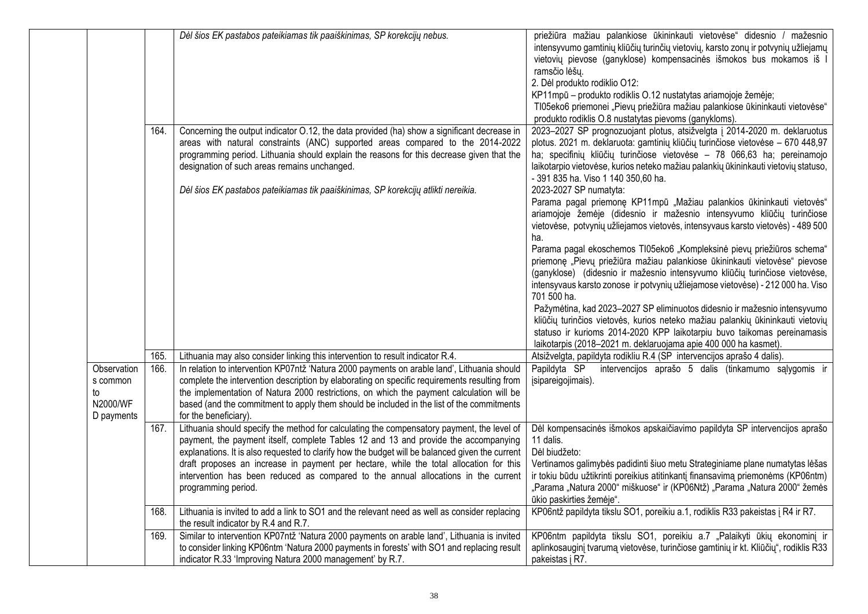|                                                         |      | Dėl šios EK pastabos pateikiamas tik paaiškinimas, SP korekcijų nebus.                                                                                                                                                                                                                                                                                                                                                                                                                      | priežiūra mažiau palankiose ūkininkauti vietovėse" didesnio / mažesnio<br>intensyvumo gamtinių kliūčių turinčių vietovių, karsto zonų ir potvynių užliejamų<br>vietovių pievose (ganyklose) kompensacinės išmokos bus mokamos iš l<br>ramsčio lėšų.<br>2. Dėl produkto rodiklio O12:<br>KP11mpū - produkto rodiklis O.12 nustatytas ariamojoje žemėje;<br>TI05eko6 priemonei "Pievų priežiūra mažiau palankiose ūkininkauti vietovėse"<br>produkto rodiklis O.8 nustatytas pievoms (ganykloms).                                                                                                                                                           |
|---------------------------------------------------------|------|---------------------------------------------------------------------------------------------------------------------------------------------------------------------------------------------------------------------------------------------------------------------------------------------------------------------------------------------------------------------------------------------------------------------------------------------------------------------------------------------|-----------------------------------------------------------------------------------------------------------------------------------------------------------------------------------------------------------------------------------------------------------------------------------------------------------------------------------------------------------------------------------------------------------------------------------------------------------------------------------------------------------------------------------------------------------------------------------------------------------------------------------------------------------|
|                                                         | 164. | Concerning the output indicator O.12, the data provided (ha) show a significant decrease in<br>areas with natural constraints (ANC) supported areas compared to the 2014-2022<br>programming period. Lithuania should explain the reasons for this decrease given that the<br>designation of such areas remains unchanged.<br>Dėl šios EK pastabos pateikiamas tik paaiškinimas, SP korekcijų atlikti nereikia.                                                                             | 2023-2027 SP prognozuojant plotus, atsižvelgta į 2014-2020 m. deklaruotus<br>plotus. 2021 m. deklaruota: gamtinių kliūčių turinčiose vietovėse - 670 448,97<br>ha; specifinių kliūčių turinčiose vietovėse - 78 066,63 ha; pereinamojo<br>laikotarpio vietovėse, kurios neteko mažiau palankių ūkininkauti vietovių statuso,<br>- 391 835 ha. Viso 1 140 350,60 ha.<br>2023-2027 SP numatyta:<br>Parama pagal priemonę KP11mpū "Mažiau palankios ūkininkauti vietovės"<br>ariamojoje žemėje (didesnio ir mažesnio intensyvumo kliūčių turinčiose<br>vietovėse, potvynių užliejamos vietovės, intensyvaus karsto vietovės) - 489 500                       |
|                                                         |      |                                                                                                                                                                                                                                                                                                                                                                                                                                                                                             | ha.<br>Parama pagal ekoschemos TI05eko6 "Kompleksinė pievų priežiūros schema"<br>priemonę "Pievų priežiūra mažiau palankiose ūkininkauti vietovėse" pievose<br>(ganyklose) (didesnio ir mažesnio intensyvumo kliūčių turinčiose vietovėse,<br>intensyvaus karsto zonose ir potvynių užliejamose vietovėse) - 212 000 ha. Viso<br>701 500 ha.<br>Pažymėtina, kad 2023-2027 SP eliminuotos didesnio ir mažesnio intensyvumo<br>kliūčių turinčios vietovės, kurios neteko mažiau palankių ūkininkauti vietovių<br>statuso ir kurioms 2014-2020 KPP laikotarpiu buvo taikomas pereinamasis<br>laikotarpis (2018-2021 m. deklaruojama apie 400 000 ha kasmet). |
|                                                         | 165. | Lithuania may also consider linking this intervention to result indicator R.4.                                                                                                                                                                                                                                                                                                                                                                                                              | Atsižvelgta, papildyta rodikliu R.4 (SP intervencijos aprašo 4 dalis).                                                                                                                                                                                                                                                                                                                                                                                                                                                                                                                                                                                    |
| Observation<br>s common<br>to<br>N2000/WF<br>D payments | 166. | In relation to intervention KP07ntž 'Natura 2000 payments on arable land', Lithuania should<br>complete the intervention description by elaborating on specific requirements resulting from<br>the implementation of Natura 2000 restrictions, on which the payment calculation will be<br>based (and the commitment to apply them should be included in the list of the commitments<br>for the beneficiary).                                                                               | intervencijos aprašo 5 dalis (tinkamumo sąlygomis ir<br>Papildyta SP<br>įsipareigojimais).                                                                                                                                                                                                                                                                                                                                                                                                                                                                                                                                                                |
|                                                         | 167. | Lithuania should specify the method for calculating the compensatory payment, the level of<br>payment, the payment itself, complete Tables 12 and 13 and provide the accompanying<br>explanations. It is also requested to clarify how the budget will be balanced given the current<br>draft proposes an increase in payment per hectare, while the total allocation for this<br>intervention has been reduced as compared to the annual allocations in the current<br>programming period. | Dėl kompensacinės išmokos apskaičiavimo papildyta SP intervencijos aprašo<br>11 dalis.<br>Dėl biudžeto:<br>Vertinamos galimybės padidinti šiuo metu Strateginiame plane numatytas lėšas<br>ir tokiu būdu užtikrinti poreikius atitinkantį finansavimą priemonėms (KP06ntm)<br>"Parama "Natura 2000" miškuose" ir (KP06Ntž) "Parama "Natura 2000" žemės<br>ūkio paskirties žemėje".                                                                                                                                                                                                                                                                        |
|                                                         | 168. | Lithuania is invited to add a link to SO1 and the relevant need as well as consider replacing<br>the result indicator by R.4 and R.7.                                                                                                                                                                                                                                                                                                                                                       | KP06ntž papildyta tikslu SO1, poreikiu a.1, rodiklis R33 pakeistas į R4 ir R7.                                                                                                                                                                                                                                                                                                                                                                                                                                                                                                                                                                            |
|                                                         | 169. | Similar to intervention KP07ntž 'Natura 2000 payments on arable land', Lithuania is invited<br>to consider linking KP06ntm 'Natura 2000 payments in forests' with SO1 and replacing result<br>indicator R.33 'Improving Natura 2000 management' by R.7.                                                                                                                                                                                                                                     | KP06ntm papildyta tikslu SO1, poreikiu a.7 "Palaikyti ūkių ekonominį ir<br>aplinkosauginį tvarumą vietovėse, turinčiose gamtinių ir kt. Kliūčių", rodiklis R33<br>pakeistas į R7.                                                                                                                                                                                                                                                                                                                                                                                                                                                                         |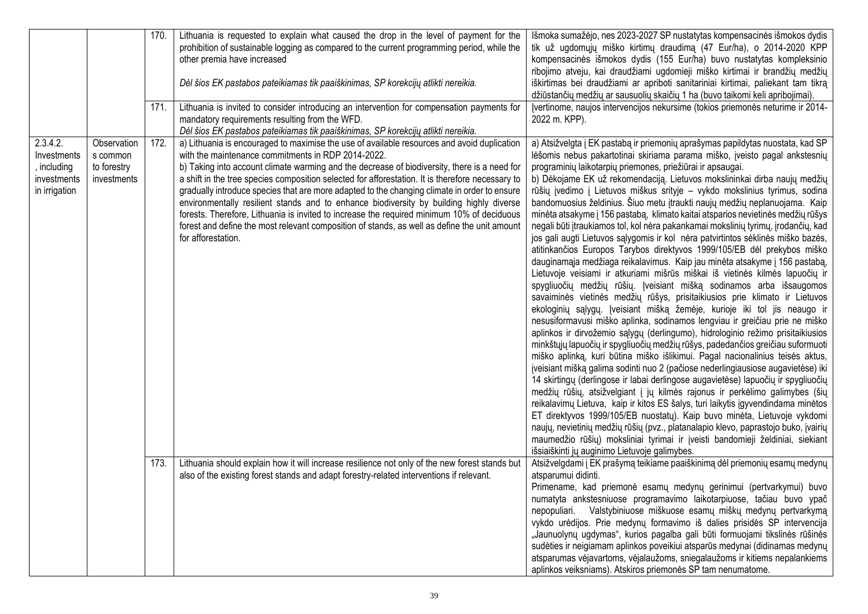|                                                                        |                                                       | 170.<br>171. | Lithuania is requested to explain what caused the drop in the level of payment for the<br>prohibition of sustainable logging as compared to the current programming period, while the<br>other premia have increased<br>Dėl šios EK pastabos pateikiamas tik paaiškinimas, SP korekcijų atlikti nereikia.<br>Lithuania is invited to consider introducing an intervention for compensation payments for                                                                                                                                                                                                                                                                                                                                                              | Išmoka sumažėjo, nes 2023-2027 SP nustatytas kompensacinės išmokos dydis<br>tik už ugdomųjų miško kirtimų draudimą (47 Eur/ha), o 2014-2020 KPP<br>kompensacinės išmokos dydis (155 Eur/ha) buvo nustatytas kompleksinio<br>ribojimo atveju, kai draudžiami ugdomieji miško kirtimai ir brandžių medžių<br>iškirtimas bei draudžiami ar apriboti sanitariniai kirtimai, paliekant tam tikrą<br>džiūstančių medžių ar sausuolių skaičių 1 ha (buvo taikomi keli apribojimai).<br>Jvertinome, naujos intervencijos nekursime (tokios priemonės neturime ir 2014-                                                                                                                                                                                                                                                                                                                                                                                                                                                                                                                                                                                                                                                                                                                                                                                                                                                                                                                                                                                                                                                                                                                                                                                                                                                                                                                                                                                                                                                                                                                                                                                                                                  |
|------------------------------------------------------------------------|-------------------------------------------------------|--------------|----------------------------------------------------------------------------------------------------------------------------------------------------------------------------------------------------------------------------------------------------------------------------------------------------------------------------------------------------------------------------------------------------------------------------------------------------------------------------------------------------------------------------------------------------------------------------------------------------------------------------------------------------------------------------------------------------------------------------------------------------------------------|-------------------------------------------------------------------------------------------------------------------------------------------------------------------------------------------------------------------------------------------------------------------------------------------------------------------------------------------------------------------------------------------------------------------------------------------------------------------------------------------------------------------------------------------------------------------------------------------------------------------------------------------------------------------------------------------------------------------------------------------------------------------------------------------------------------------------------------------------------------------------------------------------------------------------------------------------------------------------------------------------------------------------------------------------------------------------------------------------------------------------------------------------------------------------------------------------------------------------------------------------------------------------------------------------------------------------------------------------------------------------------------------------------------------------------------------------------------------------------------------------------------------------------------------------------------------------------------------------------------------------------------------------------------------------------------------------------------------------------------------------------------------------------------------------------------------------------------------------------------------------------------------------------------------------------------------------------------------------------------------------------------------------------------------------------------------------------------------------------------------------------------------------------------------------------------------------|
|                                                                        |                                                       |              | mandatory requirements resulting from the WFD.<br>Dėl šios EK pastabos pateikiamas tik paaiškinimas, SP korekcijų atlikti nereikia.                                                                                                                                                                                                                                                                                                                                                                                                                                                                                                                                                                                                                                  | 2022 m. KPP).                                                                                                                                                                                                                                                                                                                                                                                                                                                                                                                                                                                                                                                                                                                                                                                                                                                                                                                                                                                                                                                                                                                                                                                                                                                                                                                                                                                                                                                                                                                                                                                                                                                                                                                                                                                                                                                                                                                                                                                                                                                                                                                                                                                   |
| 2.3.4.2.<br>Investments<br>, including<br>investments<br>in irrigation | Observation<br>s common<br>to forestry<br>investments | 172.         | a) Lithuania is encouraged to maximise the use of available resources and avoid duplication<br>with the maintenance commitments in RDP 2014-2022.<br>b) Taking into account climate warming and the decrease of biodiversity, there is a need for<br>a shift in the tree species composition selected for afforestation. It is therefore necessary to<br>gradually introduce species that are more adapted to the changing climate in order to ensure<br>environmentally resilient stands and to enhance biodiversity by building highly diverse<br>forests. Therefore, Lithuania is invited to increase the required minimum 10% of deciduous<br>forest and define the most relevant composition of stands, as well as define the unit amount<br>for afforestation. | a) Atsižvelgta į EK pastabą ir priemonių aprašymas papildytas nuostata, kad SP<br>lėšomis nebus pakartotinai skiriama parama miško, įveisto pagal ankstesnių<br>programinių laikotarpių priemones, priežiūrai ir apsaugai.<br>b) Dėkojame EK už rekomendaciją. Lietuvos mokslininkai dirba naujų medžių<br>rūšių įvedimo į Lietuvos miškus srityje – vykdo mokslinius tyrimus, sodina<br>bandomuosius želdinius. Šiuo metu įtraukti naujų medžių neplanuojama. Kaip<br>minėta atsakyme į 156 pastabą, klimato kaitai atsparios nevietinės medžių rūšys<br>negali būti įtraukiamos tol, kol nėra pakankamai mokslinių tyrimų, įrodančių, kad<br>jos gali augti Lietuvos sąlygomis ir kol nėra patvirtintos sėklinės miško bazės,<br>atitinkančios Europos Tarybos direktyvos 1999/105/EB dėl prekybos miško<br>dauginamąja medžiaga reikalavimus. Kaip jau minėta atsakyme į 156 pastabą,<br>Lietuvoje veisiami ir atkuriami mišrūs miškai iš vietinės kilmės lapuočių ir<br>spygliuočių medžių rūšių. Įveisiant mišką sodinamos arba išsaugomos<br>savaiminės vietinės medžių rūšys, prisitaikiusios prie klimato ir Lietuvos<br>ekologinių sąlygų. Įveisiant mišką žemėje, kurioje iki tol jis neaugo ir<br>nesusiformavusi miško aplinka, sodinamos lengviau ir greičiau prie ne miško<br>aplinkos ir dirvožemio sąlygų (derlingumo), hidrologinio režimo prisitaikiusios<br>minkštųjų lapuočių ir spygliuočių medžių rūšys, padedančios greičiau suformuoti<br>miško aplinką, kuri būtina miško išlikimui. Pagal nacionalinius teisės aktus,<br>įveisiant mišką galima sodinti nuo 2 (pačiose nederlingiausiose augavietėse) iki<br>14 skirtingų (derlingose ir labai derlingose augavietėse) lapuočių ir spygliuočių<br>medžių rūšių, atsižvelgiant į jų kilmės rajonus ir perkėlimo galimybes (šių<br>reikalavimų Lietuva, kaip ir kitos ES šalys, turi laikytis įgyvendindama minėtos<br>ET direktyvos 1999/105/EB nuostatų). Kaip buvo minėta, Lietuvoje vykdomi<br>naujų, nevietinių medžių rūšių (pvz., platanalapio klevo, paprastojo buko, įvairių<br>maumedžio rūšių) moksliniai tyrimai ir įveisti bandomieji želdiniai, siekiant<br>išsiaiškinti jų auginimo Lietuvoje galimybes. |
|                                                                        |                                                       | 173.         | Lithuania should explain how it will increase resilience not only of the new forest stands but<br>also of the existing forest stands and adapt forestry-related interventions if relevant.                                                                                                                                                                                                                                                                                                                                                                                                                                                                                                                                                                           | Atsižvelgdami į EK prašymą teikiame paaiškinimą dėl priemonių esamų medynų<br>atsparumui didinti.<br>Primename, kad priemonė esamų medynų gerinimui (pertvarkymui) buvo<br>numatyta ankstesniuose programavimo laikotarpiuose, tačiau buvo ypač<br>nepopuliari. Valstybiniuose miškuose esamų miškų medynų pertvarkymą<br>vykdo urėdijos. Prie medynų formavimo iš dalies prisidės SP intervencija<br>"Jaunuolynų ugdymas", kurios pagalba gali būti formuojami tikslinės rūšinės<br>sudėties ir neigiamam aplinkos poveikiui atsparūs medynai (didinamas medynų                                                                                                                                                                                                                                                                                                                                                                                                                                                                                                                                                                                                                                                                                                                                                                                                                                                                                                                                                                                                                                                                                                                                                                                                                                                                                                                                                                                                                                                                                                                                                                                                                                |
|                                                                        |                                                       |              |                                                                                                                                                                                                                                                                                                                                                                                                                                                                                                                                                                                                                                                                                                                                                                      | atsparumas vėjavartoms, vėjalaužoms, sniegalaužoms ir kitiems nepalankiems<br>aplinkos veiksniams). Atskiros priemonės SP tam nenumatome.                                                                                                                                                                                                                                                                                                                                                                                                                                                                                                                                                                                                                                                                                                                                                                                                                                                                                                                                                                                                                                                                                                                                                                                                                                                                                                                                                                                                                                                                                                                                                                                                                                                                                                                                                                                                                                                                                                                                                                                                                                                       |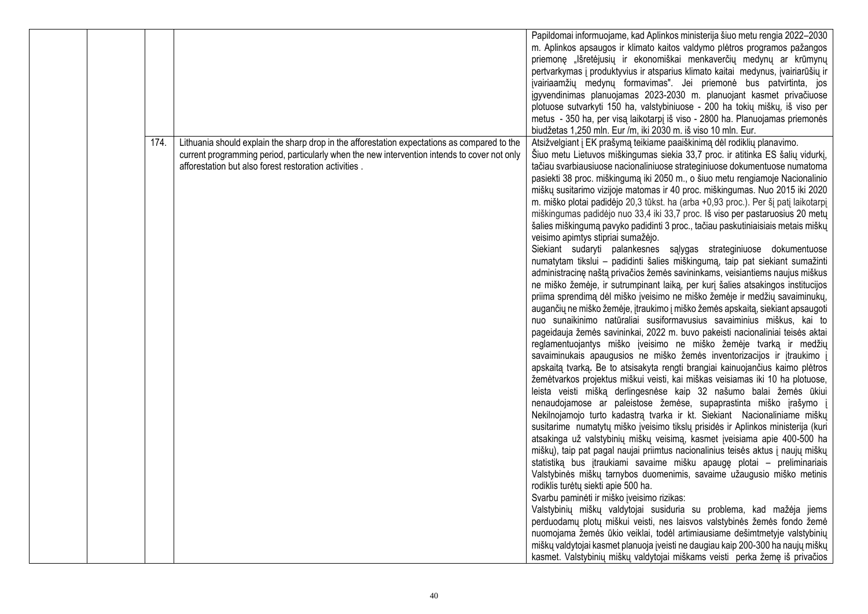|  |      |                                                                                              | Papildomai informuojame, kad Aplinkos ministerija šiuo metu rengia 2022-2030       |
|--|------|----------------------------------------------------------------------------------------------|------------------------------------------------------------------------------------|
|  |      |                                                                                              | m. Aplinkos apsaugos ir klimato kaitos valdymo plėtros programos pažangos          |
|  |      |                                                                                              | priemonę "lšretėjusių ir ekonomiškai menkaverčių medynų ar krūmynų                 |
|  |      |                                                                                              | pertvarkymas į produktyvius ir atsparius klimato kaitai medynus, įvairiarūšių ir   |
|  |      |                                                                                              | įvairiaamžių medynų formavimas". Jei priemonė bus patvirtinta, jos                 |
|  |      |                                                                                              | jgyvendinimas planuojamas 2023-2030 m. planuojant kasmet privačiuose               |
|  |      |                                                                                              | plotuose sutvarkyti 150 ha, valstybiniuose - 200 ha tokių miškų, iš viso per       |
|  |      |                                                                                              | metus - 350 ha, per visa laikotarpi iš viso - 2800 ha. Planuojamas priemonės       |
|  |      |                                                                                              | biudžetas 1,250 mln. Eur /m, iki 2030 m. iš viso 10 mln. Eur.                      |
|  | 174. | Lithuania should explain the sharp drop in the afforestation expectations as compared to the | Atsižvelgiant į EK prašymą teikiame paaiškinimą dėl rodiklių planavimo.            |
|  |      | current programming period, particularly when the new intervention intends to cover not only | Šiuo metu Lietuvos miškingumas siekia 33,7 proc. ir atitinka ES šalių vidurkį,     |
|  |      | afforestation but also forest restoration activities.                                        | tačiau svarbiausiuose nacionaliniuose strateginiuose dokumentuose numatoma         |
|  |      |                                                                                              | pasiekti 38 proc. miškingumą iki 2050 m., o šiuo metu rengiamoje Nacionalinio      |
|  |      |                                                                                              | miškų susitarimo vizijoje matomas ir 40 proc. miškingumas. Nuo 2015 iki 2020       |
|  |      |                                                                                              | m. miško plotai padidėjo 20,3 tūkst. ha (arba +0,93 proc.). Per šį patį laikotarpį |
|  |      |                                                                                              | miškingumas padidėjo nuo 33,4 iki 33,7 proc. Iš viso per pastaruosius 20 metų      |
|  |      |                                                                                              | šalies miškingumą pavyko padidinti 3 proc., tačiau paskutiniaisiais metais miškų   |
|  |      |                                                                                              | veisimo apimtys stipriai sumažėjo.                                                 |
|  |      |                                                                                              | Siekiant sudaryti palankesnes sąlygas strateginiuose dokumentuose                  |
|  |      |                                                                                              | numatytam tikslui - padidinti šalies miškingumą, taip pat siekiant sumažinti       |
|  |      |                                                                                              | administracinę naštą privačios žemės savininkams, veisiantiems naujus miškus       |
|  |      |                                                                                              | ne miško žemėje, ir sutrumpinant laiką, per kurį šalies atsakingos institucijos    |
|  |      |                                                                                              | priima sprendimą dėl miško įveisimo ne miško žemėje ir medžių savaiminukų,         |
|  |      |                                                                                              | augančių ne miško žemėje, įtraukimo į miško žemės apskaitą, siekiant apsaugoti     |
|  |      |                                                                                              | nuo sunaikinimo natūraliai susiformavusius savaiminius miškus, kai to              |
|  |      |                                                                                              | pageidauja žemės savininkai, 2022 m. buvo pakeisti nacionaliniai teisės aktai      |
|  |      |                                                                                              | reglamentuojantys miško įveisimo ne miško žemėje tvarką ir medžių                  |
|  |      |                                                                                              | savaiminukais apaugusios ne miško žemės inventorizacijos ir įtraukimo į            |
|  |      |                                                                                              | apskaitą tvarką. Be to atsisakyta rengti brangiai kainuojančius kaimo plėtros      |
|  |      |                                                                                              | žemėtvarkos projektus miškui veisti, kai miškas veisiamas iki 10 ha plotuose,      |
|  |      |                                                                                              | leista veisti mišką derlingesnėse kaip 32 našumo balai žemės ūkiui                 |
|  |      |                                                                                              | nenaudojamose ar paleistose žemėse, supaprastinta miško įrašymo į                  |
|  |      |                                                                                              | Nekilnojamojo turto kadastrą tvarka ir kt. Siekiant Nacionaliniame miškų           |
|  |      |                                                                                              | susitarime numatytų miško įveisimo tikslų prisidės ir Aplinkos ministerija (kuri   |
|  |      |                                                                                              | atsakinga už valstybinių miškų veisimą, kasmet įveisiama apie 400-500 ha           |
|  |      |                                                                                              | miškų), taip pat pagal naujai priimtus nacionalinius teisės aktus į naujų miškų    |
|  |      |                                                                                              | statistiką bus įtraukiami savaime mišku apaugę plotai – preliminariais             |
|  |      |                                                                                              | Valstybinės miškų tarnybos duomenimis, savaime užaugusio miško metinis             |
|  |      |                                                                                              | rodiklis turėtų siekti apie 500 ha.                                                |
|  |      |                                                                                              | Svarbu paminėti ir miško įveisimo rizikas:                                         |
|  |      |                                                                                              | Valstybinių miškų valdytojai susiduria su problema, kad mažėja jiems               |
|  |      |                                                                                              | perduodamų plotų miškui veisti, nes laisvos valstybinės žemės fondo žemė           |
|  |      |                                                                                              | nuomojama žemės ūkio veiklai, todėl artimiausiame dešimtmetyje valstybinių         |
|  |      |                                                                                              | miškų valdytojai kasmet planuoja įveisti ne daugiau kaip 200-300 ha naujų miškų    |
|  |      |                                                                                              | kasmet. Valstybinių miškų valdytojai miškams veisti perka žemę iš privačios        |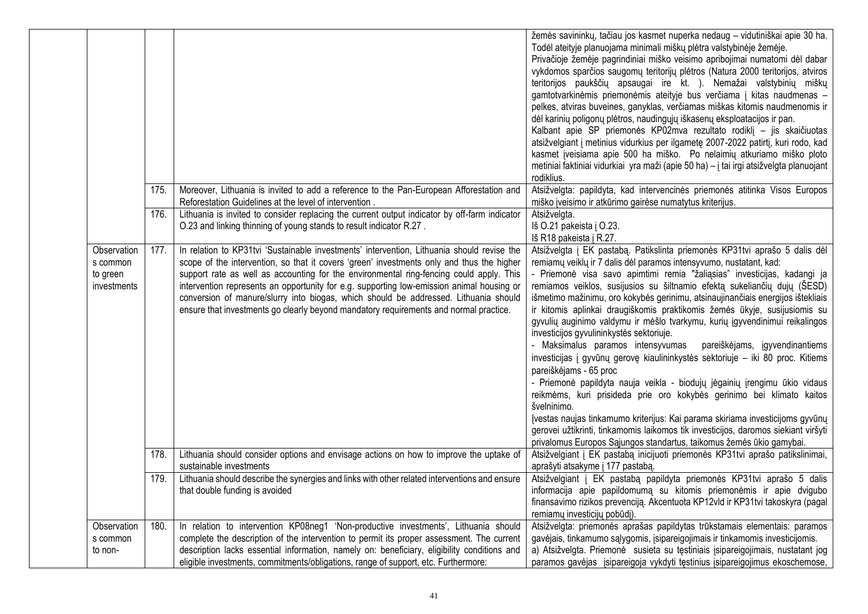|                                                    |      |                                                                                                                                                                                                                                                                                                                                                                                                                                                                                                                                                                  | žemės savininkų, tačiau jos kasmet nuperka nedaug - vidutiniškai apie 30 ha.<br>Todėl ateityje planuojama minimali miškų plėtra valstybinėje žemėje.<br>Privačioje žemėje pagrindiniai miško veisimo apribojimai numatomi dėl dabar<br>vykdomos sparčios saugomų teritorijų plėtros (Natura 2000 teritorijos, atviros<br>teritorijos paukščių apsaugai ire kt. ). Nemažai valstybinių miškų<br>gamtotvarkinėmis priemonėmis ateityje bus verčiama į kitas naudmenas -<br>pelkes, atviras buveines, ganyklas, verčiamas miškas kitomis naudmenomis ir<br>dėl karinių poligonų plėtros, naudingųjų iškasenų eksploatacijos ir pan.<br>Kalbant apie SP priemonės KP02mva rezultato rodiklį – jis skaičiuotas<br>atsižvelgiant į metinius vidurkius per ilgametę 2007-2022 patirtį, kuri rodo, kad<br>kasmet įveisiama apie 500 ha miško. Po nelaimių atkuriamo miško ploto<br>metiniai faktiniai vidurkiai yra maži (apie 50 ha) – į tai irgi atsižvelgta planuojant<br>rodiklius.                                                                                                                                                                                                                            |
|----------------------------------------------------|------|------------------------------------------------------------------------------------------------------------------------------------------------------------------------------------------------------------------------------------------------------------------------------------------------------------------------------------------------------------------------------------------------------------------------------------------------------------------------------------------------------------------------------------------------------------------|------------------------------------------------------------------------------------------------------------------------------------------------------------------------------------------------------------------------------------------------------------------------------------------------------------------------------------------------------------------------------------------------------------------------------------------------------------------------------------------------------------------------------------------------------------------------------------------------------------------------------------------------------------------------------------------------------------------------------------------------------------------------------------------------------------------------------------------------------------------------------------------------------------------------------------------------------------------------------------------------------------------------------------------------------------------------------------------------------------------------------------------------------------------------------------------------------------|
|                                                    | 175. | Moreover, Lithuania is invited to add a reference to the Pan-European Afforestation and<br>Reforestation Guidelines at the level of intervention.                                                                                                                                                                                                                                                                                                                                                                                                                | Atsižvelgta: papildyta, kad intervencinės priemonės atitinka Visos Europos<br>miško įveisimo ir atkūrimo gairėse numatytus kriterijus.                                                                                                                                                                                                                                                                                                                                                                                                                                                                                                                                                                                                                                                                                                                                                                                                                                                                                                                                                                                                                                                                     |
|                                                    | 176. | Lithuania is invited to consider replacing the current output indicator by off-farm indicator<br>O.23 and linking thinning of young stands to result indicator R.27.                                                                                                                                                                                                                                                                                                                                                                                             | Atsižvelgta.<br>Iš O.21 pakeista į O.23.<br>Iš R18 pakeista į R.27.                                                                                                                                                                                                                                                                                                                                                                                                                                                                                                                                                                                                                                                                                                                                                                                                                                                                                                                                                                                                                                                                                                                                        |
| Observation<br>s common<br>to green<br>investments | 177. | In relation to KP31tvi 'Sustainable investments' intervention, Lithuania should revise the<br>scope of the intervention, so that it covers 'green' investments only and thus the higher<br>support rate as well as accounting for the environmental ring-fencing could apply. This<br>intervention represents an opportunity for e.g. supporting low-emission animal housing or<br>conversion of manure/slurry into biogas, which should be addressed. Lithuania should<br>ensure that investments go clearly beyond mandatory requirements and normal practice. | Atsižvelgta į EK pastabą. Patikslinta priemonės KP31tvi aprašo 5 dalis dėl<br>remiamų veiklų ir 7 dalis dėl paramos intensyvumo, nustatant, kad:<br>- Priemonė visa savo apimtimi remia "žaliąsias" investicijas, kadangi ja<br>remiamos veiklos, susijusios su šiltnamio efektą sukeliančių dujų (ŠESD)<br>išmetimo mažinimu, oro kokybės gerinimu, atsinaujinančiais energijos ištekliais<br>ir kitomis aplinkai draugiškomis praktikomis žemės ūkyje, susijusiomis su<br>gyvulių auginimo valdymu ir mėšlo tvarkymu, kurių įgyvendinimui reikalingos<br>investicijos gyvulininkystės sektoriuje.<br>- Maksimalus paramos intensyvumas<br>pareiškėjams, įgyvendinantiems<br>investicijas į gyvūnų gerovę kiaulininkystės sektoriuje – iki 80 proc. Kitiems<br>pareiškėjams - 65 proc<br>- Priemonė papildyta nauja veikla - biodujų jėgainių įrengimu ūkio vidaus<br>reikmėms, kuri prisideda prie oro kokybės gerinimo bei klimato kaitos<br>švelninimo.<br>Įvestas naujas tinkamumo kriterijus: Kai parama skiriama investicijoms gyvūnų<br>gerovei užtikrinti, tinkamomis laikomos tik investicijos, daromos siekiant viršyti<br>privalomus Europos Sąjungos standartus, taikomus žemės ūkio gamybai. |
|                                                    | 178. | Lithuania should consider options and envisage actions on how to improve the uptake of<br>sustainable investments                                                                                                                                                                                                                                                                                                                                                                                                                                                | Atsižvelgiant į EK pastabą inicijuoti priemonės KP31tvi aprašo patikslinimai,<br>aprašyti atsakyme į 177 pastabą.                                                                                                                                                                                                                                                                                                                                                                                                                                                                                                                                                                                                                                                                                                                                                                                                                                                                                                                                                                                                                                                                                          |
|                                                    | 179. | Lithuania should describe the synergies and links with other related interventions and ensure<br>that double funding is avoided                                                                                                                                                                                                                                                                                                                                                                                                                                  | Atsižvelgiant į EK pastabą papildyta priemonės KP31tvi aprašo 5 dalis<br>informacija apie papildomumą su kitomis priemonėmis ir apie dvigubo<br>finansavimo rizikos prevenciją. Akcentuota KP12vld ir KP31tvi takoskyra (pagal<br>remiamų investicijų pobūdį).                                                                                                                                                                                                                                                                                                                                                                                                                                                                                                                                                                                                                                                                                                                                                                                                                                                                                                                                             |
| Observation<br>s common<br>to non-                 | 180. | In relation to intervention KP08neg1 'Non-productive investments', Lithuania should<br>complete the description of the intervention to permit its proper assessment. The current<br>description lacks essential information, namely on: beneficiary, eligibility conditions and<br>eligible investments, commitments/obligations, range of support, etc. Furthermore:                                                                                                                                                                                            | Atsižvelgta: priemonės aprašas papildytas trūkstamais elementais: paramos<br>gavėjais, tinkamumo sąlygomis, įsipareigojimais ir tinkamomis investicijomis.<br>a) Atsižvelgta. Priemonė susieta su tęstiniais įsipareigojimais, nustatant jog<br>paramos gavėjas įsipareigoja vykdyti tęstinius įsipareigojimus ekoschemose,                                                                                                                                                                                                                                                                                                                                                                                                                                                                                                                                                                                                                                                                                                                                                                                                                                                                                |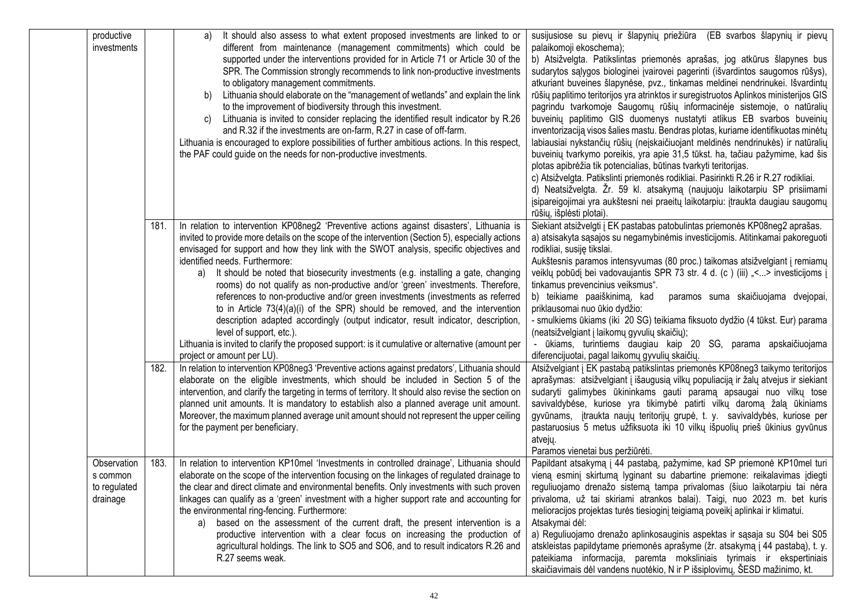| productive<br>investments                           |      | It should also assess to what extent proposed investments are linked to or<br>a)<br>different from maintenance (management commitments) which could be<br>supported under the interventions provided for in Article 71 or Article 30 of the<br>SPR. The Commission strongly recommends to link non-productive investments<br>to obligatory management commitments.<br>Lithuania should elaborate on the "management of wetlands" and explain the link<br>b)<br>to the improvement of biodiversity through this investment.<br>Lithuania is invited to consider replacing the identified result indicator by R.26<br>C)<br>and R.32 if the investments are on-farm, R.27 in case of off-farm.<br>Lithuania is encouraged to explore possibilities of further ambitious actions. In this respect,<br>the PAF could guide on the needs for non-productive investments.                                                           | susijusiose su pievų ir šlapynių priežiūra (EB svarbos šlapynių ir pievų<br>palaikomoji ekoschema);<br>b) Atsižvelgta. Patikslintas priemonės aprašas, jog atkūrus šlapynes bus<br>sudarytos sąlygos biologinei įvairovei pagerinti (išvardintos saugomos rūšys),<br>atkuriant buveines šlapynėse, pvz., tinkamas meldinei nendrinukei. Išvardintų<br>rūšių paplitimo teritorijos yra atrinktos ir suregistruotos Aplinkos ministerijos GIS<br>pagrindu tvarkomoje Saugomų rūšių informacinėje sistemoje, o natūralių<br>buveinių paplitimo GIS duomenys nustatyti atlikus EB svarbos buveinių<br>inventorizaciją visos šalies mastu. Bendras plotas, kuriame identifikuotas minėtų<br>labiausiai nykstančių rūšių (neįskaičiuojant meldinės nendrinukės) ir natūralių<br>buveinių tvarkymo poreikis, yra apie 31,5 tūkst. ha, tačiau pažymime, kad šis<br>plotas apibrėžia tik potencialias, būtinas tvarkyti teritorijas.<br>c) Atsižvelgta. Patikslinti priemonės rodikliai. Pasirinkti R.26 ir R.27 rodikliai.<br>d) Neatsižvelgta. Žr. 59 kl. atsakymą (naujuoju laikotarpiu SP prisiimami<br>įsipareigojimai yra aukštesni nei praeitų laikotarpiu: įtraukta daugiau saugomų<br>rūšių, išplėsti plotai). |
|-----------------------------------------------------|------|-------------------------------------------------------------------------------------------------------------------------------------------------------------------------------------------------------------------------------------------------------------------------------------------------------------------------------------------------------------------------------------------------------------------------------------------------------------------------------------------------------------------------------------------------------------------------------------------------------------------------------------------------------------------------------------------------------------------------------------------------------------------------------------------------------------------------------------------------------------------------------------------------------------------------------|----------------------------------------------------------------------------------------------------------------------------------------------------------------------------------------------------------------------------------------------------------------------------------------------------------------------------------------------------------------------------------------------------------------------------------------------------------------------------------------------------------------------------------------------------------------------------------------------------------------------------------------------------------------------------------------------------------------------------------------------------------------------------------------------------------------------------------------------------------------------------------------------------------------------------------------------------------------------------------------------------------------------------------------------------------------------------------------------------------------------------------------------------------------------------------------------------------------|
|                                                     | 181. | In relation to intervention KP08neg2 'Preventive actions against disasters', Lithuania is<br>invited to provide more details on the scope of the intervention (Section 5), especially actions<br>envisaged for support and how they link with the SWOT analysis, specific objectives and<br>identified needs. Furthermore:<br>a) It should be noted that biosecurity investments (e.g. installing a gate, changing<br>rooms) do not qualify as non-productive and/or 'green' investments. Therefore,<br>references to non-productive and/or green investments (investments as referred<br>to in Article $73(4)(a)(i)$ of the SPR) should be removed, and the intervention<br>description adapted accordingly (output indicator, result indicator, description,<br>level of support, etc.).<br>Lithuania is invited to clarify the proposed support: is it cumulative or alternative (amount per<br>project or amount per LU). | Siekiant atsižvelgti į EK pastabas patobulintas priemonės KP08neg2 aprašas.<br>a) atsisakyta sąsajos su negamybinėmis investicijomis. Atitinkamai pakoreguoti<br>rodikliai, susiję tikslai.<br>Aukštesnis paramos intensyvumas (80 proc.) taikomas atsižvelgiant į remiamų<br>veiklų pobūdį bei vadovaujantis SPR 73 str. 4 d. (c) (iii) "<> investicijoms į<br>tinkamus prevencinius veiksmus".<br>b) teikiame paaiškinimą, kad<br>paramos suma skaičiuojama dvejopai,<br>priklausomai nuo ūkio dydžio:<br>- smulkiems ūkiams (iki 20 SG) teikiama fiksuoto dydžio (4 tūkst. Eur) parama<br>(neatsižvelgiant į laikomų gyvulių skaičių);<br>- ūkiams, turintiems daugiau kaip 20 SG, parama apskaičiuojama<br>diferencijuotai, pagal laikomų gyvulių skaičių.                                                                                                                                                                                                                                                                                                                                                                                                                                                 |
|                                                     | 182. | In relation to intervention KP08neg3 'Preventive actions against predators', Lithuania should<br>elaborate on the eligible investments, which should be included in Section 5 of the<br>intervention, and clarify the targeting in terms of territory. It should also revise the section on<br>planned unit amounts. It is mandatory to establish also a planned average unit amount.<br>Moreover, the maximum planned average unit amount should not represent the upper ceiling<br>for the payment per beneficiary.                                                                                                                                                                                                                                                                                                                                                                                                         | Atsižvelgiant į EK pastabą patikslintas priemonės KP08neg3 taikymo teritorijos<br>aprašymas: atsižvelgiant į išaugusią vilkų populiaciją ir žalų atvejus ir siekiant<br>sudaryti galimybes ūkininkams gauti paramą apsaugai nuo vilkų tose<br>savivaldybėse, kuriose yra tikimybė patirti vilkų daromą žalą ūkiniams<br>gyvūnams, įtraukta naujų teritorijų grupė, t. y. savivaldybės, kuriose per<br>pastaruosius 5 metus užfiksuota iki 10 vilkų išpuolių prieš ūkinius gyvūnus<br>atvejų.<br>Paramos vienetai bus peržiūrėti.                                                                                                                                                                                                                                                                                                                                                                                                                                                                                                                                                                                                                                                                               |
| Observation<br>s common<br>to regulated<br>drainage | 183. | In relation to intervention KP10mel 'Investments in controlled drainage', Lithuania should<br>elaborate on the scope of the intervention focusing on the linkages of regulated drainage to<br>the clear and direct climate and environmental benefits. Only investments with such proven<br>linkages can qualify as a 'green' investment with a higher support rate and accounting for<br>the environmental ring-fencing. Furthermore:<br>a) based on the assessment of the current draft, the present intervention is a<br>productive intervention with a clear focus on increasing the production of<br>agricultural holdings. The link to SO5 and SO6, and to result indicators R.26 and<br>R.27 seems weak.                                                                                                                                                                                                               | Papildant atsakymą į 44 pastabą, pažymime, kad SP priemonė KP10mel turi<br>vieną esminį skirtumą lyginant su dabartine priemone: reikalavimas įdiegti<br>reguliuojamo drenažo sistemą tampa privalomas (šiuo laikotarpiu tai nėra<br>privaloma, už tai skiriami atrankos balai). Taigi, nuo 2023 m. bet kuris<br>melioracijos projektas turės tiesioginį teigiamą poveikį aplinkai ir klimatui.<br>Atsakymai dėl:<br>a) Reguliuojamo drenažo aplinkosauginis aspektas ir sąsaja su S04 bei S05<br>atskleistas papildytame priemonės aprašyme (žr. atsakymą į 44 pastabą), t. y.<br>pateikiama informacija, paremta moksliniais tyrimais ir ekspertiniais<br>skaičiavimais dėl vandens nuotėkio, N ir P išsiplovimų, ŠESD mažinimo, kt.                                                                                                                                                                                                                                                                                                                                                                                                                                                                         |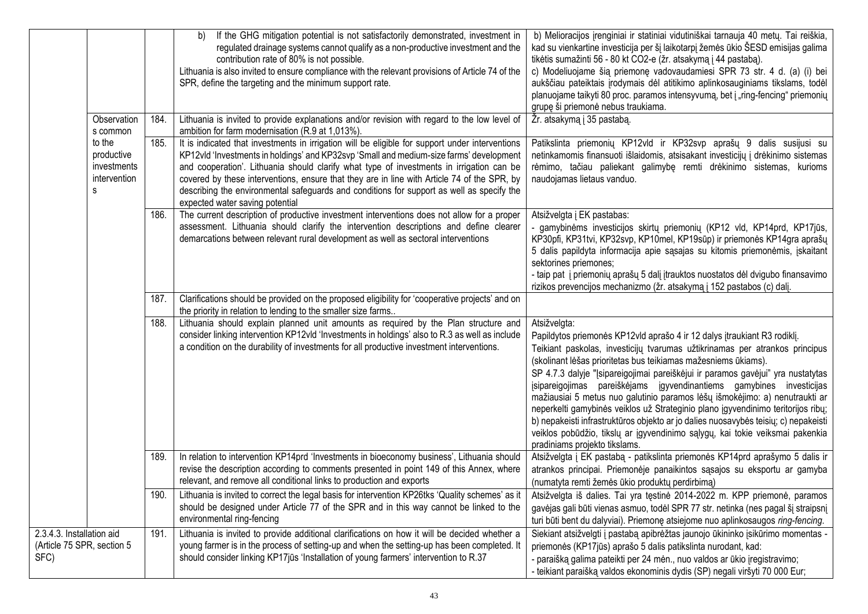|                                                                 |                                                          |      | If the GHG mitigation potential is not satisfactorily demonstrated, investment in<br>b)<br>regulated drainage systems cannot qualify as a non-productive investment and the<br>contribution rate of 80% is not possible.<br>Lithuania is also invited to ensure compliance with the relevant provisions of Article 74 of the<br>SPR, define the targeting and the minimum support rate.                                                                                                                               | b) Melioracijos įrenginiai ir statiniai vidutiniškai tarnauja 40 metų. Tai reiškia,<br>kad su vienkartine investicija per šį laikotarpį žemės ūkio ŠESD emisijas galima<br>tikėtis sumažinti 56 - 80 kt CO2-e (žr. atsakymą į 44 pastabą).<br>c) Modeliuojame šią priemonę vadovaudamiesi SPR 73 str. 4 d. (a) (i) bei<br>aukščiau pateiktais įrodymais dėl atitikimo aplinkosauginiams tikslams, todėl<br>planuojame taikyti 80 proc. paramos intensyvumą, bet į "ring-fencing" priemonių<br>grupę ši priemonė nebus traukiama.                                                                                                                                                                                                                                                |
|-----------------------------------------------------------------|----------------------------------------------------------|------|-----------------------------------------------------------------------------------------------------------------------------------------------------------------------------------------------------------------------------------------------------------------------------------------------------------------------------------------------------------------------------------------------------------------------------------------------------------------------------------------------------------------------|---------------------------------------------------------------------------------------------------------------------------------------------------------------------------------------------------------------------------------------------------------------------------------------------------------------------------------------------------------------------------------------------------------------------------------------------------------------------------------------------------------------------------------------------------------------------------------------------------------------------------------------------------------------------------------------------------------------------------------------------------------------------------------|
|                                                                 | Observation<br>s common                                  | 184. | Lithuania is invited to provide explanations and/or revision with regard to the low level of<br>ambition for farm modernisation (R.9 at 1,013%).                                                                                                                                                                                                                                                                                                                                                                      | Žr. atsakymą į 35 pastabą.                                                                                                                                                                                                                                                                                                                                                                                                                                                                                                                                                                                                                                                                                                                                                      |
|                                                                 | to the<br>productive<br>investments<br>intervention<br>s | 185. | It is indicated that investments in irrigation will be eligible for support under interventions<br>KP12vld 'Investments in holdings' and KP32svp 'Small and medium-size farms' development<br>and cooperation'. Lithuania should clarify what type of investments in irrigation can be<br>covered by these interventions, ensure that they are in line with Article 74 of the SPR, by<br>describing the environmental safeguards and conditions for support as well as specify the<br>expected water saving potential | Patikslinta priemonių KP12vld ir KP32svp aprašų 9 dalis susijusi su<br>netinkamomis finansuoti išlaidomis, atsisakant investicijų į drėkinimo sistemas<br>rėmimo, tačiau paliekant galimybę remti drėkinimo sistemas, kurioms<br>naudojamas lietaus vanduo.                                                                                                                                                                                                                                                                                                                                                                                                                                                                                                                     |
|                                                                 |                                                          | 186. | The current description of productive investment interventions does not allow for a proper<br>assessment. Lithuania should clarify the intervention descriptions and define clearer<br>demarcations between relevant rural development as well as sectoral interventions                                                                                                                                                                                                                                              | Atsižvelgta į EK pastabas:<br>gamybinėms investicijos skirtų priemonių (KP12 vld, KP14prd, KP17jūs,<br>KP30pfi, KP31tvi, KP32svp, KP10mel, KP19sūp) ir priemonės KP14gra aprašų<br>5 dalis papildyta informacija apie sąsajas su kitomis priemonėmis, įskaitant<br>sektorines priemones;<br>- taip pat į priemonių aprašų 5 dalį įtrauktos nuostatos dėl dvigubo finansavimo<br>rizikos prevencijos mechanizmo (žr. atsakymą į 152 pastabos (c) dalį.                                                                                                                                                                                                                                                                                                                           |
|                                                                 |                                                          | 187. | Clarifications should be provided on the proposed eligibility for 'cooperative projects' and on<br>the priority in relation to lending to the smaller size farms                                                                                                                                                                                                                                                                                                                                                      |                                                                                                                                                                                                                                                                                                                                                                                                                                                                                                                                                                                                                                                                                                                                                                                 |
|                                                                 |                                                          | 188. | Lithuania should explain planned unit amounts as required by the Plan structure and<br>consider linking intervention KP12vld 'Investments in holdings' also to R.3 as well as include<br>a condition on the durability of investments for all productive investment interventions.                                                                                                                                                                                                                                    | Atsižvelgta:<br>Papildytos priemonės KP12vld aprašo 4 ir 12 dalys įtraukiant R3 rodiklį.<br>Teikiant paskolas, investicijų tvarumas užtikrinamas per atrankos principus<br>(skolinant lėšas prioritetas bus teikiamas mažesniems ūkiams).<br>SP 4.7.3 dalyje "Įsipareigojimai pareiškėjui ir paramos gavėjui" yra nustatytas<br>įsipareigojimas pareiškėjams įgyvendinantiems gamybines investicijas<br>mažiausiai 5 metus nuo galutinio paramos lėšų išmokėjimo: a) nenutraukti ar<br>neperkelti gamybinės veiklos už Strateginio plano įgyvendinimo teritorijos ribų;<br>b) nepakeisti infrastruktūros objekto ar jo dalies nuosavybės teisių; c) nepakeisti<br>veiklos pobūdžio, tikslų ar įgyvendinimo sąlygų, kai tokie veiksmai pakenkia<br>pradiniams projekto tikslams. |
|                                                                 |                                                          | 189. | In relation to intervention KP14prd 'Investments in bioeconomy business', Lithuania should<br>revise the description according to comments presented in point 149 of this Annex, where<br>relevant, and remove all conditional links to production and exports                                                                                                                                                                                                                                                        | Atsižvelgta į EK pastabą - patikslinta priemonės KP14prd aprašymo 5 dalis ir<br>atrankos principai. Priemonėje panaikintos sąsajos su eksportu ar gamyba<br>(numatyta remti žemės ūkio produktų perdirbimą)                                                                                                                                                                                                                                                                                                                                                                                                                                                                                                                                                                     |
|                                                                 |                                                          | 190. | Lithuania is invited to correct the legal basis for intervention KP26tks 'Quality schemes' as it<br>should be designed under Article 77 of the SPR and in this way cannot be linked to the<br>environmental ring-fencing                                                                                                                                                                                                                                                                                              | Atsižvelgta iš dalies. Tai yra tęstinė 2014-2022 m. KPP priemonė, paramos<br>gavėjas gali būti vienas asmuo, todėl SPR 77 str. netinka (nes pagal šį straipsnį<br>turi būti bent du dalyviai). Priemonę atsiejome nuo aplinkosaugos ring-fencing.                                                                                                                                                                                                                                                                                                                                                                                                                                                                                                                               |
| 2.3.4.3. Installation aid<br>(Article 75 SPR, section 5<br>SFC) |                                                          | 191. | Lithuania is invited to provide additional clarifications on how it will be decided whether a<br>young farmer is in the process of setting-up and when the setting-up has been completed. It<br>should consider linking KP17jūs 'Installation of young farmers' intervention to R.37                                                                                                                                                                                                                                  | Siekiant atsižvelgti į pastabą apibrėžtas jaunojo ūkininko įsikūrimo momentas -<br>priemonės (KP17jūs) aprašo 5 dalis patikslinta nurodant, kad:<br>- paraišką galima pateikti per 24 mėn., nuo valdos ar ūkio įregistravimo;<br>- teikiant paraišką valdos ekonominis dydis (SP) negali viršyti 70 000 Eur;                                                                                                                                                                                                                                                                                                                                                                                                                                                                    |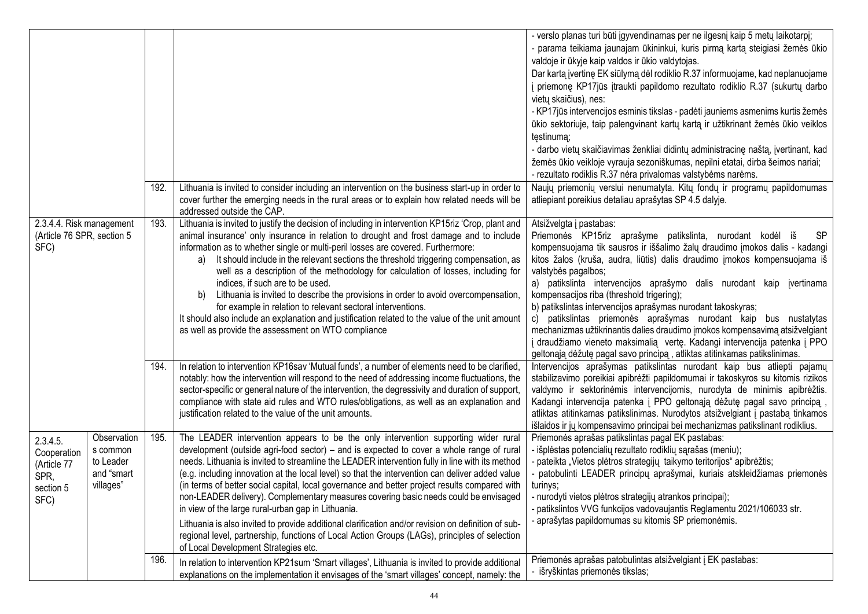|                                                                     |                                                                 |      |                                                                                                                                                                                                                                                                                                                                                                                                                                                                                                                                                                                                                                                                                                                                                                                                                                                                                     | - verslo planas turi būti įgyvendinamas per ne ilgesnį kaip 5 metų laikotarpį;<br>- parama teikiama jaunajam ūkininkui, kuris pirmą kartą steigiasi žemės ūkio<br>valdoje ir ūkyje kaip valdos ir ūkio valdytojas.<br>Dar kartą įvertinę EK siūlymą dėl rodiklio R.37 informuojame, kad neplanuojame<br>į priemonę KP17jūs įtraukti papildomo rezultato rodiklio R.37 (sukurtų darbo<br>vietų skaičius), nes:<br>- KP17jūs intervencijos esminis tikslas - padėti jauniems asmenims kurtis žemės<br>ūkio sektoriuje, taip palengvinant kartų kartą ir užtikrinant žemės ūkio veiklos<br>testinuma;<br>- darbo vietų skaičiavimas ženkliai didintų administracinę naštą, įvertinant, kad<br>žemės ūkio veikloje vyrauja sezoniškumas, nepilni etatai, dirba šeimos nariai;<br>- rezultato rodiklis R.37 nėra privalomas valstybėms narėms. |
|---------------------------------------------------------------------|-----------------------------------------------------------------|------|-------------------------------------------------------------------------------------------------------------------------------------------------------------------------------------------------------------------------------------------------------------------------------------------------------------------------------------------------------------------------------------------------------------------------------------------------------------------------------------------------------------------------------------------------------------------------------------------------------------------------------------------------------------------------------------------------------------------------------------------------------------------------------------------------------------------------------------------------------------------------------------|-------------------------------------------------------------------------------------------------------------------------------------------------------------------------------------------------------------------------------------------------------------------------------------------------------------------------------------------------------------------------------------------------------------------------------------------------------------------------------------------------------------------------------------------------------------------------------------------------------------------------------------------------------------------------------------------------------------------------------------------------------------------------------------------------------------------------------------------|
|                                                                     |                                                                 | 192. | Lithuania is invited to consider including an intervention on the business start-up in order to<br>cover further the emerging needs in the rural areas or to explain how related needs will be<br>addressed outside the CAP.                                                                                                                                                                                                                                                                                                                                                                                                                                                                                                                                                                                                                                                        | Naujų priemonių verslui nenumatyta. Kitų fondų ir programų papildomumas<br>atliepiant poreikius detaliau aprašytas SP 4.5 dalyje.                                                                                                                                                                                                                                                                                                                                                                                                                                                                                                                                                                                                                                                                                                         |
| 2.3.4.4. Risk management<br>(Article 76 SPR, section 5<br>SFC)      |                                                                 | 193. | Lithuania is invited to justify the decision of including in intervention KP15riz 'Crop, plant and<br>animal insurance' only insurance in relation to drought and frost damage and to include<br>information as to whether single or multi-peril losses are covered. Furthermore:<br>It should include in the relevant sections the threshold triggering compensation, as<br>a)<br>well as a description of the methodology for calculation of losses, including for<br>indices, if such are to be used.<br>Lithuania is invited to describe the provisions in order to avoid overcompensation,<br>b)<br>for example in relation to relevant sectoral interventions.<br>It should also include an explanation and justification related to the value of the unit amount<br>as well as provide the assessment on WTO compliance                                                      | Atsižvelgta į pastabas:<br>Priemonės KP15riz aprašyme patikslinta, nurodant kodėl iš<br><b>SP</b><br>kompensuojama tik sausros ir iššalimo žalų draudimo įmokos dalis - kadangi<br>kitos žalos (kruša, audra, liūtis) dalis draudimo įmokos kompensuojama iš<br>valstybės pagalbos;<br>a) patikslinta intervencijos aprašymo dalis nurodant kaip įvertinama<br>kompensacijos riba (threshold trigering);<br>b) patikslintas intervencijos aprašymas nurodant takoskyras;<br>c) patikslintas priemonės aprašymas nurodant kaip bus nustatytas<br>mechanizmas užtikrinantis dalies draudimo įmokos kompensavimą atsižvelgiant<br>į draudžiamo vieneto maksimalią vertę. Kadangi intervencija patenka į PPO<br>geltonąją dėžutę pagal savo principą, atliktas atitinkamas patikslinimas.                                                     |
|                                                                     |                                                                 | 194. | In relation to intervention KP16sav 'Mutual funds', a number of elements need to be clarified,<br>notably: how the intervention will respond to the need of addressing income fluctuations, the<br>sector-specific or general nature of the intervention, the degressivity and duration of support,<br>compliance with state aid rules and WTO rules/obligations, as well as an explanation and<br>justification related to the value of the unit amounts.                                                                                                                                                                                                                                                                                                                                                                                                                          | Intervencijos aprašymas patikslintas nurodant kaip bus atliepti pajamų<br>stabilizavimo poreikiai apibrėžti papildomumai ir takoskyros su kitomis rizikos<br>valdymo ir sektorinėmis intervencijomis, nurodyta de minimis apibrėžtis.<br>Kadangi intervencija patenka į PPO geltonąją dėžutę pagal savo principą,<br>atliktas atitinkamas patikslinimas. Nurodytos atsižvelgiant į pastabą tinkamos<br>išlaidos ir jų kompensavimo principai bei mechanizmas patikslinant rodiklius.                                                                                                                                                                                                                                                                                                                                                      |
| 2.3.4.5.<br>Cooperation<br>(Article 77<br>SPR,<br>section 5<br>SFC) | Observation<br>s common<br>to Leader<br>and "smart<br>villages" | 195. | The LEADER intervention appears to be the only intervention supporting wider rural<br>development (outside agri-food sector) - and is expected to cover a whole range of rural<br>needs. Lithuania is invited to streamline the LEADER intervention fully in line with its method<br>(e.g. including innovation at the local level) so that the intervention can deliver added value<br>(in terms of better social capital, local governance and better project results compared with<br>non-LEADER delivery). Complementary measures covering basic needs could be envisaged<br>in view of the large rural-urban gap in Lithuania.<br>Lithuania is also invited to provide additional clarification and/or revision on definition of sub-<br>regional level, partnership, functions of Local Action Groups (LAGs), principles of selection<br>of Local Development Strategies etc. | Priemonės aprašas patikslintas pagal EK pastabas:<br>- išplėstas potencialių rezultato rodiklių sąrašas (meniu);<br>- pateikta "Vietos plėtros strategijų taikymo teritorijos" apibrėžtis;<br>- patobulinti LEADER principų aprašymai, kuriais atskleidžiamas priemonės<br>turinys;<br>- nurodyti vietos plėtros strategijų atrankos principai);<br>- patikslintos VVG funkcijos vadovaujantis Reglamentu 2021/106033 str.<br>- aprašytas papildomumas su kitomis SP priemonėmis.                                                                                                                                                                                                                                                                                                                                                         |
|                                                                     |                                                                 | 196. | In relation to intervention KP21sum 'Smart villages', Lithuania is invited to provide additional<br>explanations on the implementation it envisages of the 'smart villages' concept, namely: the                                                                                                                                                                                                                                                                                                                                                                                                                                                                                                                                                                                                                                                                                    | Priemonės aprašas patobulintas atsižvelgiant į EK pastabas:<br>- išryškintas priemonės tikslas;                                                                                                                                                                                                                                                                                                                                                                                                                                                                                                                                                                                                                                                                                                                                           |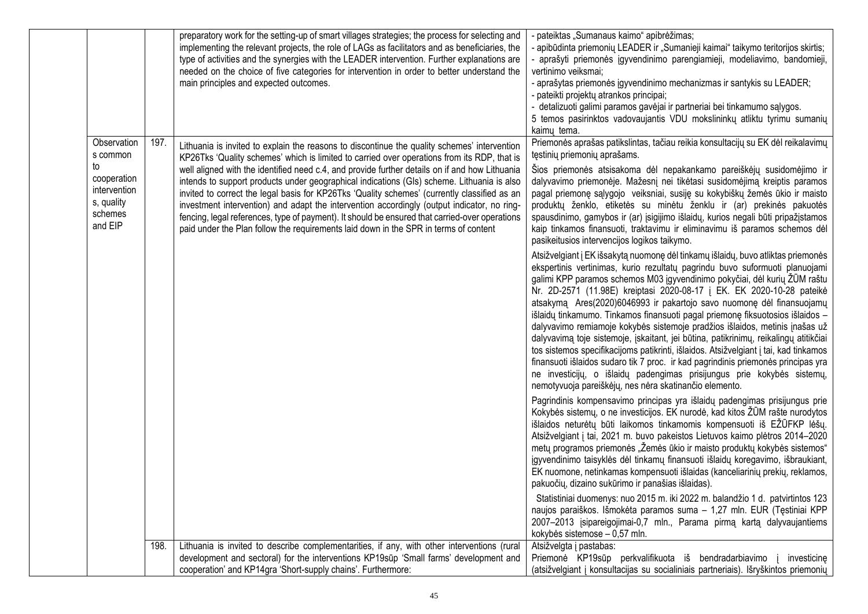| Priemonės aprašas patikslintas, tačiau reikia konsultacijų su EK dėl reikalavimų<br>Observation<br>197.<br>Lithuania is invited to explain the reasons to discontinue the quality schemes' intervention<br>tęstinių priemonių aprašams.<br>s common<br>KP26Tks 'Quality schemes' which is limited to carried over operations from its RDP, that is<br>to<br>well aligned with the identified need c.4, and provide further details on if and how Lithuania<br>Šios priemonės atsisakoma dėl nepakankamo pareiškėjų susidomėjimo ir                                                                                                                                                                                                                                                                                                                                                                                                                                                                                                                                                                                                                                                                                                                                                                                                                                                                                                                                                                                                                                                                                                                                                                                                                                                                                                                                                                                                                                                                                                                                                                                                                                                                                                                                                                                                                                                                                                                                                                                                                                                                                                                                                                                                                                                                                                                                                         |             |
|--------------------------------------------------------------------------------------------------------------------------------------------------------------------------------------------------------------------------------------------------------------------------------------------------------------------------------------------------------------------------------------------------------------------------------------------------------------------------------------------------------------------------------------------------------------------------------------------------------------------------------------------------------------------------------------------------------------------------------------------------------------------------------------------------------------------------------------------------------------------------------------------------------------------------------------------------------------------------------------------------------------------------------------------------------------------------------------------------------------------------------------------------------------------------------------------------------------------------------------------------------------------------------------------------------------------------------------------------------------------------------------------------------------------------------------------------------------------------------------------------------------------------------------------------------------------------------------------------------------------------------------------------------------------------------------------------------------------------------------------------------------------------------------------------------------------------------------------------------------------------------------------------------------------------------------------------------------------------------------------------------------------------------------------------------------------------------------------------------------------------------------------------------------------------------------------------------------------------------------------------------------------------------------------------------------------------------------------------------------------------------------------------------------------------------------------------------------------------------------------------------------------------------------------------------------------------------------------------------------------------------------------------------------------------------------------------------------------------------------------------------------------------------------------------------------------------------------------------------------------------------------------|-------------|
| cooperation<br>intends to support products under geographical indications (GIs) scheme. Lithuania is also<br>dalyvavimo priemonėje. Mažesnį nei tikėtasi susidomėjimą kreiptis paramos<br>intervention<br>invited to correct the legal basis for KP26Tks 'Quality schemes' (currently classified as an<br>pagal priemonę sąlygojo veiksniai, susiję su kokybiškų žemės ūkio ir maisto<br>s, quality<br>investment intervention) and adapt the intervention accordingly (output indicator, no ring-<br>produktų ženklo, etiketės su minėtu ženklu ir (ar) prekinės pakuotės<br>schemes<br>fencing, legal references, type of payment). It should be ensured that carried-over operations<br>spausdinimo, gamybos ir (ar) įsigijimo išlaidų, kurios negali būti pripažįstamos<br>and EIP<br>paid under the Plan follow the requirements laid down in the SPR in terms of content<br>kaip tinkamos finansuoti, traktavimu ir eliminavimu iš paramos schemos dėl<br>pasikeitusios intervencijos logikos taikymo.<br>Atsižvelgiant į EK išsakytą nuomonę dėl tinkamų išlaidų, buvo atliktas priemonės<br>ekspertinis vertinimas, kurio rezultatų pagrindu buvo suformuoti planuojami<br>galimi KPP paramos schemos M03 įgyvendinimo pokyčiai, dėl kurių ŽŪM raštu<br>Nr. 2D-2571 (11.98E) kreiptasi 2020-08-17 į EK. EK 2020-10-28 pateikė<br>atsakymą Ares(2020)6046993 ir pakartojo savo nuomonę dėl finansuojamų<br>išlaidų tinkamumo. Tinkamos finansuoti pagal priemonę fiksuotosios išlaidos -<br>dalyvavimo remiamoje kokybės sistemoje pradžios išlaidos, metinis įnašas už<br>dalyvavimą toje sistemoje, įskaitant, jei būtina, patikrinimų, reikalingų atitikčiai<br>tos sistemos specifikacijoms patikrinti, išlaidos. Atsižvelgiant į tai, kad tinkamos<br>finansuoti išlaidos sudaro tik 7 proc. ir kad pagrindinis priemonės principas yra<br>ne investicijų, o išlaidų padengimas prisijungus prie kokybės sistemų,<br>nemotyvuoja pareiškėjų, nes nėra skatinančio elemento.<br>Pagrindinis kompensavimo principas yra išlaidų padengimas prisijungus prie<br>Kokybės sistemų, o ne investicijos. EK nurodė, kad kitos ŽŪM rašte nurodytos<br>išlaidos neturėtų būti laikomos tinkamomis kompensuoti iš EŽŪFKP lėšų.<br>Atsižvelgiant į tai, 2021 m. buvo pakeistos Lietuvos kaimo plėtros 2014-2020<br>metų programos priemonės "Žemės ūkio ir maisto produktų kokybės sistemos"<br>jgyvendinimo taisyklės dėl tinkamų finansuoti išlaidų koregavimo, išbraukiant,<br>EK nuomone, netinkamas kompensuoti išlaidas (kanceliarinių prekių, reklamos,<br>pakuočių, dizaino sukūrimo ir panašias išlaidas).<br>Statistiniai duomenys: nuo 2015 m. iki 2022 m. balandžio 1 d. patvirtintos 123<br>naujos paraiškos. Išmokėta paramos suma - 1,27 mln. EUR (Tęstiniai KPP<br>2007-2013 įsipareigojimai-0,7 mln., Parama pirmą kartą dalyvaujantiems<br>kokybės sistemose - 0,57 mln. |             |
| Atsižvelgta į pastabas:<br>Lithuania is invited to describe complementarities, if any, with other interventions (rural<br>198.                                                                                                                                                                                                                                                                                                                                                                                                                                                                                                                                                                                                                                                                                                                                                                                                                                                                                                                                                                                                                                                                                                                                                                                                                                                                                                                                                                                                                                                                                                                                                                                                                                                                                                                                                                                                                                                                                                                                                                                                                                                                                                                                                                                                                                                                                                                                                                                                                                                                                                                                                                                                                                                                                                                                                             |             |
| development and sectoral) for the interventions KP19sūp 'Small farms' development and<br>Priemonė KP19sūp perkvalifikuota iš bendradarbiavimo<br>cooperation' and KP14gra 'Short-supply chains'. Furthermore:<br>(atsižvelgiant į konsultacijas su socialiniais partneriais). Išryškintos priemonių                                                                                                                                                                                                                                                                                                                                                                                                                                                                                                                                                                                                                                                                                                                                                                                                                                                                                                                                                                                                                                                                                                                                                                                                                                                                                                                                                                                                                                                                                                                                                                                                                                                                                                                                                                                                                                                                                                                                                                                                                                                                                                                                                                                                                                                                                                                                                                                                                                                                                                                                                                                        | investicine |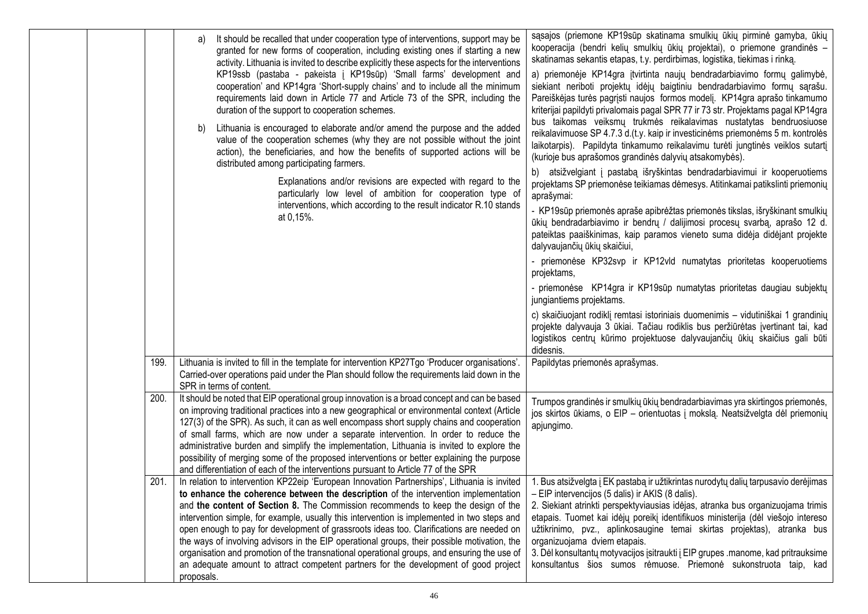|  |      | It should be recalled that under cooperation type of interventions, support may be<br>a)<br>granted for new forms of cooperation, including existing ones if starting a new<br>activity. Lithuania is invited to describe explicitly these aspects for the interventions<br>KP19ssb (pastaba - pakeista į KP19sūp) 'Small farms' development and<br>cooperation' and KP14gra 'Short-supply chains' and to include all the minimum<br>requirements laid down in Article 77 and Article 73 of the SPR, including the<br>duration of the support to cooperation schemes.<br>Lithuania is encouraged to elaborate and/or amend the purpose and the added<br>b)<br>value of the cooperation schemes (why they are not possible without the joint<br>action), the beneficiaries, and how the benefits of supported actions will be<br>distributed among participating farmers.<br>Explanations and/or revisions are expected with regard to the<br>particularly low level of ambition for cooperation type of<br>interventions, which according to the result indicator R.10 stands<br>at 0,15%. | sąsajos (priemone KP19sūp skatinama smulkių ūkių pirminė gamyba, ūkių<br>kooperacija (bendri kelių smulkių ūkių projektai), o priemone grandinės -<br>skatinamas sekantis etapas, t.y. perdirbimas, logistika, tiekimas i rinką.<br>a) priemonėje KP14gra įtvirtinta naujų bendradarbiavimo formų galimybė,<br>siekiant neriboti projektų idėjų baigtiniu bendradarbiavimo formų sąrašu.<br>Pareiškėjas turės pagrįsti naujos formos modelį. KP14gra aprašo tinkamumo<br>kriterijai papildyti privalomais pagal SPR 77 ir 73 str. Projektams pagal KP14gra<br>bus taikomas veiksmų trukmės reikalavimas nustatytas bendruosiuose<br>reikalavimuose SP 4.7.3 d.(t.y. kaip ir investicinėms priemonėms 5 m. kontrolės<br>laikotarpis). Papildyta tinkamumo reikalavimu turėti jungtinės veiklos sutartį<br>(kurioje bus aprašomos grandinės dalyvių atsakomybės).<br>b) atsižvelgiant į pastabą išryškintas bendradarbiavimui ir kooperuotiems<br>projektams SP priemonėse teikiamas dėmesys. Atitinkamai patikslinti priemonių<br>aprašymai:<br>- KP19sūp priemonės apraše apibrėžtas priemonės tikslas, išryškinant smulkių<br>ūkių bendradarbiavimo ir bendrų / dalijimosi procesų svarbą, aprašo 12 d.<br>pateiktas paaiškinimas, kaip paramos vieneto suma didėja didėjant projekte<br>dalyvaujančių ūkių skaičiui,<br>- priemonėse KP32svp ir KP12vld numatytas prioritetas kooperuotiems<br>projektams,<br>- priemonėse KP14gra ir KP19sūp numatytas prioritetas daugiau subjektų<br>jungiantiems projektams.<br>c) skaičiuojant rodiklį remtasi istoriniais duomenimis - vidutiniškai 1 grandinių<br>projekte dalyvauja 3 ūkiai. Tačiau rodiklis bus peržiūrėtas įvertinant tai, kad<br>logistikos centrų kūrimo projektuose dalyvaujančių ūkių skaičius gali būti<br>didesnis. |
|--|------|--------------------------------------------------------------------------------------------------------------------------------------------------------------------------------------------------------------------------------------------------------------------------------------------------------------------------------------------------------------------------------------------------------------------------------------------------------------------------------------------------------------------------------------------------------------------------------------------------------------------------------------------------------------------------------------------------------------------------------------------------------------------------------------------------------------------------------------------------------------------------------------------------------------------------------------------------------------------------------------------------------------------------------------------------------------------------------------------|---------------------------------------------------------------------------------------------------------------------------------------------------------------------------------------------------------------------------------------------------------------------------------------------------------------------------------------------------------------------------------------------------------------------------------------------------------------------------------------------------------------------------------------------------------------------------------------------------------------------------------------------------------------------------------------------------------------------------------------------------------------------------------------------------------------------------------------------------------------------------------------------------------------------------------------------------------------------------------------------------------------------------------------------------------------------------------------------------------------------------------------------------------------------------------------------------------------------------------------------------------------------------------------------------------------------------------------------------------------------------------------------------------------------------------------------------------------------------------------------------------------------------------------------------------------------------------------------------------------------------------------------------------------------------------------------------------------------------------------------------------------------------------------|
|  | 199. | Lithuania is invited to fill in the template for intervention KP27Tgo 'Producer organisations'.<br>Carried-over operations paid under the Plan should follow the requirements laid down in the<br>SPR in terms of content.                                                                                                                                                                                                                                                                                                                                                                                                                                                                                                                                                                                                                                                                                                                                                                                                                                                                 | Papildytas priemonės aprašymas.                                                                                                                                                                                                                                                                                                                                                                                                                                                                                                                                                                                                                                                                                                                                                                                                                                                                                                                                                                                                                                                                                                                                                                                                                                                                                                                                                                                                                                                                                                                                                                                                                                                                                                                                                       |
|  | 200. | It should be noted that EIP operational group innovation is a broad concept and can be based<br>on improving traditional practices into a new geographical or environmental context (Article<br>127(3) of the SPR). As such, it can as well encompass short supply chains and cooperation<br>of small farms, which are now under a separate intervention. In order to reduce the<br>administrative burden and simplify the implementation, Lithuania is invited to explore the<br>possibility of merging some of the proposed interventions or better explaining the purpose<br>and differentiation of each of the interventions pursuant to Article 77 of the SPR                                                                                                                                                                                                                                                                                                                                                                                                                         | Trumpos grandinės ir smulkių ūkių bendradarbiavimas yra skirtingos priemonės,<br>jos skirtos ūkiams, o EIP - orientuotas į mokslą. Neatsižvelgta dėl priemonių<br>apjungimo.                                                                                                                                                                                                                                                                                                                                                                                                                                                                                                                                                                                                                                                                                                                                                                                                                                                                                                                                                                                                                                                                                                                                                                                                                                                                                                                                                                                                                                                                                                                                                                                                          |
|  | 201. | In relation to intervention KP22eip 'European Innovation Partnerships', Lithuania is invited<br>to enhance the coherence between the description of the intervention implementation<br>and the content of Section 8. The Commission recommends to keep the design of the<br>intervention simple, for example, usually this intervention is implemented in two steps and<br>open enough to pay for development of grassroots ideas too. Clarifications are needed on<br>the ways of involving advisors in the EIP operational groups, their possible motivation, the<br>organisation and promotion of the transnational operational groups, and ensuring the use of<br>an adequate amount to attract competent partners for the development of good project<br>proposals.                                                                                                                                                                                                                                                                                                                   | 1. Bus atsižvelgta į EK pastabą ir užtikrintas nurodytų dalių tarpusavio derėjimas<br>- EIP intervencijos (5 dalis) ir AKIS (8 dalis).<br>2. Siekiant atrinkti perspektyviausias idėjas, atranka bus organizuojama trimis<br>etapais. Tuomet kai idėjų poreikį identifikuos ministerija (dėl viešojo intereso<br>užtikrinimo, pvz., aplinkosaugine temai skirtas projektas), atranka bus<br>organizuojama dviem etapais.<br>3. Dėl konsultantų motyvacijos įsitraukti į EIP grupes .manome, kad pritrauksime<br>konsultantus šios sumos rėmuose. Priemonė sukonstruota taip, kad                                                                                                                                                                                                                                                                                                                                                                                                                                                                                                                                                                                                                                                                                                                                                                                                                                                                                                                                                                                                                                                                                                                                                                                                      |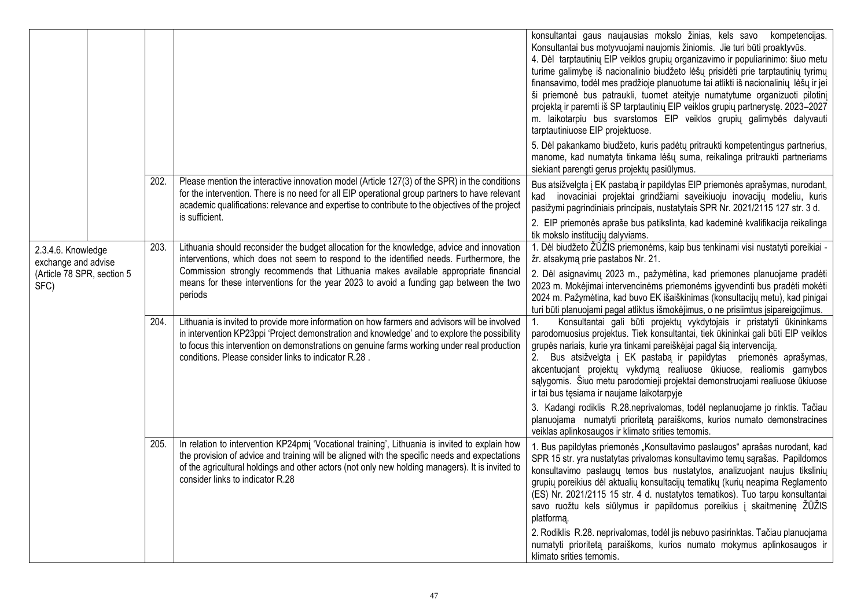|                                           |      |                                                                                                                                                                                                                                                                                                                                                      | konsultantai gaus naujausias mokslo žinias, kels savo kompetencijas.<br>Konsultantai bus motyvuojami naujomis žiniomis. Jie turi būti proaktyvūs.<br>4. Dėl tarptautinių EIP veiklos grupių organizavimo ir populiarinimo: šiuo metu<br>turime galimybę iš nacionalinio biudžeto lėšų prisidėti prie tarptautinių tyrimų<br>finansavimo, todėl mes pradžioje planuotume tai atlikti iš nacionalinių lėšų ir jei<br>ši priemonė bus patraukli, tuomet ateityje numatytume organizuoti pilotinį<br>projektą ir paremti iš SP tarptautinių EIP veiklos grupių partnerystę. 2023-2027<br>m. laikotarpiu bus svarstomos EIP veiklos grupių galimybės dalyvauti<br>tarptautiniuose EIP projektuose. |
|-------------------------------------------|------|------------------------------------------------------------------------------------------------------------------------------------------------------------------------------------------------------------------------------------------------------------------------------------------------------------------------------------------------------|-----------------------------------------------------------------------------------------------------------------------------------------------------------------------------------------------------------------------------------------------------------------------------------------------------------------------------------------------------------------------------------------------------------------------------------------------------------------------------------------------------------------------------------------------------------------------------------------------------------------------------------------------------------------------------------------------|
|                                           |      |                                                                                                                                                                                                                                                                                                                                                      | 5. Dėl pakankamo biudžeto, kuris padėtų pritraukti kompetentingus partnerius,<br>manome, kad numatyta tinkama lėšų suma, reikalinga pritraukti partneriams<br>siekiant parengti gerus projektų pasiūlymus.                                                                                                                                                                                                                                                                                                                                                                                                                                                                                    |
|                                           | 202. | Please mention the interactive innovation model (Article 127(3) of the SPR) in the conditions<br>for the intervention. There is no need for all EIP operational group partners to have relevant<br>academic qualifications: relevance and expertise to contribute to the objectives of the project<br>is sufficient.                                 | Bus atsižvelgta į EK pastabą ir papildytas EIP priemonės aprašymas, nurodant,<br>kad inovaciniai projektai grindžiami sąveikiuoju inovacijų modeliu, kuris<br>pasižymi pagrindiniais principais, nustatytais SPR Nr. 2021/2115 127 str. 3 d.                                                                                                                                                                                                                                                                                                                                                                                                                                                  |
|                                           |      |                                                                                                                                                                                                                                                                                                                                                      | 2. EIP priemonės apraše bus patikslinta, kad kademinė kvalifikacija reikalinga<br>tik mokslo institucijų dalyviams.                                                                                                                                                                                                                                                                                                                                                                                                                                                                                                                                                                           |
| 2.3.4.6. Knowledge<br>exchange and advise | 203. | Lithuania should reconsider the budget allocation for the knowledge, advice and innovation<br>interventions, which does not seem to respond to the identified needs. Furthermore, the                                                                                                                                                                | 1. Dėl biudžeto ŽŪŽIS priemonėms, kaip bus tenkinami visi nustatyti poreikiai -<br>žr. atsakymą prie pastabos Nr. 21.                                                                                                                                                                                                                                                                                                                                                                                                                                                                                                                                                                         |
| (Article 78 SPR, section 5<br>SFC)        |      | Commission strongly recommends that Lithuania makes available appropriate financial<br>means for these interventions for the year 2023 to avoid a funding gap between the two<br>periods                                                                                                                                                             | 2. Dėl asignavimų 2023 m., pažymėtina, kad priemones planuojame pradėti<br>2023 m. Mokėjimai intervencinėms priemonėms įgyvendinti bus pradėti mokėti<br>2024 m. Pažymėtina, kad buvo EK išaiškinimas (konsultacijų metu), kad pinigai<br>turi būti planuojami pagal atliktus išmokėjimus, o ne prisiimtus įsipareigojimus.                                                                                                                                                                                                                                                                                                                                                                   |
|                                           | 204. | Lithuania is invited to provide more information on how farmers and advisors will be involved<br>in intervention KP23ppi 'Project demonstration and knowledge' and to explore the possibility<br>to focus this intervention on demonstrations on genuine farms working under real production<br>conditions. Please consider links to indicator R.28. | Konsultantai gali būti projektų vykdytojais ir pristatyti ūkininkams<br>parodomuosius projektus. Tiek konsultantai, tiek ūkininkai gali būti EIP veiklos<br>grupės nariais, kurie yra tinkami pareiškėjai pagal šią intervenciją.<br>Bus atsižvelgta į EK pastabą ir papildytas priemonės aprašymas,<br>2.<br>akcentuojant projektų vykdymą realiuose ūkiuose, realiomis gamybos<br>sąlygomis. Šiuo metu parodomieji projektai demonstruojami realiuose ūkiuose<br>ir tai bus tęsiama ir naujame laikotarpyje                                                                                                                                                                                 |
|                                           |      |                                                                                                                                                                                                                                                                                                                                                      | 3. Kadangi rodiklis R.28.neprivalomas, todėl neplanuojame jo rinktis. Tačiau<br>planuojama numatyti prioritetą paraiškoms, kurios numato demonstracines<br>veiklas aplinkosaugos ir klimato srities temomis.                                                                                                                                                                                                                                                                                                                                                                                                                                                                                  |
|                                           | 205. | In relation to intervention KP24pmi 'Vocational training', Lithuania is invited to explain how<br>the provision of advice and training will be aligned with the specific needs and expectations<br>of the agricultural holdings and other actors (not only new holding managers). It is invited to<br>consider links to indicator R.28               | 1. Bus papildytas priemonės "Konsultavimo paslaugos" aprašas nurodant, kad<br>SPR 15 str. yra nustatytas privalomas konsultavimo temų sąrašas. Papildomos<br>konsultavimo paslaugų temos bus nustatytos, analizuojant naujus tikslinių<br>grupių poreikius dėl aktualių konsultacijų tematikų (kurių neapima Reglamento<br>(ES) Nr. 2021/2115 15 str. 4 d. nustatytos tematikos). Tuo tarpu konsultantai<br>savo ruožtu kels siūlymus ir papildomus poreikius į skaitmeninę ŽŪŽIS<br>platformą.                                                                                                                                                                                               |
|                                           |      |                                                                                                                                                                                                                                                                                                                                                      | 2. Rodiklis R.28. neprivalomas, todėl jis nebuvo pasirinktas. Tačiau planuojama<br>numatyti prioritetą paraiškoms, kurios numato mokymus aplinkosaugos ir<br>klimato srities temomis.                                                                                                                                                                                                                                                                                                                                                                                                                                                                                                         |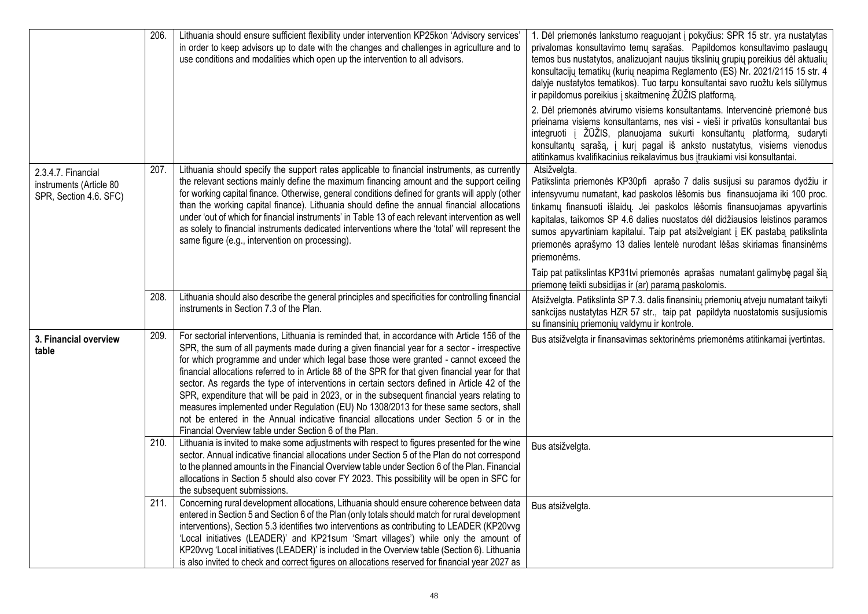|                                                                         | 206. | Lithuania should ensure sufficient flexibility under intervention KP25kon 'Advisory services'<br>in order to keep advisors up to date with the changes and challenges in agriculture and to<br>use conditions and modalities which open up the intervention to all advisors.                                                                                                                                                                                                                                                                                                                                                                                                                                                                                                                                                             | 1. Dėl priemonės lankstumo reaguojant į pokyčius: SPR 15 str. yra nustatytas<br>privalomas konsultavimo temų sąrašas. Papildomos konsultavimo paslaugų<br>temos bus nustatytos, analizuojant naujus tikslinių grupių poreikius dėl aktualių<br>konsultacijų tematikų (kurių neapima Reglamento (ES) Nr. 2021/2115 15 str. 4<br>dalyje nustatytos tematikos). Tuo tarpu konsultantai savo ruožtu kels siūlymus<br>ir papildomus poreikius į skaitmeninę ŽŪŽIS platformą.                                             |
|-------------------------------------------------------------------------|------|------------------------------------------------------------------------------------------------------------------------------------------------------------------------------------------------------------------------------------------------------------------------------------------------------------------------------------------------------------------------------------------------------------------------------------------------------------------------------------------------------------------------------------------------------------------------------------------------------------------------------------------------------------------------------------------------------------------------------------------------------------------------------------------------------------------------------------------|---------------------------------------------------------------------------------------------------------------------------------------------------------------------------------------------------------------------------------------------------------------------------------------------------------------------------------------------------------------------------------------------------------------------------------------------------------------------------------------------------------------------|
|                                                                         |      |                                                                                                                                                                                                                                                                                                                                                                                                                                                                                                                                                                                                                                                                                                                                                                                                                                          | 2. Dėl priemonės atvirumo visiems konsultantams. Intervencinė priemonė bus<br>prieinama visiems konsultantams, nes visi - vieši ir privatūs konsultantai bus<br>integruoti į ŽŪŽIS, planuojama sukurti konsultantų platformą, sudaryti<br>konsultantų sąrašą, į kurį pagal iš anksto nustatytus, visiems vienodus<br>atitinkamus kvalifikacinius reikalavimus bus įtraukiami visi konsultantai.                                                                                                                     |
| 2.3.4.7. Financial<br>instruments (Article 80<br>SPR, Section 4.6. SFC) | 207. | Lithuania should specify the support rates applicable to financial instruments, as currently<br>the relevant sections mainly define the maximum financing amount and the support ceiling<br>for working capital finance. Otherwise, general conditions defined for grants will apply (other<br>than the working capital finance). Lithuania should define the annual financial allocations<br>under 'out of which for financial instruments' in Table 13 of each relevant intervention as well<br>as solely to financial instruments dedicated interventions where the 'total' will represent the<br>same figure (e.g., intervention on processing).                                                                                                                                                                                     | Atsižvelgta.<br>Patikslinta priemonės KP30pfi aprašo 7 dalis susijusi su paramos dydžiu ir<br>intensyvumu numatant, kad paskolos lėšomis bus finansuojama iki 100 proc.<br>tinkamų finansuoti išlaidų. Jei paskolos lėšomis finansuojamas apyvartinis<br>kapitalas, taikomos SP 4.6 dalies nuostatos dėl didžiausios leistinos paramos<br>sumos apyvartiniam kapitalui. Taip pat atsižvelgiant į EK pastabą patikslinta<br>priemonės aprašymo 13 dalies lentelė nurodant lėšas skiriamas finansinėms<br>priemonėms. |
|                                                                         | 208. | Lithuania should also describe the general principles and specificities for controlling financial<br>instruments in Section 7.3 of the Plan.                                                                                                                                                                                                                                                                                                                                                                                                                                                                                                                                                                                                                                                                                             | Taip pat patikslintas KP31tvi priemonės aprašas numatant galimybę pagal šią<br>priemonę teikti subsidijas ir (ar) paramą paskolomis.<br>Atsižvelgta. Patikslinta SP 7.3. dalis finansinių priemonių atveju numatant taikyti<br>sankcijas nustatytas HZR 57 str., taip pat papildyta nuostatomis susijusiomis<br>su finansinių priemonių valdymu ir kontrole.                                                                                                                                                        |
| 3. Financial overview<br>table                                          | 209. | For sectorial interventions, Lithuania is reminded that, in accordance with Article 156 of the<br>SPR, the sum of all payments made during a given financial year for a sector - irrespective<br>for which programme and under which legal base those were granted - cannot exceed the<br>financial allocations referred to in Article 88 of the SPR for that given financial year for that<br>sector. As regards the type of interventions in certain sectors defined in Article 42 of the<br>SPR, expenditure that will be paid in 2023, or in the subsequent financial years relating to<br>measures implemented under Regulation (EU) No 1308/2013 for these same sectors, shall<br>not be entered in the Annual indicative financial allocations under Section 5 or in the<br>Financial Overview table under Section 6 of the Plan. | Bus atsižvelgta ir finansavimas sektorinėms priemonėms atitinkamai įvertintas.                                                                                                                                                                                                                                                                                                                                                                                                                                      |
|                                                                         | 210. | Lithuania is invited to make some adjustments with respect to figures presented for the wine<br>sector. Annual indicative financial allocations under Section 5 of the Plan do not correspond<br>to the planned amounts in the Financial Overview table under Section 6 of the Plan. Financial<br>allocations in Section 5 should also cover FY 2023. This possibility will be open in SFC for<br>the subsequent submissions.                                                                                                                                                                                                                                                                                                                                                                                                            | Bus atsižvelgta.                                                                                                                                                                                                                                                                                                                                                                                                                                                                                                    |
|                                                                         | 211. | Concerning rural development allocations, Lithuania should ensure coherence between data<br>entered in Section 5 and Section 6 of the Plan (only totals should match for rural development<br>interventions), Section 5.3 identifies two interventions as contributing to LEADER (KP20vvg<br>'Local initiatives (LEADER)' and KP21sum 'Smart villages') while only the amount of<br>KP20vvg 'Local initiatives (LEADER)' is included in the Overview table (Section 6). Lithuania<br>is also invited to check and correct figures on allocations reserved for financial year 2027 as                                                                                                                                                                                                                                                     | Bus atsižvelgta.                                                                                                                                                                                                                                                                                                                                                                                                                                                                                                    |